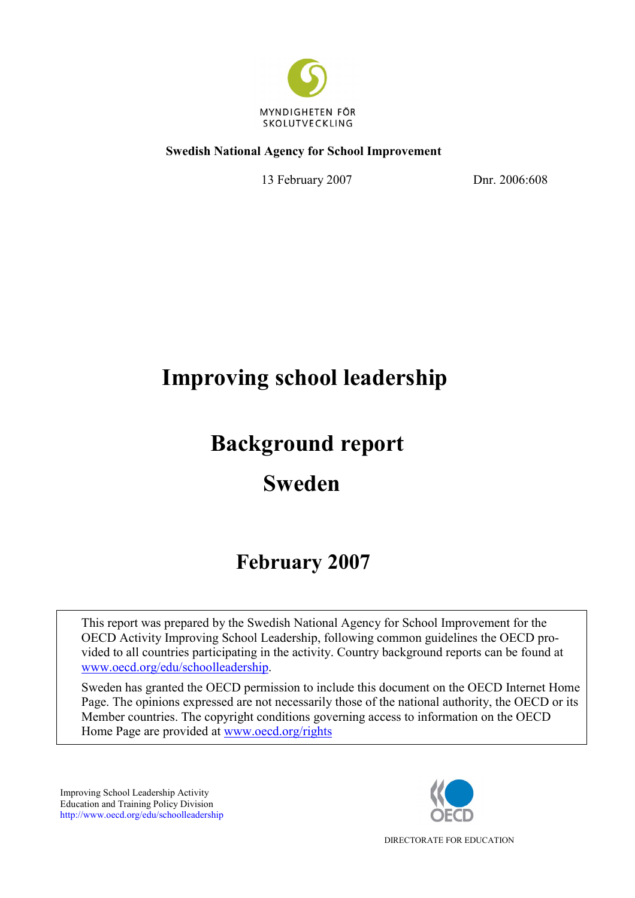

## **Swedish National Agency for School Improvement**

13 February 2007 Dnr. 2006:608

# **Improving school leadership**

# **Background report**

# **Sweden**

# **February 2007**

This report was prepared by the Swedish National Agency for School Improvement for the OECD Activity Improving School Leadership, following common guidelines the OECD provided to all countries participating in the activity. Country background reports can be found at www.oecd.org/edu/schoolleadership.

Sweden has granted the OECD permission to include this document on the OECD Internet Home Page. The opinions expressed are not necessarily those of the national authority, the OECD or its Member countries. The copyright conditions governing access to information on the OECD Home Page are provided at www.oecd.org/rights

Improving School Leadership Activity Education and Training Policy Division http://www.oecd.org/edu/schoolleadership



DIRECTORATE FOR EDUCATION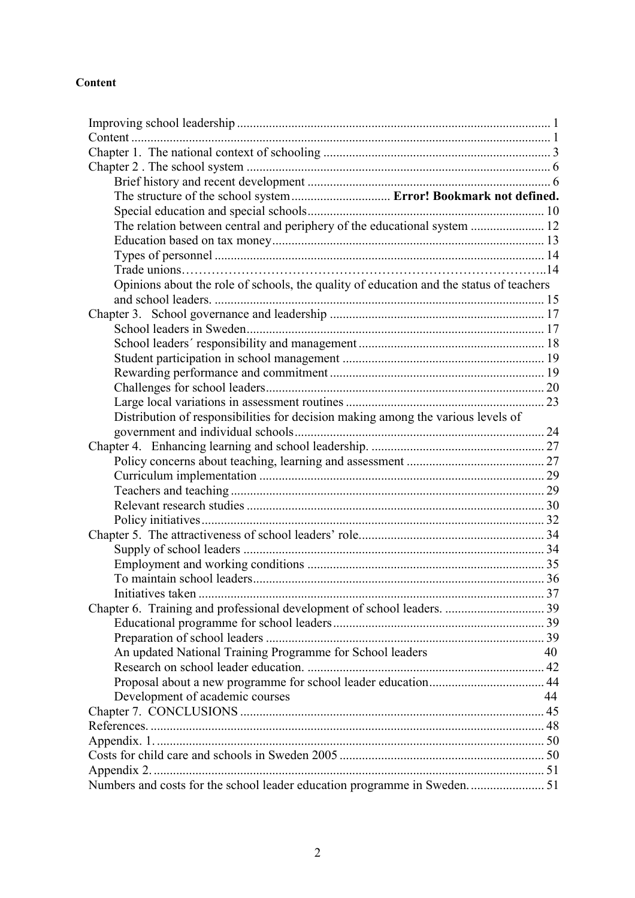## **Content**

| The structure of the school system  Error! Bookmark not defined.                        |    |
|-----------------------------------------------------------------------------------------|----|
|                                                                                         |    |
| The relation between central and periphery of the educational system  12                |    |
|                                                                                         |    |
|                                                                                         |    |
|                                                                                         |    |
| Opinions about the role of schools, the quality of education and the status of teachers |    |
|                                                                                         |    |
|                                                                                         |    |
|                                                                                         |    |
|                                                                                         |    |
|                                                                                         |    |
|                                                                                         |    |
|                                                                                         |    |
|                                                                                         |    |
| Distribution of responsibilities for decision making among the various levels of        |    |
|                                                                                         |    |
|                                                                                         |    |
|                                                                                         |    |
|                                                                                         |    |
|                                                                                         |    |
|                                                                                         |    |
|                                                                                         |    |
|                                                                                         |    |
|                                                                                         |    |
|                                                                                         |    |
|                                                                                         |    |
|                                                                                         |    |
|                                                                                         |    |
|                                                                                         |    |
|                                                                                         |    |
| An updated National Training Programme for School leaders                               | 40 |
|                                                                                         |    |
|                                                                                         |    |
| Development of academic courses                                                         | 44 |
|                                                                                         |    |
|                                                                                         |    |
|                                                                                         |    |
|                                                                                         |    |
|                                                                                         |    |
| Numbers and costs for the school leader education programme in Sweden 51                |    |
|                                                                                         |    |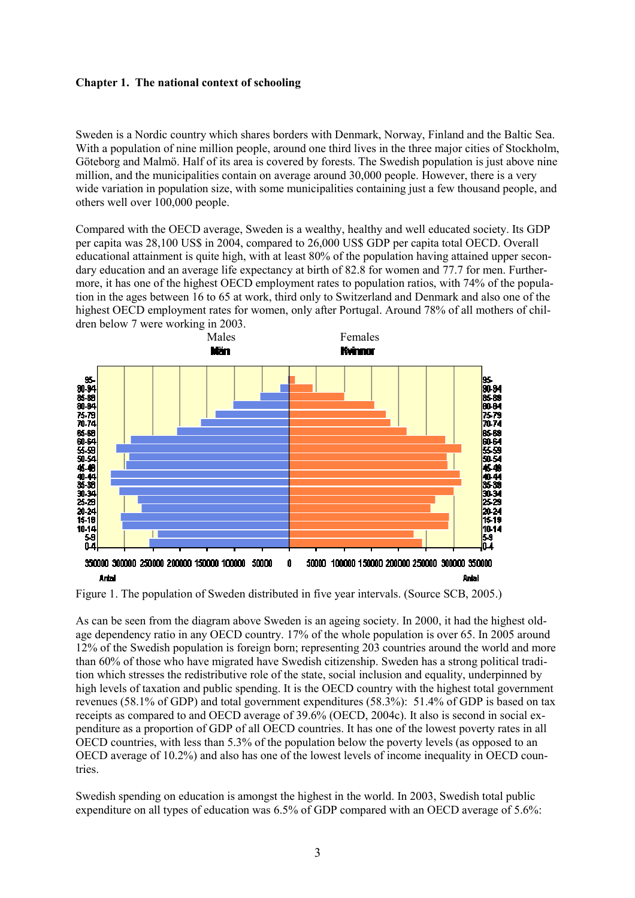#### **Chapter 1. The national context of schooling**

Sweden is a Nordic country which shares borders with Denmark, Norway, Finland and the Baltic Sea. With a population of nine million people, around one third lives in the three major cities of Stockholm, Göteborg and Malmö. Half of its area is covered by forests. The Swedish population is just above nine million, and the municipalities contain on average around 30,000 people. However, there is a very wide variation in population size, with some municipalities containing just a few thousand people, and others well over 100,000 people.

Compared with the OECD average, Sweden is a wealthy, healthy and well educated society. Its GDP per capita was 28,100 US\$ in 2004, compared to 26,000 US\$ GDP per capita total OECD. Overall educational attainment is quite high, with at least 80% of the population having attained upper secondary education and an average life expectancy at birth of 82.8 for women and 77.7 for men. Furthermore, it has one of the highest OECD employment rates to population ratios, with 74% of the population in the ages between 16 to 65 at work, third only to Switzerland and Denmark and also one of the highest OECD employment rates for women, only after Portugal. Around 78% of all mothers of children below 7 were working in 2003.



Figure 1. The population of Sweden distributed in five year intervals. (Source SCB, 2005.)

As can be seen from the diagram above Sweden is an ageing society. In 2000, it had the highest oldage dependency ratio in any OECD country. 17% of the whole population is over 65. In 2005 around 12% of the Swedish population is foreign born; representing 203 countries around the world and more than 60% of those who have migrated have Swedish citizenship. Sweden has a strong political tradition which stresses the redistributive role of the state, social inclusion and equality, underpinned by high levels of taxation and public spending. It is the OECD country with the highest total government revenues (58.1% of GDP) and total government expenditures (58.3%): 51.4% of GDP is based on tax receipts as compared to and OECD average of 39.6% (OECD, 2004c). It also is second in social expenditure as a proportion of GDP of all OECD countries. It has one of the lowest poverty rates in all OECD countries, with less than 5.3% of the population below the poverty levels (as opposed to an OECD average of 10.2%) and also has one of the lowest levels of income inequality in OECD countries.

Swedish spending on education is amongst the highest in the world. In 2003, Swedish total public expenditure on all types of education was 6.5% of GDP compared with an OECD average of 5.6%: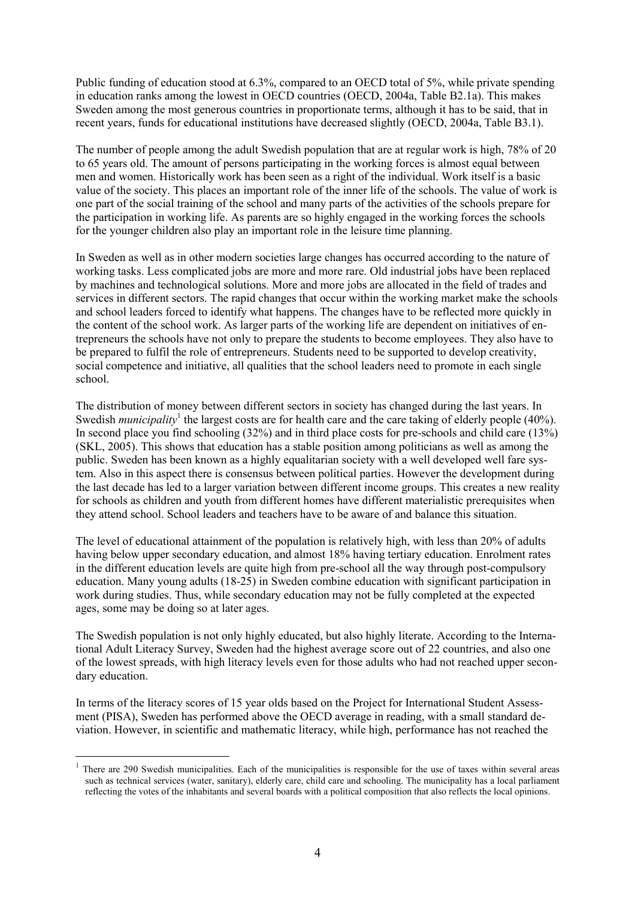Public funding of education stood at 6.3%, compared to an OECD total of 5%, while private spending in education ranks among the lowest in OECD countries (OECD, 2004a, Table B2.1a). This makes Sweden among the most generous countries in proportionate terms, although it has to be said, that in recent years, funds for educational institutions have decreased slightly (OECD, 2004a, Table B3.1).

The number of people among the adult Swedish population that are at regular work is high, 78% of 20 to 65 years old. The amount of persons participating in the working forces is almost equal between men and women. Historically work has been seen as a right of the individual. Work itself is a basic value of the society. This places an important role of the inner life of the schools. The value of work is one part of the social training of the school and many parts of the activities of the schools prepare for the participation in working life. As parents are so highly engaged in the working forces the schools for the younger children also play an important role in the leisure time planning.

In Sweden as well as in other modern societies large changes has occurred according to the nature of working tasks. Less complicated jobs are more and more rare. Old industrial jobs have been replaced by machines and technological solutions. More and more jobs are allocated in the field of trades and services in different sectors. The rapid changes that occur within the working market make the schools and school leaders forced to identify what happens. The changes have to be reflected more quickly in the content of the school work. As larger parts of the working life are dependent on initiatives of entrepreneurs the schools have not only to prepare the students to become employees. They also have to be prepared to fulfil the role of entrepreneurs. Students need to be supported to develop creativity, social competence and initiative, all qualities that the school leaders need to promote in each single school.

The distribution of money between different sectors in society has changed during the last years. In Swedish *municipality*<sup>1</sup> the largest costs are for health care and the care taking of elderly people (40%). In second place you find schooling (32%) and in third place costs for pre-schools and child care (13%) (SKL, 2005). This shows that education has a stable position among politicians as well as among the public. Sweden has been known as a highly equalitarian society with a well developed well fare system. Also in this aspect there is consensus between political parties. However the development during the last decade has led to a larger variation between different income groups. This creates a new reality for schools as children and youth from different homes have different materialistic prerequisites when they attend school. School leaders and teachers have to be aware of and balance this situation.

The level of educational attainment of the population is relatively high, with less than 20% of adults having below upper secondary education, and almost 18% having tertiary education. Enrolment rates in the different education levels are quite high from pre-school all the way through post-compulsory education. Many young adults (18-25) in Sweden combine education with significant participation in work during studies. Thus, while secondary education may not be fully completed at the expected ages, some may be doing so at later ages.

The Swedish population is not only highly educated, but also highly literate. According to the International Adult Literacy Survey, Sweden had the highest average score out of 22 countries, and also one of the lowest spreads, with high literacy levels even for those adults who had not reached upper secondary education.

In terms of the literacy scores of 15 year olds based on the Project for International Student Assessment (PISA), Sweden has performed above the OECD average in reading, with a small standard deviation. However, in scientific and mathematic literacy, while high, performance has not reached the

 $\overline{a}$ 

<sup>1</sup> There are 290 Swedish municipalities. Each of the municipalities is responsible for the use of taxes within several areas such as technical services (water, sanitary), elderly care, child care and schooling. The municipality has a local parliament reflecting the votes of the inhabitants and several boards with a political composition that also reflects the local opinions.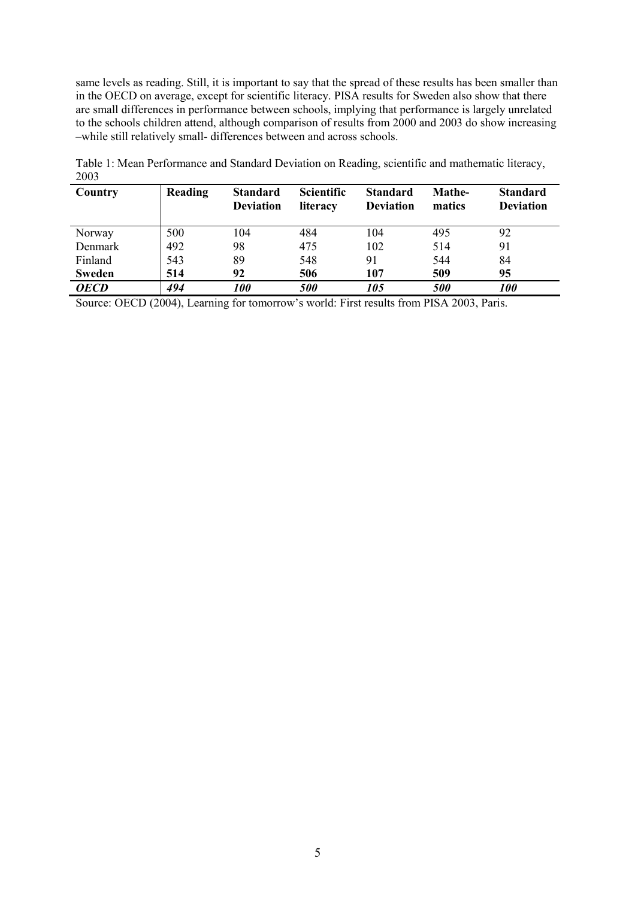same levels as reading. Still, it is important to say that the spread of these results has been smaller than in the OECD on average, except for scientific literacy. PISA results for Sweden also show that there are small differences in performance between schools, implying that performance is largely unrelated to the schools children attend, although comparison of results from 2000 and 2003 do show increasing –while still relatively small- differences between and across schools.

| Country       | Reading | <b>Standard</b><br><b>Deviation</b> | <b>Scientific</b><br>literacy | <b>Standard</b><br><b>Deviation</b> | Mathe-<br>matics  | <b>Standard</b><br><b>Deviation</b> |
|---------------|---------|-------------------------------------|-------------------------------|-------------------------------------|-------------------|-------------------------------------|
| Norway        | 500     | 104                                 | 484                           | 104                                 | 495               | 92                                  |
| Denmark       | 492     | 98                                  | 475                           | 102                                 | 514               | 91                                  |
| Finland       | 543     | 89                                  | 548                           | 91                                  | 544               | 84                                  |
| <b>Sweden</b> | 514     | 92                                  | 506                           | 107                                 | 509               | 95                                  |
| <b>OECD</b>   | 494     | <i>100</i>                          | <i><b>500</b></i>             | 105                                 | <i><b>500</b></i> | <b>100</b>                          |

Table 1: Mean Performance and Standard Deviation on Reading, scientific and mathematic literacy, 2003

Source: OECD (2004), Learning for tomorrow's world: First results from PISA 2003, Paris.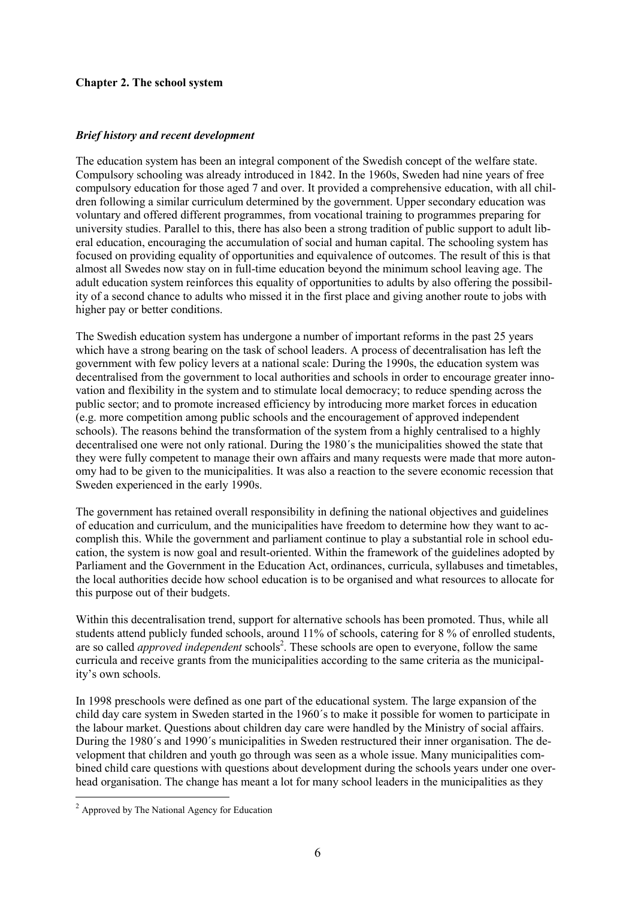### **Chapter 2. The school system**

#### *Brief history and recent development*

The education system has been an integral component of the Swedish concept of the welfare state. Compulsory schooling was already introduced in 1842. In the 1960s, Sweden had nine years of free compulsory education for those aged 7 and over. It provided a comprehensive education, with all children following a similar curriculum determined by the government. Upper secondary education was voluntary and offered different programmes, from vocational training to programmes preparing for university studies. Parallel to this, there has also been a strong tradition of public support to adult liberal education, encouraging the accumulation of social and human capital. The schooling system has focused on providing equality of opportunities and equivalence of outcomes. The result of this is that almost all Swedes now stay on in full-time education beyond the minimum school leaving age. The adult education system reinforces this equality of opportunities to adults by also offering the possibility of a second chance to adults who missed it in the first place and giving another route to jobs with higher pay or better conditions.

The Swedish education system has undergone a number of important reforms in the past 25 years which have a strong bearing on the task of school leaders. A process of decentralisation has left the government with few policy levers at a national scale: During the 1990s, the education system was decentralised from the government to local authorities and schools in order to encourage greater innovation and flexibility in the system and to stimulate local democracy; to reduce spending across the public sector; and to promote increased efficiency by introducing more market forces in education (e.g. more competition among public schools and the encouragement of approved independent schools). The reasons behind the transformation of the system from a highly centralised to a highly decentralised one were not only rational. During the 1980´s the municipalities showed the state that they were fully competent to manage their own affairs and many requests were made that more autonomy had to be given to the municipalities. It was also a reaction to the severe economic recession that Sweden experienced in the early 1990s.

The government has retained overall responsibility in defining the national objectives and guidelines of education and curriculum, and the municipalities have freedom to determine how they want to accomplish this. While the government and parliament continue to play a substantial role in school education, the system is now goal and result-oriented. Within the framework of the guidelines adopted by Parliament and the Government in the Education Act, ordinances, curricula, syllabuses and timetables, the local authorities decide how school education is to be organised and what resources to allocate for this purpose out of their budgets.

Within this decentralisation trend, support for alternative schools has been promoted. Thus, while all students attend publicly funded schools, around 11% of schools, catering for 8 % of enrolled students, are so called *approved independent* schools<sup>2</sup>. These schools are open to everyone, follow the same curricula and receive grants from the municipalities according to the same criteria as the municipality's own schools.

In 1998 preschools were defined as one part of the educational system. The large expansion of the child day care system in Sweden started in the 1960´s to make it possible for women to participate in the labour market. Questions about children day care were handled by the Ministry of social affairs. During the 1980´s and 1990´s municipalities in Sweden restructured their inner organisation. The development that children and youth go through was seen as a whole issue. Many municipalities combined child care questions with questions about development during the schools years under one overhead organisation. The change has meant a lot for many school leaders in the municipalities as they

 $\overline{a}$ 

<sup>2</sup> Approved by The National Agency for Education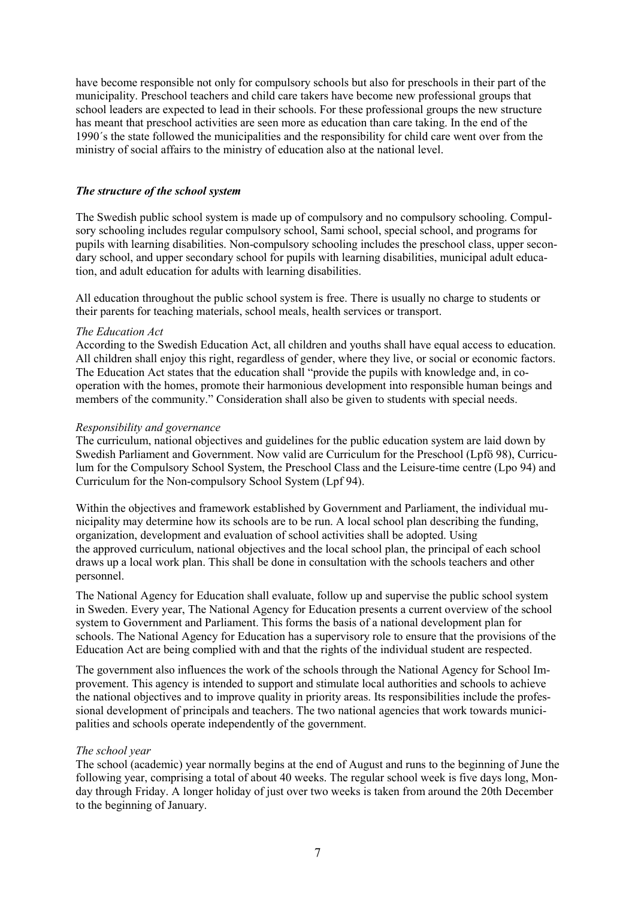have become responsible not only for compulsory schools but also for preschools in their part of the municipality. Preschool teachers and child care takers have become new professional groups that school leaders are expected to lead in their schools. For these professional groups the new structure has meant that preschool activities are seen more as education than care taking. In the end of the 1990´s the state followed the municipalities and the responsibility for child care went over from the ministry of social affairs to the ministry of education also at the national level.

#### *The structure of the school system*

The Swedish public school system is made up of compulsory and no compulsory schooling. Compulsory schooling includes regular compulsory school, Sami school, special school, and programs for pupils with learning disabilities. Non-compulsory schooling includes the preschool class, upper secondary school, and upper secondary school for pupils with learning disabilities, municipal adult education, and adult education for adults with learning disabilities.

All education throughout the public school system is free. There is usually no charge to students or their parents for teaching materials, school meals, health services or transport.

#### *The Education Act*

According to the Swedish Education Act, all children and youths shall have equal access to education. All children shall enjoy this right, regardless of gender, where they live, or social or economic factors. The Education Act states that the education shall "provide the pupils with knowledge and, in cooperation with the homes, promote their harmonious development into responsible human beings and members of the community." Consideration shall also be given to students with special needs.

#### *Responsibility and governance*

The curriculum, national objectives and guidelines for the public education system are laid down by Swedish Parliament and Government. Now valid are Curriculum for the Preschool (Lpfö 98), Curriculum for the Compulsory School System, the Preschool Class and the Leisure-time centre (Lpo 94) and Curriculum for the Non-compulsory School System (Lpf 94).

Within the objectives and framework established by Government and Parliament, the individual municipality may determine how its schools are to be run. A local school plan describing the funding, organization, development and evaluation of school activities shall be adopted. Using the approved curriculum, national objectives and the local school plan, the principal of each school draws up a local work plan. This shall be done in consultation with the schools teachers and other personnel.

The National Agency for Education shall evaluate, follow up and supervise the public school system in Sweden. Every year, The National Agency for Education presents a current overview of the school system to Government and Parliament. This forms the basis of a national development plan for schools. The National Agency for Education has a supervisory role to ensure that the provisions of the Education Act are being complied with and that the rights of the individual student are respected.

The government also influences the work of the schools through the National Agency for School Improvement. This agency is intended to support and stimulate local authorities and schools to achieve the national objectives and to improve quality in priority areas. Its responsibilities include the professional development of principals and teachers. The two national agencies that work towards municipalities and schools operate independently of the government.

#### *The school year*

The school (academic) year normally begins at the end of August and runs to the beginning of June the following year, comprising a total of about 40 weeks. The regular school week is five days long, Monday through Friday. A longer holiday of just over two weeks is taken from around the 20th December to the beginning of January.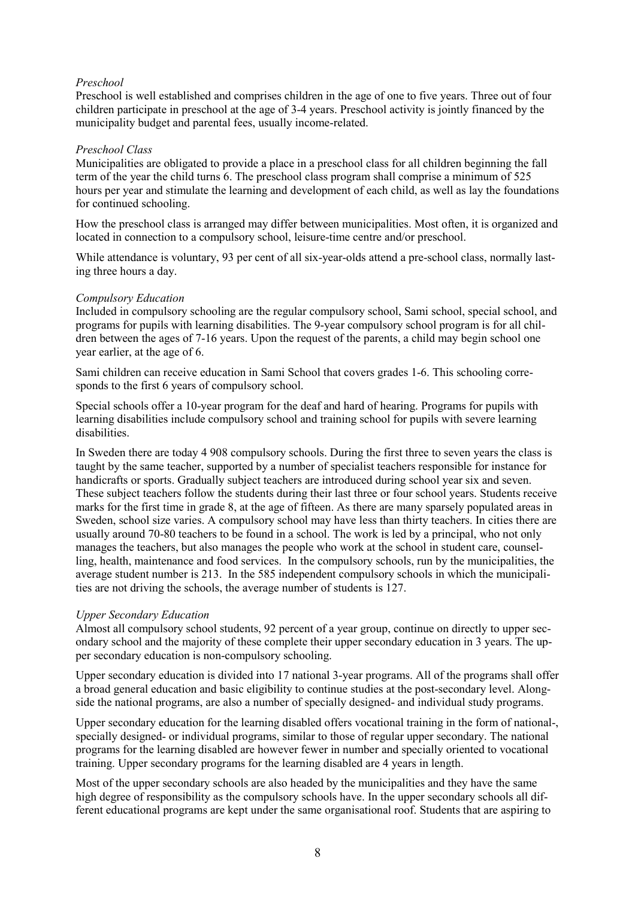### *Preschool*

Preschool is well established and comprises children in the age of one to five years. Three out of four children participate in preschool at the age of 3-4 years. Preschool activity is jointly financed by the municipality budget and parental fees, usually income-related.

#### *Preschool Class*

Municipalities are obligated to provide a place in a preschool class for all children beginning the fall term of the year the child turns 6. The preschool class program shall comprise a minimum of 525 hours per year and stimulate the learning and development of each child, as well as lay the foundations for continued schooling.

How the preschool class is arranged may differ between municipalities. Most often, it is organized and located in connection to a compulsory school, leisure-time centre and/or preschool.

While attendance is voluntary, 93 per cent of all six-year-olds attend a pre-school class, normally lasting three hours a day.

#### *Compulsory Education*

Included in compulsory schooling are the regular compulsory school, Sami school, special school, and programs for pupils with learning disabilities. The 9-year compulsory school program is for all children between the ages of 7-16 years. Upon the request of the parents, a child may begin school one year earlier, at the age of 6.

Sami children can receive education in Sami School that covers grades 1-6. This schooling corresponds to the first 6 years of compulsory school.

Special schools offer a 10-year program for the deaf and hard of hearing. Programs for pupils with learning disabilities include compulsory school and training school for pupils with severe learning disabilities.

In Sweden there are today 4 908 compulsory schools. During the first three to seven years the class is taught by the same teacher, supported by a number of specialist teachers responsible for instance for handicrafts or sports. Gradually subject teachers are introduced during school year six and seven. These subject teachers follow the students during their last three or four school years. Students receive marks for the first time in grade 8, at the age of fifteen. As there are many sparsely populated areas in Sweden, school size varies. A compulsory school may have less than thirty teachers. In cities there are usually around 70-80 teachers to be found in a school. The work is led by a principal, who not only manages the teachers, but also manages the people who work at the school in student care, counselling, health, maintenance and food services. In the compulsory schools, run by the municipalities, the average student number is 213. In the 585 independent compulsory schools in which the municipalities are not driving the schools, the average number of students is 127.

## *Upper Secondary Education*

Almost all compulsory school students, 92 percent of a year group, continue on directly to upper secondary school and the majority of these complete their upper secondary education in 3 years. The upper secondary education is non-compulsory schooling.

Upper secondary education is divided into 17 national 3-year programs. All of the programs shall offer a broad general education and basic eligibility to continue studies at the post-secondary level. Alongside the national programs, are also a number of specially designed- and individual study programs.

Upper secondary education for the learning disabled offers vocational training in the form of national-, specially designed- or individual programs, similar to those of regular upper secondary. The national programs for the learning disabled are however fewer in number and specially oriented to vocational training. Upper secondary programs for the learning disabled are 4 years in length.

Most of the upper secondary schools are also headed by the municipalities and they have the same high degree of responsibility as the compulsory schools have. In the upper secondary schools all different educational programs are kept under the same organisational roof. Students that are aspiring to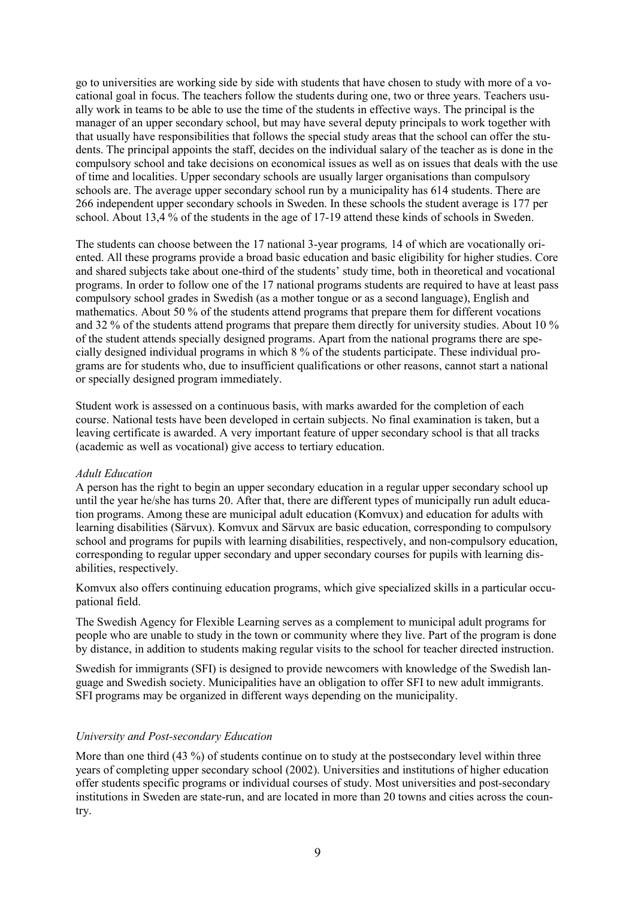go to universities are working side by side with students that have chosen to study with more of a vocational goal in focus. The teachers follow the students during one, two or three years. Teachers usually work in teams to be able to use the time of the students in effective ways. The principal is the manager of an upper secondary school, but may have several deputy principals to work together with that usually have responsibilities that follows the special study areas that the school can offer the students. The principal appoints the staff, decides on the individual salary of the teacher as is done in the compulsory school and take decisions on economical issues as well as on issues that deals with the use of time and localities. Upper secondary schools are usually larger organisations than compulsory schools are. The average upper secondary school run by a municipality has 614 students. There are 266 independent upper secondary schools in Sweden. In these schools the student average is 177 per school. About 13,4 % of the students in the age of 17-19 attend these kinds of schools in Sweden.

The students can choose between the 17 national 3-year programs*,* 14 of which are vocationally oriented. All these programs provide a broad basic education and basic eligibility for higher studies. Core and shared subjects take about one-third of the students' study time, both in theoretical and vocational programs. In order to follow one of the 17 national programs students are required to have at least pass compulsory school grades in Swedish (as a mother tongue or as a second language), English and mathematics. About 50 % of the students attend programs that prepare them for different vocations and 32 % of the students attend programs that prepare them directly for university studies. About 10 % of the student attends specially designed programs. Apart from the national programs there are specially designed individual programs in which 8 % of the students participate. These individual programs are for students who, due to insufficient qualifications or other reasons, cannot start a national or specially designed program immediately.

Student work is assessed on a continuous basis, with marks awarded for the completion of each course. National tests have been developed in certain subjects. No final examination is taken, but a leaving certificate is awarded. A very important feature of upper secondary school is that all tracks (academic as well as vocational) give access to tertiary education.

#### *Adult Education*

A person has the right to begin an upper secondary education in a regular upper secondary school up until the year he/she has turns 20. After that, there are different types of municipally run adult education programs. Among these are municipal adult education (Komvux) and education for adults with learning disabilities (Särvux). Komvux and Särvux are basic education, corresponding to compulsory school and programs for pupils with learning disabilities, respectively, and non-compulsory education, corresponding to regular upper secondary and upper secondary courses for pupils with learning disabilities, respectively.

Komvux also offers continuing education programs, which give specialized skills in a particular occupational field.

The Swedish Agency for Flexible Learning serves as a complement to municipal adult programs for people who are unable to study in the town or community where they live. Part of the program is done by distance, in addition to students making regular visits to the school for teacher directed instruction.

Swedish for immigrants (SFI) is designed to provide newcomers with knowledge of the Swedish language and Swedish society. Municipalities have an obligation to offer SFI to new adult immigrants. SFI programs may be organized in different ways depending on the municipality.

#### *University and Post-secondary Education*

More than one third (43 %) of students continue on to study at the postsecondary level within three years of completing upper secondary school (2002). Universities and institutions of higher education offer students specific programs or individual courses of study. Most universities and post-secondary institutions in Sweden are state-run, and are located in more than 20 towns and cities across the country.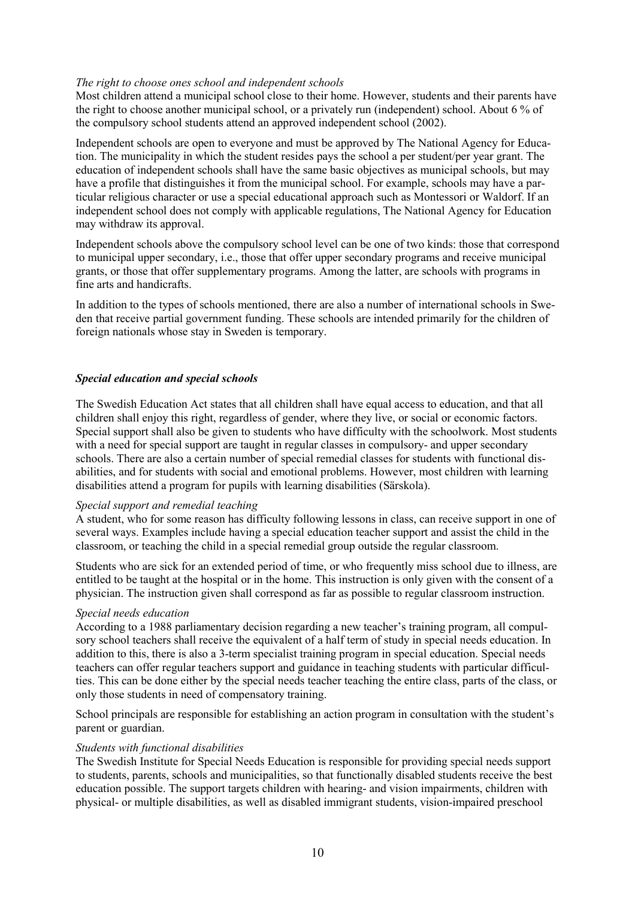#### *The right to choose ones school and independent schools*

Most children attend a municipal school close to their home. However, students and their parents have the right to choose another municipal school, or a privately run (independent) school. About 6 % of the compulsory school students attend an approved independent school (2002).

Independent schools are open to everyone and must be approved by The National Agency for Education. The municipality in which the student resides pays the school a per student/per year grant. The education of independent schools shall have the same basic objectives as municipal schools, but may have a profile that distinguishes it from the municipal school. For example, schools may have a particular religious character or use a special educational approach such as Montessori or Waldorf. If an independent school does not comply with applicable regulations, The National Agency for Education may withdraw its approval.

Independent schools above the compulsory school level can be one of two kinds: those that correspond to municipal upper secondary, i.e., those that offer upper secondary programs and receive municipal grants, or those that offer supplementary programs. Among the latter, are schools with programs in fine arts and handicrafts.

In addition to the types of schools mentioned, there are also a number of international schools in Sweden that receive partial government funding. These schools are intended primarily for the children of foreign nationals whose stay in Sweden is temporary.

#### *Special education and special schools*

The Swedish Education Act states that all children shall have equal access to education, and that all children shall enjoy this right, regardless of gender, where they live, or social or economic factors. Special support shall also be given to students who have difficulty with the schoolwork. Most students with a need for special support are taught in regular classes in compulsory- and upper secondary schools. There are also a certain number of special remedial classes for students with functional disabilities, and for students with social and emotional problems. However, most children with learning disabilities attend a program for pupils with learning disabilities (Särskola).

#### *Special support and remedial teaching*

A student, who for some reason has difficulty following lessons in class, can receive support in one of several ways. Examples include having a special education teacher support and assist the child in the classroom, or teaching the child in a special remedial group outside the regular classroom.

Students who are sick for an extended period of time, or who frequently miss school due to illness, are entitled to be taught at the hospital or in the home. This instruction is only given with the consent of a physician. The instruction given shall correspond as far as possible to regular classroom instruction.

#### *Special needs education*

According to a 1988 parliamentary decision regarding a new teacher's training program, all compulsory school teachers shall receive the equivalent of a half term of study in special needs education. In addition to this, there is also a 3-term specialist training program in special education. Special needs teachers can offer regular teachers support and guidance in teaching students with particular difficulties. This can be done either by the special needs teacher teaching the entire class, parts of the class, or only those students in need of compensatory training.

School principals are responsible for establishing an action program in consultation with the student's parent or guardian.

#### *Students with functional disabilities*

The Swedish Institute for Special Needs Education is responsible for providing special needs support to students, parents, schools and municipalities, so that functionally disabled students receive the best education possible. The support targets children with hearing- and vision impairments, children with physical- or multiple disabilities, as well as disabled immigrant students, vision-impaired preschool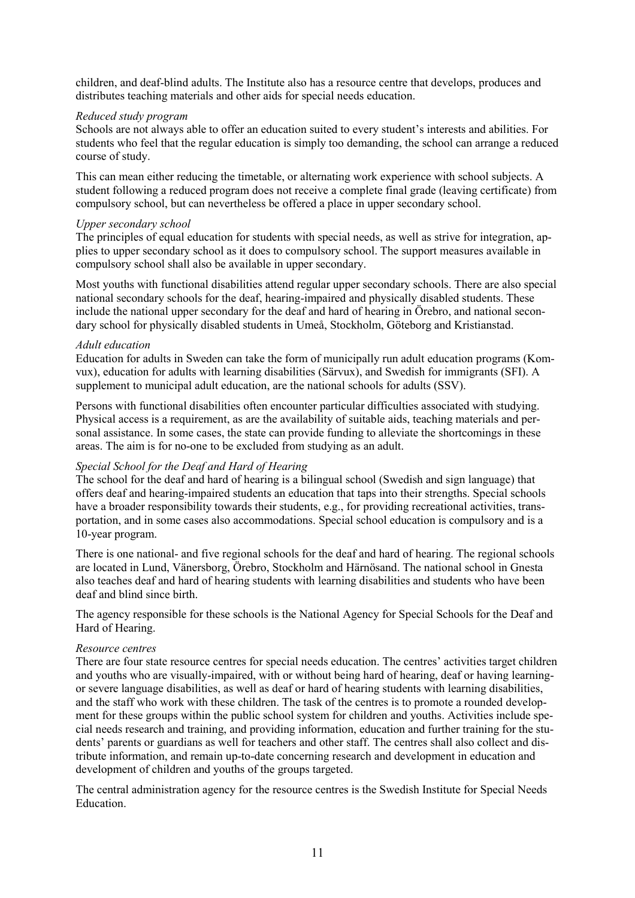children, and deaf-blind adults. The Institute also has a resource centre that develops, produces and distributes teaching materials and other aids for special needs education.

#### *Reduced study program*

Schools are not always able to offer an education suited to every student's interests and abilities. For students who feel that the regular education is simply too demanding, the school can arrange a reduced course of study.

This can mean either reducing the timetable, or alternating work experience with school subjects. A student following a reduced program does not receive a complete final grade (leaving certificate) from compulsory school, but can nevertheless be offered a place in upper secondary school.

#### *Upper secondary school*

The principles of equal education for students with special needs, as well as strive for integration, applies to upper secondary school as it does to compulsory school. The support measures available in compulsory school shall also be available in upper secondary.

Most youths with functional disabilities attend regular upper secondary schools. There are also special national secondary schools for the deaf, hearing-impaired and physically disabled students. These include the national upper secondary for the deaf and hard of hearing in Örebro, and national secondary school for physically disabled students in Umeå, Stockholm, Göteborg and Kristianstad.

#### *Adult education*

Education for adults in Sweden can take the form of municipally run adult education programs (Komvux), education for adults with learning disabilities (Särvux), and Swedish for immigrants (SFI). A supplement to municipal adult education, are the national schools for adults (SSV).

Persons with functional disabilities often encounter particular difficulties associated with studying. Physical access is a requirement, as are the availability of suitable aids, teaching materials and personal assistance. In some cases, the state can provide funding to alleviate the shortcomings in these areas. The aim is for no-one to be excluded from studying as an adult.

## *Special School for the Deaf and Hard of Hearing*

The school for the deaf and hard of hearing is a bilingual school (Swedish and sign language) that offers deaf and hearing-impaired students an education that taps into their strengths. Special schools have a broader responsibility towards their students, e.g., for providing recreational activities, transportation, and in some cases also accommodations. Special school education is compulsory and is a 10-year program.

There is one national- and five regional schools for the deaf and hard of hearing. The regional schools are located in Lund, Vänersborg, Örebro, Stockholm and Härnösand. The national school in Gnesta also teaches deaf and hard of hearing students with learning disabilities and students who have been deaf and blind since birth.

The agency responsible for these schools is the National Agency for Special Schools for the Deaf and Hard of Hearing.

## *Resource centres*

There are four state resource centres for special needs education. The centres' activities target children and youths who are visually-impaired, with or without being hard of hearing, deaf or having learningor severe language disabilities, as well as deaf or hard of hearing students with learning disabilities, and the staff who work with these children. The task of the centres is to promote a rounded development for these groups within the public school system for children and youths. Activities include special needs research and training, and providing information, education and further training for the students' parents or guardians as well for teachers and other staff. The centres shall also collect and distribute information, and remain up-to-date concerning research and development in education and development of children and youths of the groups targeted.

The central administration agency for the resource centres is the Swedish Institute for Special Needs Education.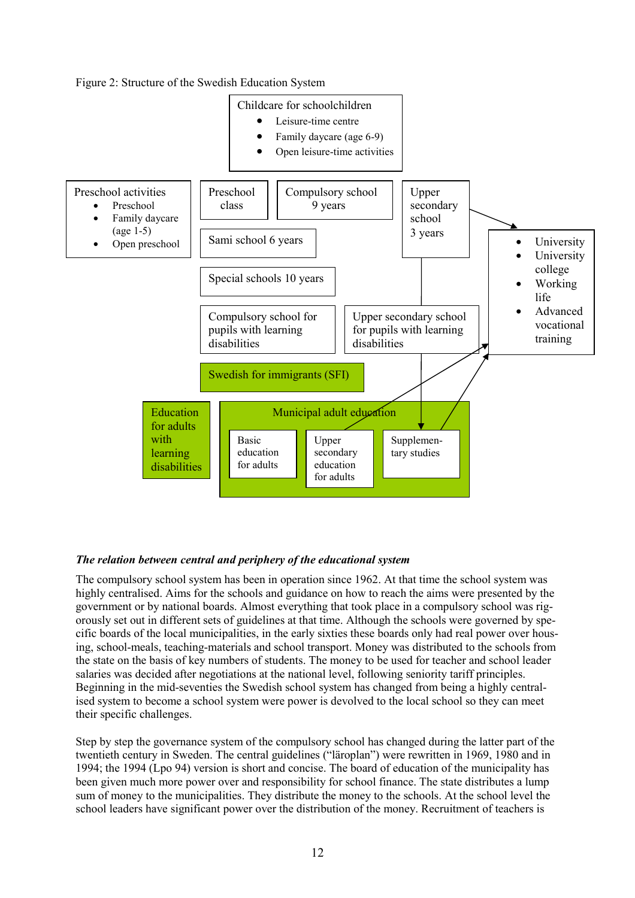Figure 2: Structure of the Swedish Education System



## *The relation between central and periphery of the educational system*

The compulsory school system has been in operation since 1962. At that time the school system was highly centralised. Aims for the schools and guidance on how to reach the aims were presented by the government or by national boards. Almost everything that took place in a compulsory school was rigorously set out in different sets of guidelines at that time. Although the schools were governed by specific boards of the local municipalities, in the early sixties these boards only had real power over housing, school-meals, teaching-materials and school transport. Money was distributed to the schools from the state on the basis of key numbers of students. The money to be used for teacher and school leader salaries was decided after negotiations at the national level, following seniority tariff principles. Beginning in the mid-seventies the Swedish school system has changed from being a highly centralised system to become a school system were power is devolved to the local school so they can meet their specific challenges.

Step by step the governance system of the compulsory school has changed during the latter part of the twentieth century in Sweden. The central guidelines ("läroplan") were rewritten in 1969, 1980 and in 1994; the 1994 (Lpo 94) version is short and concise. The board of education of the municipality has been given much more power over and responsibility for school finance. The state distributes a lump sum of money to the municipalities. They distribute the money to the schools. At the school level the school leaders have significant power over the distribution of the money. Recruitment of teachers is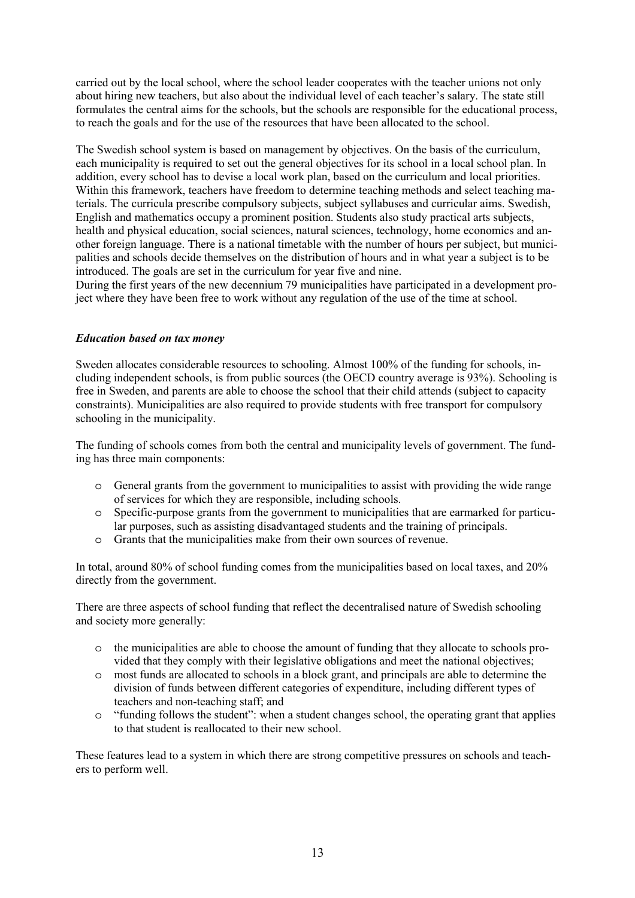carried out by the local school, where the school leader cooperates with the teacher unions not only about hiring new teachers, but also about the individual level of each teacher's salary. The state still formulates the central aims for the schools, but the schools are responsible for the educational process, to reach the goals and for the use of the resources that have been allocated to the school.

The Swedish school system is based on management by objectives. On the basis of the curriculum, each municipality is required to set out the general objectives for its school in a local school plan. In addition, every school has to devise a local work plan, based on the curriculum and local priorities. Within this framework, teachers have freedom to determine teaching methods and select teaching materials. The curricula prescribe compulsory subjects, subject syllabuses and curricular aims. Swedish, English and mathematics occupy a prominent position. Students also study practical arts subjects, health and physical education, social sciences, natural sciences, technology, home economics and another foreign language. There is a national timetable with the number of hours per subject, but municipalities and schools decide themselves on the distribution of hours and in what year a subject is to be introduced. The goals are set in the curriculum for year five and nine.

During the first years of the new decennium 79 municipalities have participated in a development project where they have been free to work without any regulation of the use of the time at school.

#### *Education based on tax money*

Sweden allocates considerable resources to schooling. Almost 100% of the funding for schools, including independent schools, is from public sources (the OECD country average is 93%). Schooling is free in Sweden, and parents are able to choose the school that their child attends (subject to capacity constraints). Municipalities are also required to provide students with free transport for compulsory schooling in the municipality.

The funding of schools comes from both the central and municipality levels of government. The funding has three main components:

- o General grants from the government to municipalities to assist with providing the wide range of services for which they are responsible, including schools.
- o Specific-purpose grants from the government to municipalities that are earmarked for particular purposes, such as assisting disadvantaged students and the training of principals.
- o Grants that the municipalities make from their own sources of revenue.

In total, around 80% of school funding comes from the municipalities based on local taxes, and 20% directly from the government.

There are three aspects of school funding that reflect the decentralised nature of Swedish schooling and society more generally:

- o the municipalities are able to choose the amount of funding that they allocate to schools provided that they comply with their legislative obligations and meet the national objectives;
- o most funds are allocated to schools in a block grant, and principals are able to determine the division of funds between different categories of expenditure, including different types of teachers and non-teaching staff; and
- o "funding follows the student": when a student changes school, the operating grant that applies to that student is reallocated to their new school.

These features lead to a system in which there are strong competitive pressures on schools and teachers to perform well.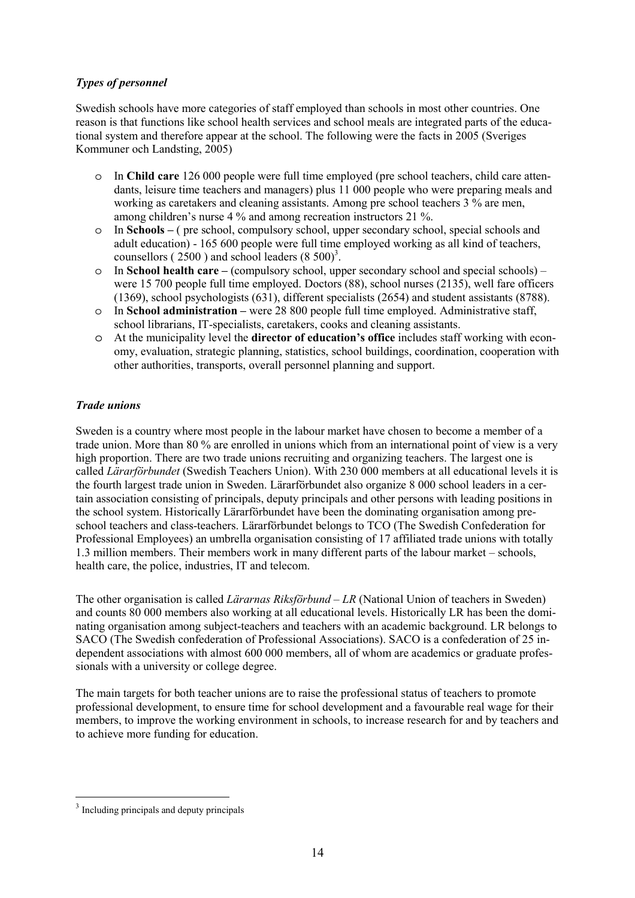## *Types of personnel*

Swedish schools have more categories of staff employed than schools in most other countries. One reason is that functions like school health services and school meals are integrated parts of the educational system and therefore appear at the school. The following were the facts in 2005 (Sveriges Kommuner och Landsting, 2005)

- o In **Child care** 126 000 people were full time employed (pre school teachers, child care attendants, leisure time teachers and managers) plus 11 000 people who were preparing meals and working as caretakers and cleaning assistants. Among pre school teachers 3 % are men, among children's nurse 4 % and among recreation instructors 21 %.
- o In **Schools** ( pre school, compulsory school, upper secondary school, special schools and adult education) - 165 600 people were full time employed working as all kind of teachers, counsellors ( $2500$ ) and school leaders ( $8500$ <sup>3</sup>.
- o In **School health care** (compulsory school, upper secondary school and special schools) were 15 700 people full time employed. Doctors (88), school nurses (2135), well fare officers (1369), school psychologists (631), different specialists (2654) and student assistants (8788).
- o In **School administration** were 28 800 people full time employed. Administrative staff, school librarians, IT-specialists, caretakers, cooks and cleaning assistants.
- o At the municipality level the **director of education's office** includes staff working with economy, evaluation, strategic planning, statistics, school buildings, coordination, cooperation with other authorities, transports, overall personnel planning and support.

## *Trade unions*

Sweden is a country where most people in the labour market have chosen to become a member of a trade union. More than 80 % are enrolled in unions which from an international point of view is a very high proportion. There are two trade unions recruiting and organizing teachers. The largest one is called *Lärarförbundet* (Swedish Teachers Union). With 230 000 members at all educational levels it is the fourth largest trade union in Sweden. Lärarförbundet also organize 8 000 school leaders in a certain association consisting of principals, deputy principals and other persons with leading positions in the school system. Historically Lärarförbundet have been the dominating organisation among preschool teachers and class-teachers. Lärarförbundet belongs to TCO (The Swedish Confederation for Professional Employees) an umbrella organisation consisting of 17 affiliated trade unions with totally 1.3 million members. Their members work in many different parts of the labour market – schools, health care, the police, industries, IT and telecom.

The other organisation is called *Lärarnas Riksförbund – LR* (National Union of teachers in Sweden) and counts 80 000 members also working at all educational levels. Historically LR has been the dominating organisation among subject-teachers and teachers with an academic background. LR belongs to SACO (The Swedish confederation of Professional Associations). SACO is a confederation of 25 independent associations with almost 600 000 members, all of whom are academics or graduate professionals with a university or college degree.

The main targets for both teacher unions are to raise the professional status of teachers to promote professional development, to ensure time for school development and a favourable real wage for their members, to improve the working environment in schools, to increase research for and by teachers and to achieve more funding for education.

 $\overline{a}$ 

<sup>&</sup>lt;sup>3</sup> Including principals and deputy principals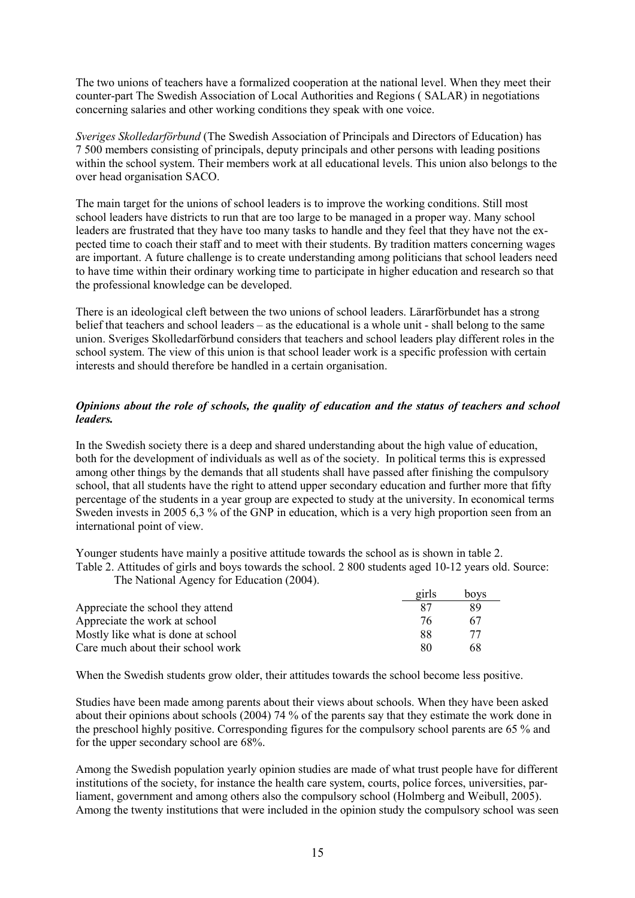The two unions of teachers have a formalized cooperation at the national level. When they meet their counter-part The Swedish Association of Local Authorities and Regions ( SALAR) in negotiations concerning salaries and other working conditions they speak with one voice.

*Sveriges Skolledarförbund* (The Swedish Association of Principals and Directors of Education) has 7 500 members consisting of principals, deputy principals and other persons with leading positions within the school system. Their members work at all educational levels. This union also belongs to the over head organisation SACO.

The main target for the unions of school leaders is to improve the working conditions. Still most school leaders have districts to run that are too large to be managed in a proper way. Many school leaders are frustrated that they have too many tasks to handle and they feel that they have not the expected time to coach their staff and to meet with their students. By tradition matters concerning wages are important. A future challenge is to create understanding among politicians that school leaders need to have time within their ordinary working time to participate in higher education and research so that the professional knowledge can be developed.

There is an ideological cleft between the two unions of school leaders. Lärarförbundet has a strong belief that teachers and school leaders – as the educational is a whole unit - shall belong to the same union. Sveriges Skolledarförbund considers that teachers and school leaders play different roles in the school system. The view of this union is that school leader work is a specific profession with certain interests and should therefore be handled in a certain organisation.

## *Opinions about the role of schools, the quality of education and the status of teachers and school leaders.*

In the Swedish society there is a deep and shared understanding about the high value of education, both for the development of individuals as well as of the society. In political terms this is expressed among other things by the demands that all students shall have passed after finishing the compulsory school, that all students have the right to attend upper secondary education and further more that fifty percentage of the students in a year group are expected to study at the university. In economical terms Sweden invests in 2005 6,3 % of the GNP in education, which is a very high proportion seen from an international point of view.

Younger students have mainly a positive attitude towards the school as is shown in table 2. Table 2. Attitudes of girls and boys towards the school. 2 800 students aged 10-12 years old. Source: The National Agency for Education (2004).

|                                    | girls | boys |
|------------------------------------|-------|------|
| Appreciate the school they attend  | 87    | 89   |
| Appreciate the work at school      | 76.   | 67   |
| Mostly like what is done at school | 88    | 77   |
| Care much about their school work  | 80    | 68   |

When the Swedish students grow older, their attitudes towards the school become less positive.

Studies have been made among parents about their views about schools. When they have been asked about their opinions about schools (2004) 74 % of the parents say that they estimate the work done in the preschool highly positive. Corresponding figures for the compulsory school parents are 65 % and for the upper secondary school are 68%.

Among the Swedish population yearly opinion studies are made of what trust people have for different institutions of the society, for instance the health care system, courts, police forces, universities, parliament, government and among others also the compulsory school (Holmberg and Weibull, 2005). Among the twenty institutions that were included in the opinion study the compulsory school was seen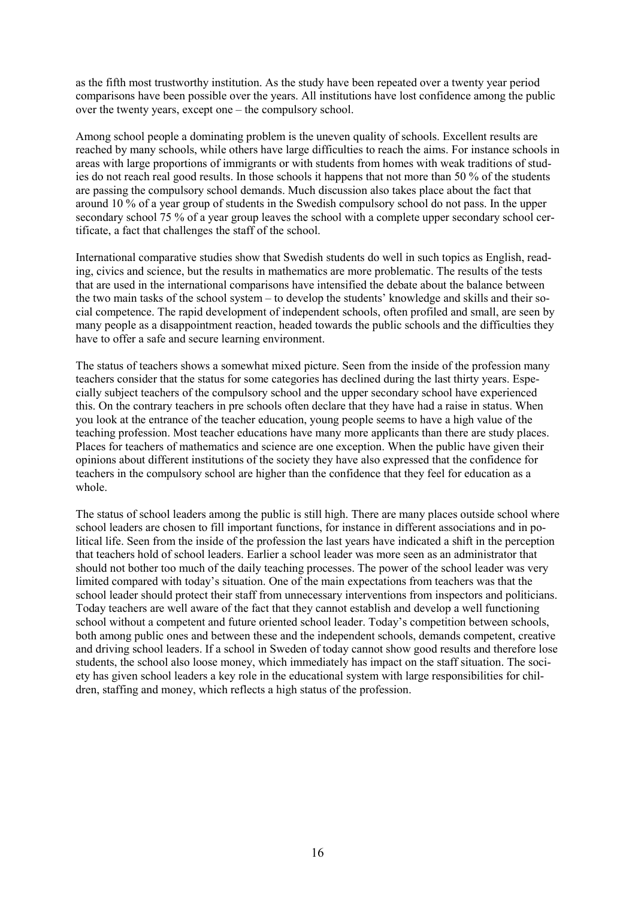as the fifth most trustworthy institution. As the study have been repeated over a twenty year period comparisons have been possible over the years. All institutions have lost confidence among the public over the twenty years, except one – the compulsory school.

Among school people a dominating problem is the uneven quality of schools. Excellent results are reached by many schools, while others have large difficulties to reach the aims. For instance schools in areas with large proportions of immigrants or with students from homes with weak traditions of studies do not reach real good results. In those schools it happens that not more than 50 % of the students are passing the compulsory school demands. Much discussion also takes place about the fact that around 10 % of a year group of students in the Swedish compulsory school do not pass. In the upper secondary school 75 % of a year group leaves the school with a complete upper secondary school certificate, a fact that challenges the staff of the school.

International comparative studies show that Swedish students do well in such topics as English, reading, civics and science, but the results in mathematics are more problematic. The results of the tests that are used in the international comparisons have intensified the debate about the balance between the two main tasks of the school system – to develop the students' knowledge and skills and their social competence. The rapid development of independent schools, often profiled and small, are seen by many people as a disappointment reaction, headed towards the public schools and the difficulties they have to offer a safe and secure learning environment.

The status of teachers shows a somewhat mixed picture. Seen from the inside of the profession many teachers consider that the status for some categories has declined during the last thirty years. Especially subject teachers of the compulsory school and the upper secondary school have experienced this. On the contrary teachers in pre schools often declare that they have had a raise in status. When you look at the entrance of the teacher education, young people seems to have a high value of the teaching profession. Most teacher educations have many more applicants than there are study places. Places for teachers of mathematics and science are one exception. When the public have given their opinions about different institutions of the society they have also expressed that the confidence for teachers in the compulsory school are higher than the confidence that they feel for education as a whole.

The status of school leaders among the public is still high. There are many places outside school where school leaders are chosen to fill important functions, for instance in different associations and in political life. Seen from the inside of the profession the last years have indicated a shift in the perception that teachers hold of school leaders. Earlier a school leader was more seen as an administrator that should not bother too much of the daily teaching processes. The power of the school leader was very limited compared with today's situation. One of the main expectations from teachers was that the school leader should protect their staff from unnecessary interventions from inspectors and politicians. Today teachers are well aware of the fact that they cannot establish and develop a well functioning school without a competent and future oriented school leader. Today's competition between schools, both among public ones and between these and the independent schools, demands competent, creative and driving school leaders. If a school in Sweden of today cannot show good results and therefore lose students, the school also loose money, which immediately has impact on the staff situation. The society has given school leaders a key role in the educational system with large responsibilities for children, staffing and money, which reflects a high status of the profession.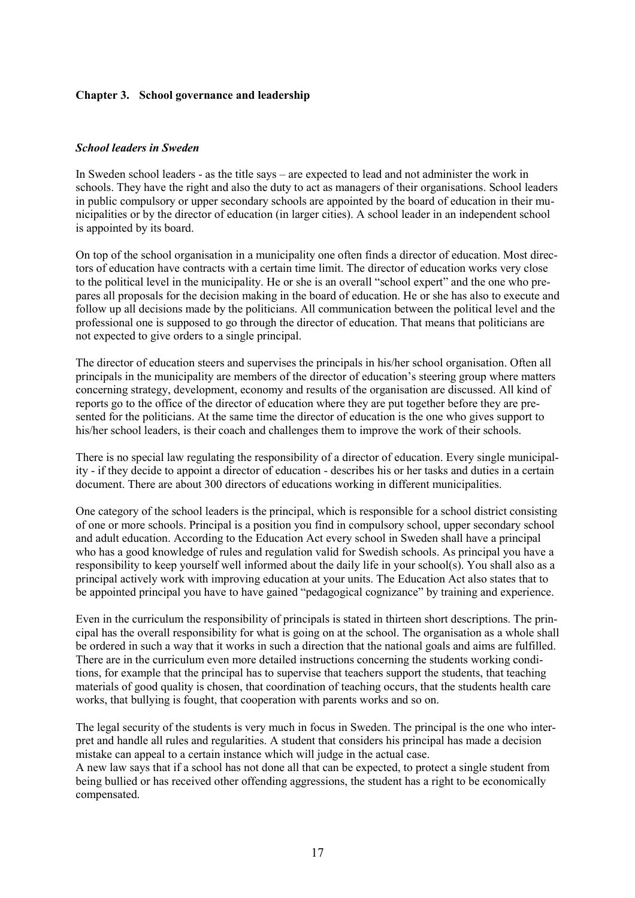#### **Chapter 3. School governance and leadership**

#### *School leaders in Sweden*

In Sweden school leaders - as the title says – are expected to lead and not administer the work in schools. They have the right and also the duty to act as managers of their organisations. School leaders in public compulsory or upper secondary schools are appointed by the board of education in their municipalities or by the director of education (in larger cities). A school leader in an independent school is appointed by its board.

On top of the school organisation in a municipality one often finds a director of education. Most directors of education have contracts with a certain time limit. The director of education works very close to the political level in the municipality. He or she is an overall "school expert" and the one who prepares all proposals for the decision making in the board of education. He or she has also to execute and follow up all decisions made by the politicians. All communication between the political level and the professional one is supposed to go through the director of education. That means that politicians are not expected to give orders to a single principal.

The director of education steers and supervises the principals in his/her school organisation. Often all principals in the municipality are members of the director of education's steering group where matters concerning strategy, development, economy and results of the organisation are discussed. All kind of reports go to the office of the director of education where they are put together before they are presented for the politicians. At the same time the director of education is the one who gives support to his/her school leaders, is their coach and challenges them to improve the work of their schools.

There is no special law regulating the responsibility of a director of education. Every single municipality - if they decide to appoint a director of education - describes his or her tasks and duties in a certain document. There are about 300 directors of educations working in different municipalities.

One category of the school leaders is the principal, which is responsible for a school district consisting of one or more schools. Principal is a position you find in compulsory school, upper secondary school and adult education. According to the Education Act every school in Sweden shall have a principal who has a good knowledge of rules and regulation valid for Swedish schools. As principal you have a responsibility to keep yourself well informed about the daily life in your school(s). You shall also as a principal actively work with improving education at your units. The Education Act also states that to be appointed principal you have to have gained "pedagogical cognizance" by training and experience.

Even in the curriculum the responsibility of principals is stated in thirteen short descriptions. The principal has the overall responsibility for what is going on at the school. The organisation as a whole shall be ordered in such a way that it works in such a direction that the national goals and aims are fulfilled. There are in the curriculum even more detailed instructions concerning the students working conditions, for example that the principal has to supervise that teachers support the students, that teaching materials of good quality is chosen, that coordination of teaching occurs, that the students health care works, that bullying is fought, that cooperation with parents works and so on.

The legal security of the students is very much in focus in Sweden. The principal is the one who interpret and handle all rules and regularities. A student that considers his principal has made a decision mistake can appeal to a certain instance which will judge in the actual case.

A new law says that if a school has not done all that can be expected, to protect a single student from being bullied or has received other offending aggressions, the student has a right to be economically compensated.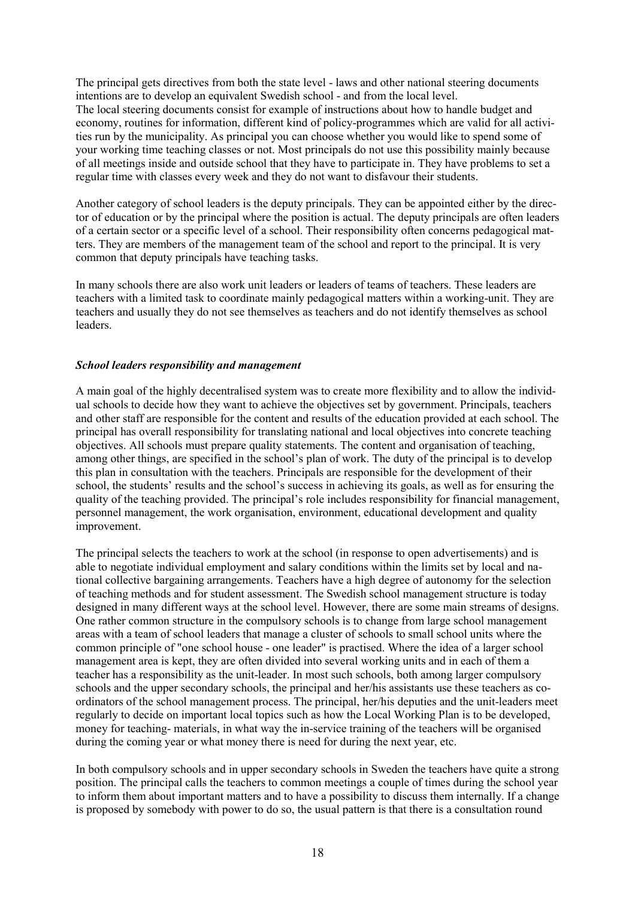The principal gets directives from both the state level - laws and other national steering documents intentions are to develop an equivalent Swedish school - and from the local level. The local steering documents consist for example of instructions about how to handle budget and economy, routines for information, different kind of policy-programmes which are valid for all activities run by the municipality. As principal you can choose whether you would like to spend some of your working time teaching classes or not. Most principals do not use this possibility mainly because of all meetings inside and outside school that they have to participate in. They have problems to set a regular time with classes every week and they do not want to disfavour their students.

Another category of school leaders is the deputy principals. They can be appointed either by the director of education or by the principal where the position is actual. The deputy principals are often leaders of a certain sector or a specific level of a school. Their responsibility often concerns pedagogical matters. They are members of the management team of the school and report to the principal. It is very common that deputy principals have teaching tasks.

In many schools there are also work unit leaders or leaders of teams of teachers. These leaders are teachers with a limited task to coordinate mainly pedagogical matters within a working-unit. They are teachers and usually they do not see themselves as teachers and do not identify themselves as school leaders.

#### *School leaders responsibility and management*

A main goal of the highly decentralised system was to create more flexibility and to allow the individual schools to decide how they want to achieve the objectives set by government. Principals, teachers and other staff are responsible for the content and results of the education provided at each school. The principal has overall responsibility for translating national and local objectives into concrete teaching objectives. All schools must prepare quality statements. The content and organisation of teaching, among other things, are specified in the school's plan of work. The duty of the principal is to develop this plan in consultation with the teachers. Principals are responsible for the development of their school, the students' results and the school's success in achieving its goals, as well as for ensuring the quality of the teaching provided. The principal's role includes responsibility for financial management, personnel management, the work organisation, environment, educational development and quality improvement.

The principal selects the teachers to work at the school (in response to open advertisements) and is able to negotiate individual employment and salary conditions within the limits set by local and national collective bargaining arrangements. Teachers have a high degree of autonomy for the selection of teaching methods and for student assessment. The Swedish school management structure is today designed in many different ways at the school level. However, there are some main streams of designs. One rather common structure in the compulsory schools is to change from large school management areas with a team of school leaders that manage a cluster of schools to small school units where the common principle of "one school house - one leader" is practised. Where the idea of a larger school management area is kept, they are often divided into several working units and in each of them a teacher has a responsibility as the unit-leader. In most such schools, both among larger compulsory schools and the upper secondary schools, the principal and her/his assistants use these teachers as coordinators of the school management process. The principal, her/his deputies and the unit-leaders meet regularly to decide on important local topics such as how the Local Working Plan is to be developed, money for teaching- materials, in what way the in-service training of the teachers will be organised during the coming year or what money there is need for during the next year, etc.

In both compulsory schools and in upper secondary schools in Sweden the teachers have quite a strong position. The principal calls the teachers to common meetings a couple of times during the school year to inform them about important matters and to have a possibility to discuss them internally. If a change is proposed by somebody with power to do so, the usual pattern is that there is a consultation round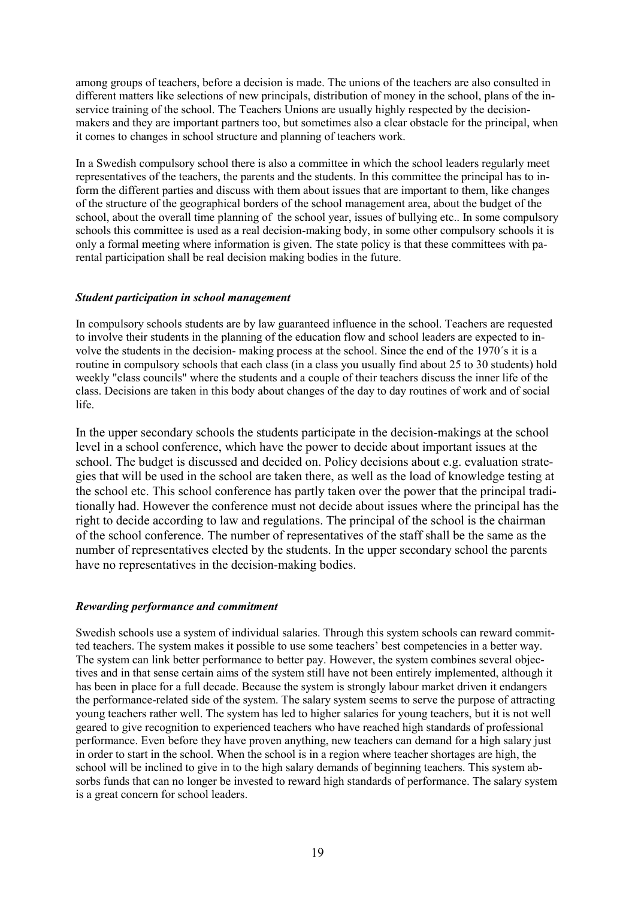among groups of teachers, before a decision is made. The unions of the teachers are also consulted in different matters like selections of new principals, distribution of money in the school, plans of the inservice training of the school. The Teachers Unions are usually highly respected by the decisionmakers and they are important partners too, but sometimes also a clear obstacle for the principal, when it comes to changes in school structure and planning of teachers work.

In a Swedish compulsory school there is also a committee in which the school leaders regularly meet representatives of the teachers, the parents and the students. In this committee the principal has to inform the different parties and discuss with them about issues that are important to them, like changes of the structure of the geographical borders of the school management area, about the budget of the school, about the overall time planning of the school year, issues of bullying etc.. In some compulsory schools this committee is used as a real decision-making body, in some other compulsory schools it is only a formal meeting where information is given. The state policy is that these committees with parental participation shall be real decision making bodies in the future.

#### *Student participation in school management*

In compulsory schools students are by law guaranteed influence in the school. Teachers are requested to involve their students in the planning of the education flow and school leaders are expected to involve the students in the decision- making process at the school. Since the end of the 1970´s it is a routine in compulsory schools that each class (in a class you usually find about 25 to 30 students) hold weekly "class councils" where the students and a couple of their teachers discuss the inner life of the class. Decisions are taken in this body about changes of the day to day routines of work and of social life.

In the upper secondary schools the students participate in the decision-makings at the school level in a school conference, which have the power to decide about important issues at the school. The budget is discussed and decided on. Policy decisions about e.g. evaluation strategies that will be used in the school are taken there, as well as the load of knowledge testing at the school etc. This school conference has partly taken over the power that the principal traditionally had. However the conference must not decide about issues where the principal has the right to decide according to law and regulations. The principal of the school is the chairman of the school conference. The number of representatives of the staff shall be the same as the number of representatives elected by the students. In the upper secondary school the parents have no representatives in the decision-making bodies.

## *Rewarding performance and commitment*

Swedish schools use a system of individual salaries. Through this system schools can reward committed teachers. The system makes it possible to use some teachers' best competencies in a better way. The system can link better performance to better pay. However, the system combines several objectives and in that sense certain aims of the system still have not been entirely implemented, although it has been in place for a full decade. Because the system is strongly labour market driven it endangers the performance-related side of the system. The salary system seems to serve the purpose of attracting young teachers rather well. The system has led to higher salaries for young teachers, but it is not well geared to give recognition to experienced teachers who have reached high standards of professional performance. Even before they have proven anything, new teachers can demand for a high salary just in order to start in the school. When the school is in a region where teacher shortages are high, the school will be inclined to give in to the high salary demands of beginning teachers. This system absorbs funds that can no longer be invested to reward high standards of performance. The salary system is a great concern for school leaders.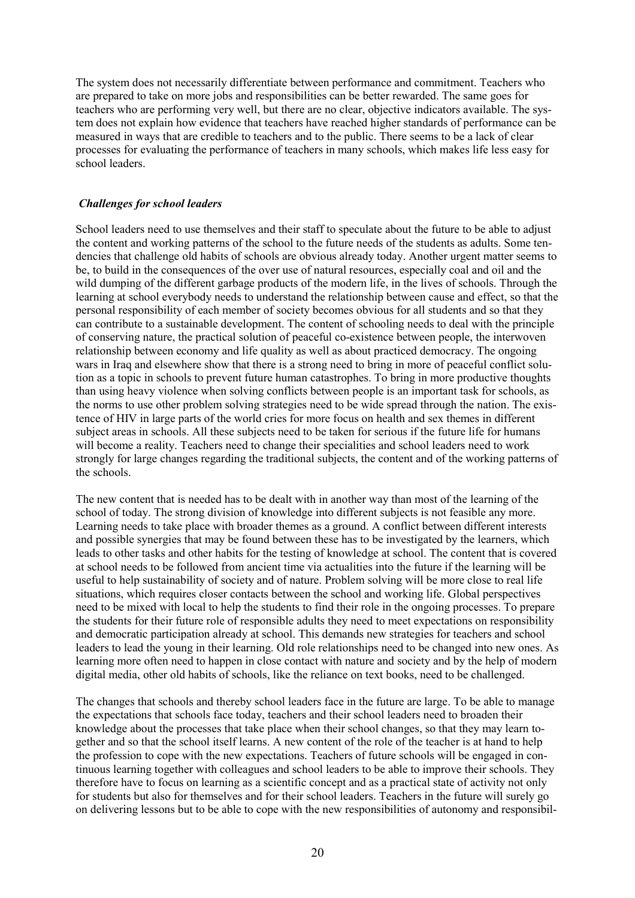The system does not necessarily differentiate between performance and commitment. Teachers who are prepared to take on more jobs and responsibilities can be better rewarded. The same goes for teachers who are performing very well, but there are no clear, objective indicators available. The system does not explain how evidence that teachers have reached higher standards of performance can be measured in ways that are credible to teachers and to the public. There seems to be a lack of clear processes for evaluating the performance of teachers in many schools, which makes life less easy for school leaders.

#### *Challenges for school leaders*

School leaders need to use themselves and their staff to speculate about the future to be able to adjust the content and working patterns of the school to the future needs of the students as adults. Some tendencies that challenge old habits of schools are obvious already today. Another urgent matter seems to be, to build in the consequences of the over use of natural resources, especially coal and oil and the wild dumping of the different garbage products of the modern life, in the lives of schools. Through the learning at school everybody needs to understand the relationship between cause and effect, so that the personal responsibility of each member of society becomes obvious for all students and so that they can contribute to a sustainable development. The content of schooling needs to deal with the principle of conserving nature, the practical solution of peaceful co-existence between people, the interwoven relationship between economy and life quality as well as about practiced democracy. The ongoing wars in Iraq and elsewhere show that there is a strong need to bring in more of peaceful conflict solution as a topic in schools to prevent future human catastrophes. To bring in more productive thoughts than using heavy violence when solving conflicts between people is an important task for schools, as the norms to use other problem solving strategies need to be wide spread through the nation. The existence of HIV in large parts of the world cries for more focus on health and sex themes in different subject areas in schools. All these subjects need to be taken for serious if the future life for humans will become a reality. Teachers need to change their specialities and school leaders need to work strongly for large changes regarding the traditional subjects, the content and of the working patterns of the schools.

The new content that is needed has to be dealt with in another way than most of the learning of the school of today. The strong division of knowledge into different subjects is not feasible any more. Learning needs to take place with broader themes as a ground. A conflict between different interests and possible synergies that may be found between these has to be investigated by the learners, which leads to other tasks and other habits for the testing of knowledge at school. The content that is covered at school needs to be followed from ancient time via actualities into the future if the learning will be useful to help sustainability of society and of nature. Problem solving will be more close to real life situations, which requires closer contacts between the school and working life. Global perspectives need to be mixed with local to help the students to find their role in the ongoing processes. To prepare the students for their future role of responsible adults they need to meet expectations on responsibility and democratic participation already at school. This demands new strategies for teachers and school leaders to lead the young in their learning. Old role relationships need to be changed into new ones. As learning more often need to happen in close contact with nature and society and by the help of modern digital media, other old habits of schools, like the reliance on text books, need to be challenged.

The changes that schools and thereby school leaders face in the future are large. To be able to manage the expectations that schools face today, teachers and their school leaders need to broaden their knowledge about the processes that take place when their school changes, so that they may learn together and so that the school itself learns. A new content of the role of the teacher is at hand to help the profession to cope with the new expectations. Teachers of future schools will be engaged in continuous learning together with colleagues and school leaders to be able to improve their schools. They therefore have to focus on learning as a scientific concept and as a practical state of activity not only for students but also for themselves and for their school leaders. Teachers in the future will surely go on delivering lessons but to be able to cope with the new responsibilities of autonomy and responsibil-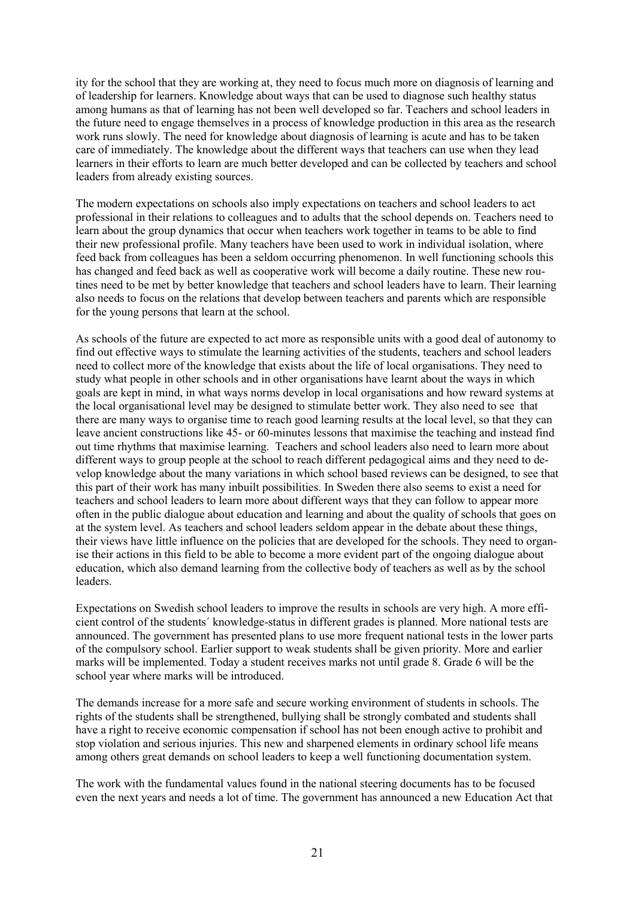ity for the school that they are working at, they need to focus much more on diagnosis of learning and of leadership for learners. Knowledge about ways that can be used to diagnose such healthy status among humans as that of learning has not been well developed so far. Teachers and school leaders in the future need to engage themselves in a process of knowledge production in this area as the research work runs slowly. The need for knowledge about diagnosis of learning is acute and has to be taken care of immediately. The knowledge about the different ways that teachers can use when they lead learners in their efforts to learn are much better developed and can be collected by teachers and school leaders from already existing sources.

The modern expectations on schools also imply expectations on teachers and school leaders to act professional in their relations to colleagues and to adults that the school depends on. Teachers need to learn about the group dynamics that occur when teachers work together in teams to be able to find their new professional profile. Many teachers have been used to work in individual isolation, where feed back from colleagues has been a seldom occurring phenomenon. In well functioning schools this has changed and feed back as well as cooperative work will become a daily routine. These new routines need to be met by better knowledge that teachers and school leaders have to learn. Their learning also needs to focus on the relations that develop between teachers and parents which are responsible for the young persons that learn at the school.

As schools of the future are expected to act more as responsible units with a good deal of autonomy to find out effective ways to stimulate the learning activities of the students, teachers and school leaders need to collect more of the knowledge that exists about the life of local organisations. They need to study what people in other schools and in other organisations have learnt about the ways in which goals are kept in mind, in what ways norms develop in local organisations and how reward systems at the local organisational level may be designed to stimulate better work. They also need to see that there are many ways to organise time to reach good learning results at the local level, so that they can leave ancient constructions like 45- or 60-minutes lessons that maximise the teaching and instead find out time rhythms that maximise learning. Teachers and school leaders also need to learn more about different ways to group people at the school to reach different pedagogical aims and they need to develop knowledge about the many variations in which school based reviews can be designed, to see that this part of their work has many inbuilt possibilities. In Sweden there also seems to exist a need for teachers and school leaders to learn more about different ways that they can follow to appear more often in the public dialogue about education and learning and about the quality of schools that goes on at the system level. As teachers and school leaders seldom appear in the debate about these things, their views have little influence on the policies that are developed for the schools. They need to organise their actions in this field to be able to become a more evident part of the ongoing dialogue about education, which also demand learning from the collective body of teachers as well as by the school leaders.

Expectations on Swedish school leaders to improve the results in schools are very high. A more efficient control of the students´ knowledge-status in different grades is planned. More national tests are announced. The government has presented plans to use more frequent national tests in the lower parts of the compulsory school. Earlier support to weak students shall be given priority. More and earlier marks will be implemented. Today a student receives marks not until grade 8. Grade 6 will be the school year where marks will be introduced.

The demands increase for a more safe and secure working environment of students in schools. The rights of the students shall be strengthened, bullying shall be strongly combated and students shall have a right to receive economic compensation if school has not been enough active to prohibit and stop violation and serious injuries. This new and sharpened elements in ordinary school life means among others great demands on school leaders to keep a well functioning documentation system.

The work with the fundamental values found in the national steering documents has to be focused even the next years and needs a lot of time. The government has announced a new Education Act that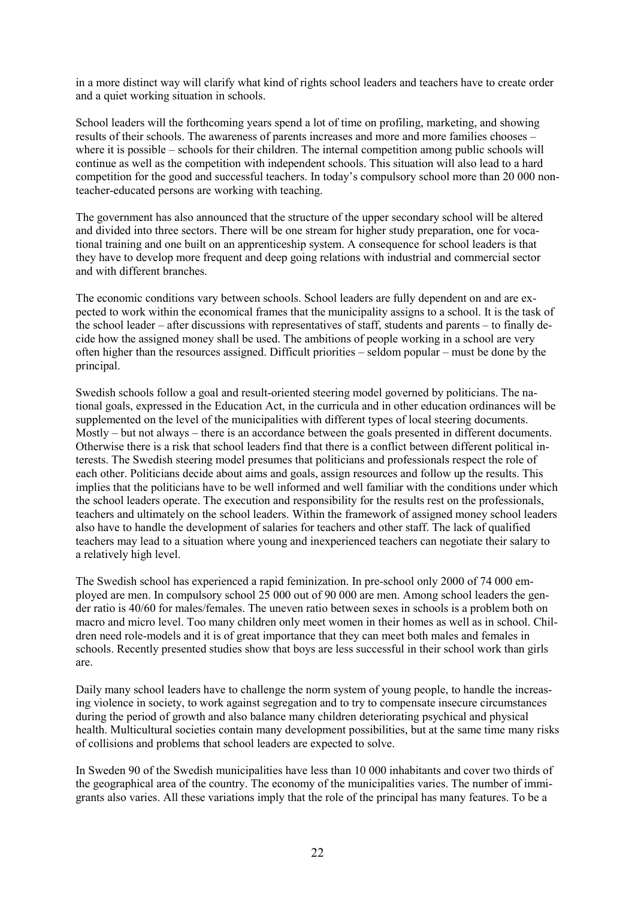in a more distinct way will clarify what kind of rights school leaders and teachers have to create order and a quiet working situation in schools.

School leaders will the forthcoming years spend a lot of time on profiling, marketing, and showing results of their schools. The awareness of parents increases and more and more families chooses – where it is possible – schools for their children. The internal competition among public schools will continue as well as the competition with independent schools. This situation will also lead to a hard competition for the good and successful teachers. In today's compulsory school more than 20 000 nonteacher-educated persons are working with teaching.

The government has also announced that the structure of the upper secondary school will be altered and divided into three sectors. There will be one stream for higher study preparation, one for vocational training and one built on an apprenticeship system. A consequence for school leaders is that they have to develop more frequent and deep going relations with industrial and commercial sector and with different branches.

The economic conditions vary between schools. School leaders are fully dependent on and are expected to work within the economical frames that the municipality assigns to a school. It is the task of the school leader – after discussions with representatives of staff, students and parents – to finally decide how the assigned money shall be used. The ambitions of people working in a school are very often higher than the resources assigned. Difficult priorities – seldom popular – must be done by the principal.

Swedish schools follow a goal and result-oriented steering model governed by politicians. The national goals, expressed in the Education Act, in the curricula and in other education ordinances will be supplemented on the level of the municipalities with different types of local steering documents. Mostly – but not always – there is an accordance between the goals presented in different documents. Otherwise there is a risk that school leaders find that there is a conflict between different political interests. The Swedish steering model presumes that politicians and professionals respect the role of each other. Politicians decide about aims and goals, assign resources and follow up the results. This implies that the politicians have to be well informed and well familiar with the conditions under which the school leaders operate. The execution and responsibility for the results rest on the professionals, teachers and ultimately on the school leaders. Within the framework of assigned money school leaders also have to handle the development of salaries for teachers and other staff. The lack of qualified teachers may lead to a situation where young and inexperienced teachers can negotiate their salary to a relatively high level.

The Swedish school has experienced a rapid feminization. In pre-school only 2000 of 74 000 employed are men. In compulsory school 25 000 out of 90 000 are men. Among school leaders the gender ratio is 40/60 for males/females. The uneven ratio between sexes in schools is a problem both on macro and micro level. Too many children only meet women in their homes as well as in school. Children need role-models and it is of great importance that they can meet both males and females in schools. Recently presented studies show that boys are less successful in their school work than girls are.

Daily many school leaders have to challenge the norm system of young people, to handle the increasing violence in society, to work against segregation and to try to compensate insecure circumstances during the period of growth and also balance many children deteriorating psychical and physical health. Multicultural societies contain many development possibilities, but at the same time many risks of collisions and problems that school leaders are expected to solve.

In Sweden 90 of the Swedish municipalities have less than 10 000 inhabitants and cover two thirds of the geographical area of the country. The economy of the municipalities varies. The number of immigrants also varies. All these variations imply that the role of the principal has many features. To be a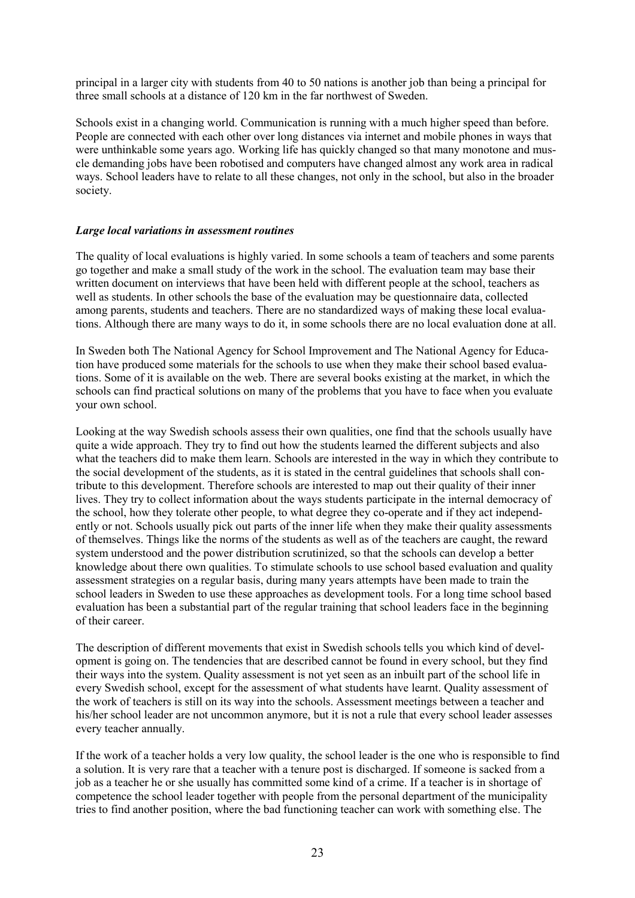principal in a larger city with students from 40 to 50 nations is another job than being a principal for three small schools at a distance of 120 km in the far northwest of Sweden.

Schools exist in a changing world. Communication is running with a much higher speed than before. People are connected with each other over long distances via internet and mobile phones in ways that were unthinkable some years ago. Working life has quickly changed so that many monotone and muscle demanding jobs have been robotised and computers have changed almost any work area in radical ways. School leaders have to relate to all these changes, not only in the school, but also in the broader society.

#### *Large local variations in assessment routines*

The quality of local evaluations is highly varied. In some schools a team of teachers and some parents go together and make a small study of the work in the school. The evaluation team may base their written document on interviews that have been held with different people at the school, teachers as well as students. In other schools the base of the evaluation may be questionnaire data, collected among parents, students and teachers. There are no standardized ways of making these local evaluations. Although there are many ways to do it, in some schools there are no local evaluation done at all.

In Sweden both The National Agency for School Improvement and The National Agency for Education have produced some materials for the schools to use when they make their school based evaluations. Some of it is available on the web. There are several books existing at the market, in which the schools can find practical solutions on many of the problems that you have to face when you evaluate your own school.

Looking at the way Swedish schools assess their own qualities, one find that the schools usually have quite a wide approach. They try to find out how the students learned the different subjects and also what the teachers did to make them learn. Schools are interested in the way in which they contribute to the social development of the students, as it is stated in the central guidelines that schools shall contribute to this development. Therefore schools are interested to map out their quality of their inner lives. They try to collect information about the ways students participate in the internal democracy of the school, how they tolerate other people, to what degree they co-operate and if they act independently or not. Schools usually pick out parts of the inner life when they make their quality assessments of themselves. Things like the norms of the students as well as of the teachers are caught, the reward system understood and the power distribution scrutinized, so that the schools can develop a better knowledge about there own qualities. To stimulate schools to use school based evaluation and quality assessment strategies on a regular basis, during many years attempts have been made to train the school leaders in Sweden to use these approaches as development tools. For a long time school based evaluation has been a substantial part of the regular training that school leaders face in the beginning of their career.

The description of different movements that exist in Swedish schools tells you which kind of development is going on. The tendencies that are described cannot be found in every school, but they find their ways into the system. Quality assessment is not yet seen as an inbuilt part of the school life in every Swedish school, except for the assessment of what students have learnt. Quality assessment of the work of teachers is still on its way into the schools. Assessment meetings between a teacher and his/her school leader are not uncommon anymore, but it is not a rule that every school leader assesses every teacher annually.

If the work of a teacher holds a very low quality, the school leader is the one who is responsible to find a solution. It is very rare that a teacher with a tenure post is discharged. If someone is sacked from a job as a teacher he or she usually has committed some kind of a crime. If a teacher is in shortage of competence the school leader together with people from the personal department of the municipality tries to find another position, where the bad functioning teacher can work with something else. The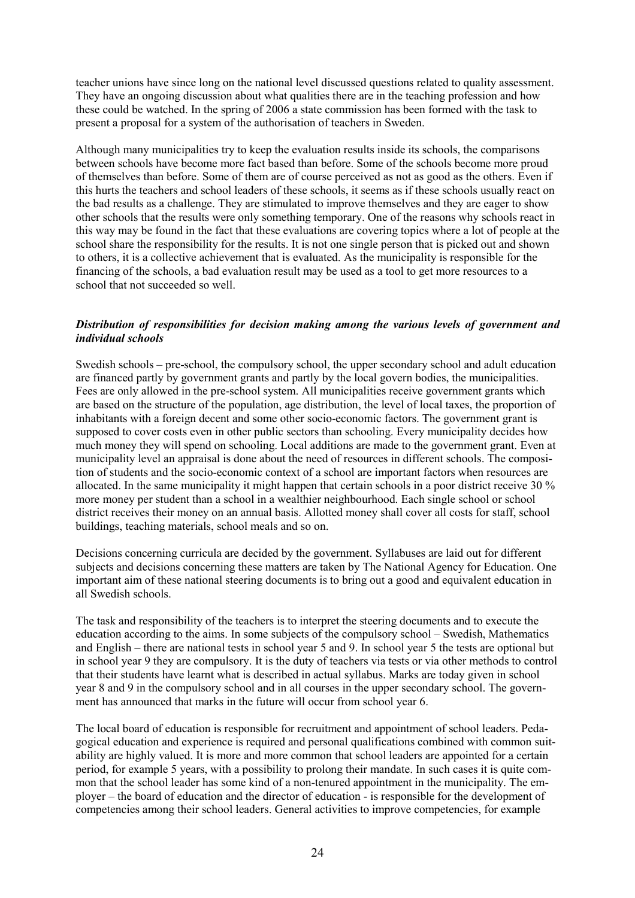teacher unions have since long on the national level discussed questions related to quality assessment. They have an ongoing discussion about what qualities there are in the teaching profession and how these could be watched. In the spring of 2006 a state commission has been formed with the task to present a proposal for a system of the authorisation of teachers in Sweden.

Although many municipalities try to keep the evaluation results inside its schools, the comparisons between schools have become more fact based than before. Some of the schools become more proud of themselves than before. Some of them are of course perceived as not as good as the others. Even if this hurts the teachers and school leaders of these schools, it seems as if these schools usually react on the bad results as a challenge. They are stimulated to improve themselves and they are eager to show other schools that the results were only something temporary. One of the reasons why schools react in this way may be found in the fact that these evaluations are covering topics where a lot of people at the school share the responsibility for the results. It is not one single person that is picked out and shown to others, it is a collective achievement that is evaluated. As the municipality is responsible for the financing of the schools, a bad evaluation result may be used as a tool to get more resources to a school that not succeeded so well.

#### *Distribution of responsibilities for decision making among the various levels of government and individual schools*

Swedish schools – pre-school, the compulsory school, the upper secondary school and adult education are financed partly by government grants and partly by the local govern bodies, the municipalities. Fees are only allowed in the pre-school system. All municipalities receive government grants which are based on the structure of the population, age distribution, the level of local taxes, the proportion of inhabitants with a foreign decent and some other socio-economic factors. The government grant is supposed to cover costs even in other public sectors than schooling. Every municipality decides how much money they will spend on schooling. Local additions are made to the government grant. Even at municipality level an appraisal is done about the need of resources in different schools. The composition of students and the socio-economic context of a school are important factors when resources are allocated. In the same municipality it might happen that certain schools in a poor district receive 30 % more money per student than a school in a wealthier neighbourhood. Each single school or school district receives their money on an annual basis. Allotted money shall cover all costs for staff, school buildings, teaching materials, school meals and so on.

Decisions concerning curricula are decided by the government. Syllabuses are laid out for different subjects and decisions concerning these matters are taken by The National Agency for Education. One important aim of these national steering documents is to bring out a good and equivalent education in all Swedish schools.

The task and responsibility of the teachers is to interpret the steering documents and to execute the education according to the aims. In some subjects of the compulsory school – Swedish, Mathematics and English – there are national tests in school year 5 and 9. In school year 5 the tests are optional but in school year 9 they are compulsory. It is the duty of teachers via tests or via other methods to control that their students have learnt what is described in actual syllabus. Marks are today given in school year 8 and 9 in the compulsory school and in all courses in the upper secondary school. The government has announced that marks in the future will occur from school year 6.

The local board of education is responsible for recruitment and appointment of school leaders. Pedagogical education and experience is required and personal qualifications combined with common suitability are highly valued. It is more and more common that school leaders are appointed for a certain period, for example 5 years, with a possibility to prolong their mandate. In such cases it is quite common that the school leader has some kind of a non-tenured appointment in the municipality. The employer – the board of education and the director of education - is responsible for the development of competencies among their school leaders. General activities to improve competencies, for example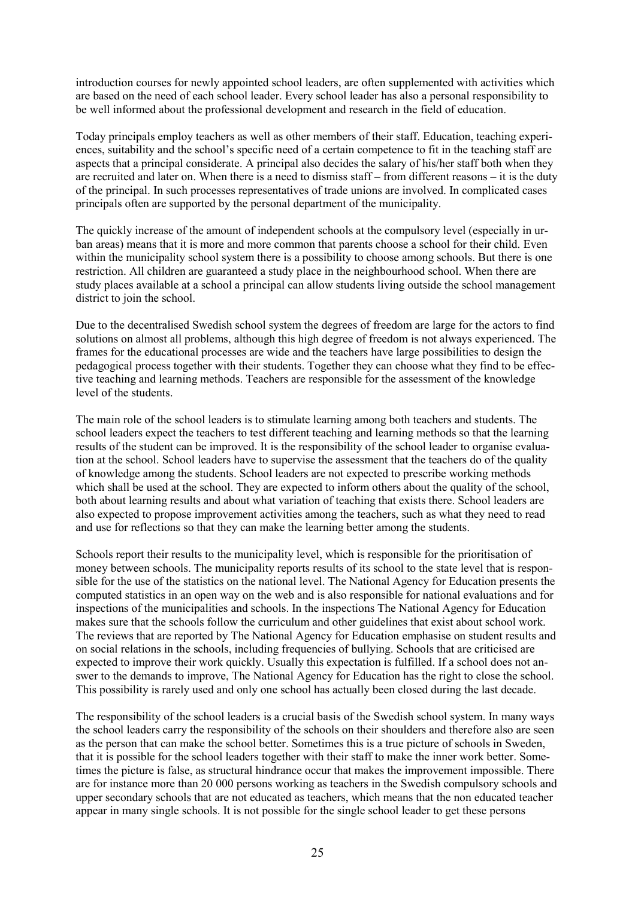introduction courses for newly appointed school leaders, are often supplemented with activities which are based on the need of each school leader. Every school leader has also a personal responsibility to be well informed about the professional development and research in the field of education.

Today principals employ teachers as well as other members of their staff. Education, teaching experiences, suitability and the school's specific need of a certain competence to fit in the teaching staff are aspects that a principal considerate. A principal also decides the salary of his/her staff both when they are recruited and later on. When there is a need to dismiss staff – from different reasons – it is the duty of the principal. In such processes representatives of trade unions are involved. In complicated cases principals often are supported by the personal department of the municipality.

The quickly increase of the amount of independent schools at the compulsory level (especially in urban areas) means that it is more and more common that parents choose a school for their child. Even within the municipality school system there is a possibility to choose among schools. But there is one restriction. All children are guaranteed a study place in the neighbourhood school. When there are study places available at a school a principal can allow students living outside the school management district to join the school.

Due to the decentralised Swedish school system the degrees of freedom are large for the actors to find solutions on almost all problems, although this high degree of freedom is not always experienced. The frames for the educational processes are wide and the teachers have large possibilities to design the pedagogical process together with their students. Together they can choose what they find to be effective teaching and learning methods. Teachers are responsible for the assessment of the knowledge level of the students.

The main role of the school leaders is to stimulate learning among both teachers and students. The school leaders expect the teachers to test different teaching and learning methods so that the learning results of the student can be improved. It is the responsibility of the school leader to organise evaluation at the school. School leaders have to supervise the assessment that the teachers do of the quality of knowledge among the students. School leaders are not expected to prescribe working methods which shall be used at the school. They are expected to inform others about the quality of the school, both about learning results and about what variation of teaching that exists there. School leaders are also expected to propose improvement activities among the teachers, such as what they need to read and use for reflections so that they can make the learning better among the students.

Schools report their results to the municipality level, which is responsible for the prioritisation of money between schools. The municipality reports results of its school to the state level that is responsible for the use of the statistics on the national level. The National Agency for Education presents the computed statistics in an open way on the web and is also responsible for national evaluations and for inspections of the municipalities and schools. In the inspections The National Agency for Education makes sure that the schools follow the curriculum and other guidelines that exist about school work. The reviews that are reported by The National Agency for Education emphasise on student results and on social relations in the schools, including frequencies of bullying. Schools that are criticised are expected to improve their work quickly. Usually this expectation is fulfilled. If a school does not answer to the demands to improve, The National Agency for Education has the right to close the school. This possibility is rarely used and only one school has actually been closed during the last decade.

The responsibility of the school leaders is a crucial basis of the Swedish school system. In many ways the school leaders carry the responsibility of the schools on their shoulders and therefore also are seen as the person that can make the school better. Sometimes this is a true picture of schools in Sweden, that it is possible for the school leaders together with their staff to make the inner work better. Sometimes the picture is false, as structural hindrance occur that makes the improvement impossible. There are for instance more than 20 000 persons working as teachers in the Swedish compulsory schools and upper secondary schools that are not educated as teachers, which means that the non educated teacher appear in many single schools. It is not possible for the single school leader to get these persons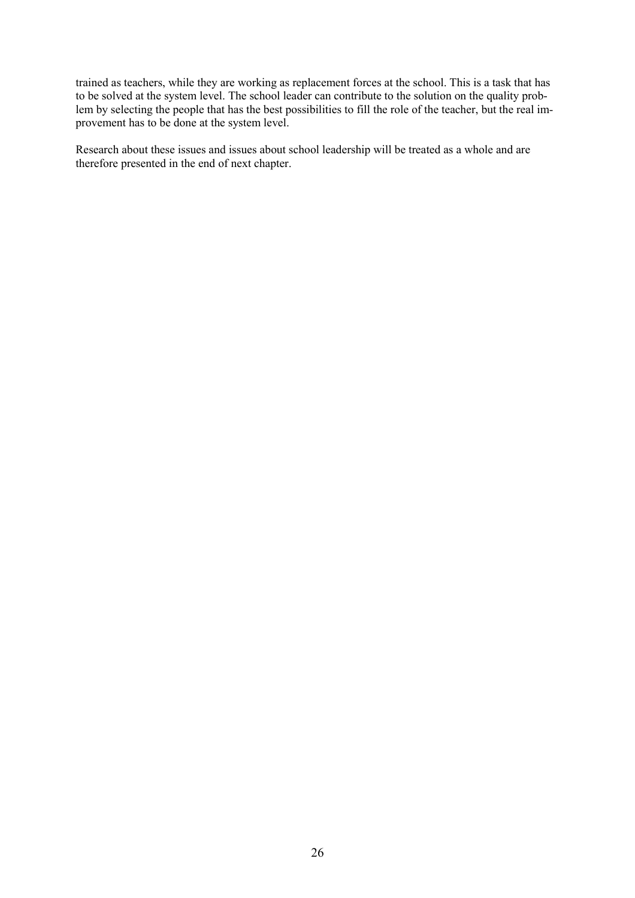trained as teachers, while they are working as replacement forces at the school. This is a task that has to be solved at the system level. The school leader can contribute to the solution on the quality problem by selecting the people that has the best possibilities to fill the role of the teacher, but the real improvement has to be done at the system level.

Research about these issues and issues about school leadership will be treated as a whole and are therefore presented in the end of next chapter.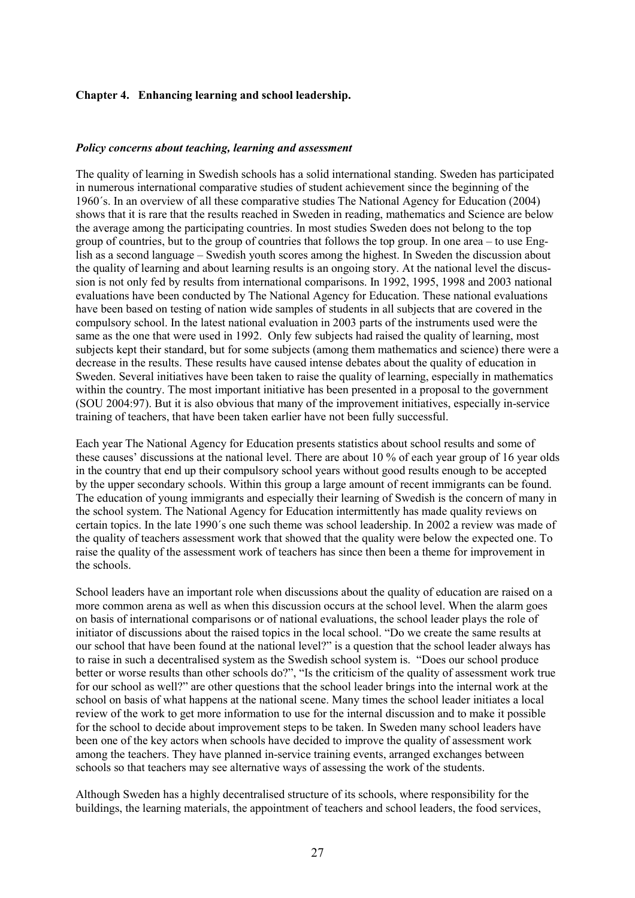#### **Chapter 4. Enhancing learning and school leadership.**

#### *Policy concerns about teaching, learning and assessment*

The quality of learning in Swedish schools has a solid international standing. Sweden has participated in numerous international comparative studies of student achievement since the beginning of the 1960´s. In an overview of all these comparative studies The National Agency for Education (2004) shows that it is rare that the results reached in Sweden in reading, mathematics and Science are below the average among the participating countries. In most studies Sweden does not belong to the top group of countries, but to the group of countries that follows the top group. In one area – to use English as a second language – Swedish youth scores among the highest. In Sweden the discussion about the quality of learning and about learning results is an ongoing story. At the national level the discussion is not only fed by results from international comparisons. In 1992, 1995, 1998 and 2003 national evaluations have been conducted by The National Agency for Education. These national evaluations have been based on testing of nation wide samples of students in all subjects that are covered in the compulsory school. In the latest national evaluation in 2003 parts of the instruments used were the same as the one that were used in 1992. Only few subjects had raised the quality of learning, most subjects kept their standard, but for some subjects (among them mathematics and science) there were a decrease in the results. These results have caused intense debates about the quality of education in Sweden. Several initiatives have been taken to raise the quality of learning, especially in mathematics within the country. The most important initiative has been presented in a proposal to the government (SOU 2004:97). But it is also obvious that many of the improvement initiatives, especially in-service training of teachers, that have been taken earlier have not been fully successful.

Each year The National Agency for Education presents statistics about school results and some of these causes' discussions at the national level. There are about 10 % of each year group of 16 year olds in the country that end up their compulsory school years without good results enough to be accepted by the upper secondary schools. Within this group a large amount of recent immigrants can be found. The education of young immigrants and especially their learning of Swedish is the concern of many in the school system. The National Agency for Education intermittently has made quality reviews on certain topics. In the late 1990´s one such theme was school leadership. In 2002 a review was made of the quality of teachers assessment work that showed that the quality were below the expected one. To raise the quality of the assessment work of teachers has since then been a theme for improvement in the schools.

School leaders have an important role when discussions about the quality of education are raised on a more common arena as well as when this discussion occurs at the school level. When the alarm goes on basis of international comparisons or of national evaluations, the school leader plays the role of initiator of discussions about the raised topics in the local school. "Do we create the same results at our school that have been found at the national level?" is a question that the school leader always has to raise in such a decentralised system as the Swedish school system is. "Does our school produce better or worse results than other schools do?", "Is the criticism of the quality of assessment work true for our school as well?" are other questions that the school leader brings into the internal work at the school on basis of what happens at the national scene. Many times the school leader initiates a local review of the work to get more information to use for the internal discussion and to make it possible for the school to decide about improvement steps to be taken. In Sweden many school leaders have been one of the key actors when schools have decided to improve the quality of assessment work among the teachers. They have planned in-service training events, arranged exchanges between schools so that teachers may see alternative ways of assessing the work of the students.

Although Sweden has a highly decentralised structure of its schools, where responsibility for the buildings, the learning materials, the appointment of teachers and school leaders, the food services,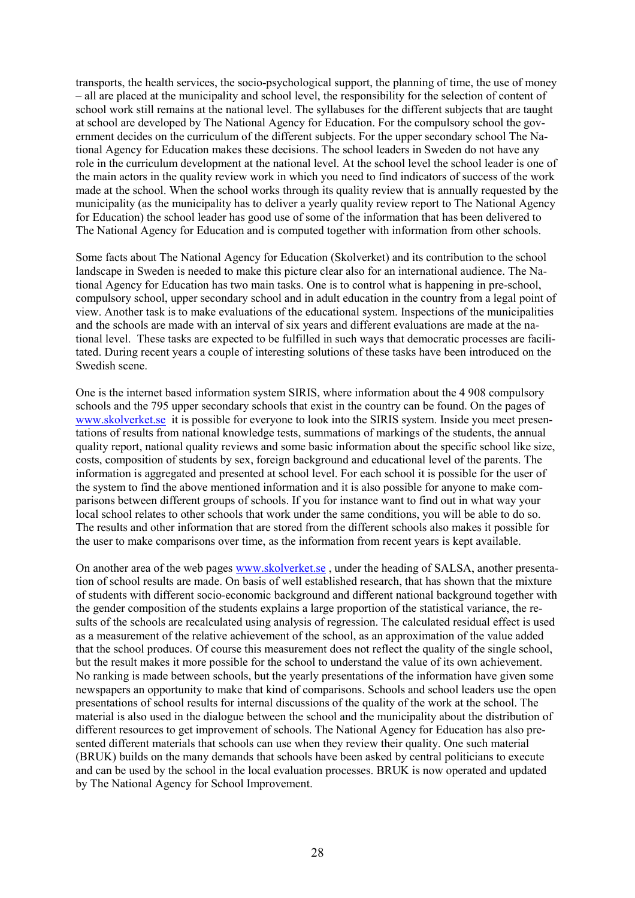transports, the health services, the socio-psychological support, the planning of time, the use of money – all are placed at the municipality and school level, the responsibility for the selection of content of school work still remains at the national level. The syllabuses for the different subjects that are taught at school are developed by The National Agency for Education. For the compulsory school the government decides on the curriculum of the different subjects. For the upper secondary school The National Agency for Education makes these decisions. The school leaders in Sweden do not have any role in the curriculum development at the national level. At the school level the school leader is one of the main actors in the quality review work in which you need to find indicators of success of the work made at the school. When the school works through its quality review that is annually requested by the municipality (as the municipality has to deliver a yearly quality review report to The National Agency for Education) the school leader has good use of some of the information that has been delivered to The National Agency for Education and is computed together with information from other schools.

Some facts about The National Agency for Education (Skolverket) and its contribution to the school landscape in Sweden is needed to make this picture clear also for an international audience. The National Agency for Education has two main tasks. One is to control what is happening in pre-school, compulsory school, upper secondary school and in adult education in the country from a legal point of view. Another task is to make evaluations of the educational system. Inspections of the municipalities and the schools are made with an interval of six years and different evaluations are made at the national level. These tasks are expected to be fulfilled in such ways that democratic processes are facilitated. During recent years a couple of interesting solutions of these tasks have been introduced on the Swedish scene.

One is the internet based information system SIRIS, where information about the 4 908 compulsory schools and the 795 upper secondary schools that exist in the country can be found. On the pages of www.skolverket.se it is possible for everyone to look into the SIRIS system. Inside you meet presentations of results from national knowledge tests, summations of markings of the students, the annual quality report, national quality reviews and some basic information about the specific school like size, costs, composition of students by sex, foreign background and educational level of the parents. The information is aggregated and presented at school level. For each school it is possible for the user of the system to find the above mentioned information and it is also possible for anyone to make comparisons between different groups of schools. If you for instance want to find out in what way your local school relates to other schools that work under the same conditions, you will be able to do so. The results and other information that are stored from the different schools also makes it possible for the user to make comparisons over time, as the information from recent years is kept available.

On another area of the web pages www.skolverket.se , under the heading of SALSA, another presentation of school results are made. On basis of well established research, that has shown that the mixture of students with different socio-economic background and different national background together with the gender composition of the students explains a large proportion of the statistical variance, the results of the schools are recalculated using analysis of regression. The calculated residual effect is used as a measurement of the relative achievement of the school, as an approximation of the value added that the school produces. Of course this measurement does not reflect the quality of the single school, but the result makes it more possible for the school to understand the value of its own achievement. No ranking is made between schools, but the yearly presentations of the information have given some newspapers an opportunity to make that kind of comparisons. Schools and school leaders use the open presentations of school results for internal discussions of the quality of the work at the school. The material is also used in the dialogue between the school and the municipality about the distribution of different resources to get improvement of schools. The National Agency for Education has also presented different materials that schools can use when they review their quality. One such material (BRUK) builds on the many demands that schools have been asked by central politicians to execute and can be used by the school in the local evaluation processes. BRUK is now operated and updated by The National Agency for School Improvement.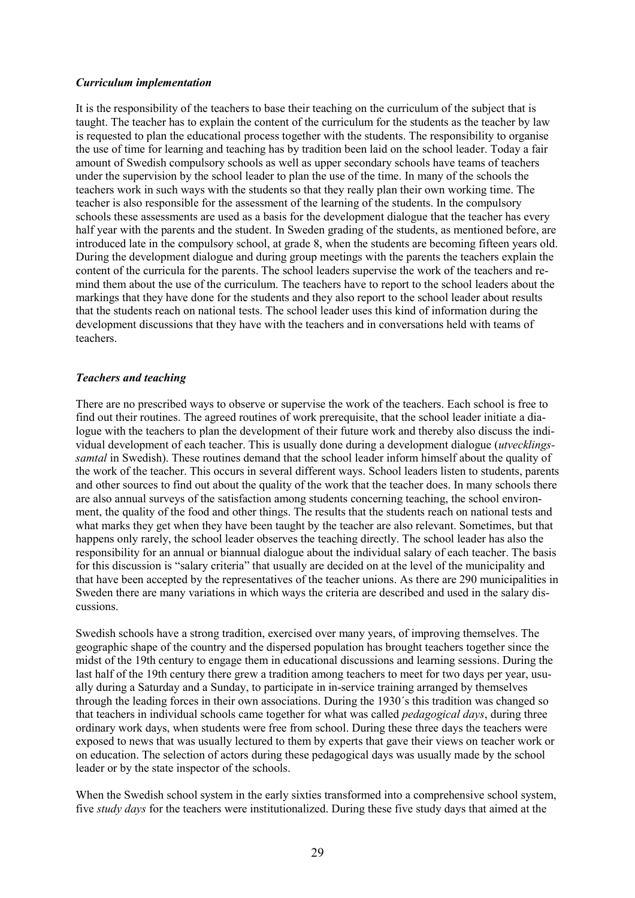#### *Curriculum implementation*

It is the responsibility of the teachers to base their teaching on the curriculum of the subject that is taught. The teacher has to explain the content of the curriculum for the students as the teacher by law is requested to plan the educational process together with the students. The responsibility to organise the use of time for learning and teaching has by tradition been laid on the school leader. Today a fair amount of Swedish compulsory schools as well as upper secondary schools have teams of teachers under the supervision by the school leader to plan the use of the time. In many of the schools the teachers work in such ways with the students so that they really plan their own working time. The teacher is also responsible for the assessment of the learning of the students. In the compulsory schools these assessments are used as a basis for the development dialogue that the teacher has every half year with the parents and the student. In Sweden grading of the students, as mentioned before, are introduced late in the compulsory school, at grade 8, when the students are becoming fifteen years old. During the development dialogue and during group meetings with the parents the teachers explain the content of the curricula for the parents. The school leaders supervise the work of the teachers and remind them about the use of the curriculum. The teachers have to report to the school leaders about the markings that they have done for the students and they also report to the school leader about results that the students reach on national tests. The school leader uses this kind of information during the development discussions that they have with the teachers and in conversations held with teams of teachers.

#### *Teachers and teaching*

There are no prescribed ways to observe or supervise the work of the teachers. Each school is free to find out their routines. The agreed routines of work prerequisite, that the school leader initiate a dialogue with the teachers to plan the development of their future work and thereby also discuss the individual development of each teacher. This is usually done during a development dialogue (*utvecklingssamtal* in Swedish). These routines demand that the school leader inform himself about the quality of the work of the teacher. This occurs in several different ways. School leaders listen to students, parents and other sources to find out about the quality of the work that the teacher does. In many schools there are also annual surveys of the satisfaction among students concerning teaching, the school environment, the quality of the food and other things. The results that the students reach on national tests and what marks they get when they have been taught by the teacher are also relevant. Sometimes, but that happens only rarely, the school leader observes the teaching directly. The school leader has also the responsibility for an annual or biannual dialogue about the individual salary of each teacher. The basis for this discussion is "salary criteria" that usually are decided on at the level of the municipality and that have been accepted by the representatives of the teacher unions. As there are 290 municipalities in Sweden there are many variations in which ways the criteria are described and used in the salary discussions.

Swedish schools have a strong tradition, exercised over many years, of improving themselves. The geographic shape of the country and the dispersed population has brought teachers together since the midst of the 19th century to engage them in educational discussions and learning sessions. During the last half of the 19th century there grew a tradition among teachers to meet for two days per year, usually during a Saturday and a Sunday, to participate in in-service training arranged by themselves through the leading forces in their own associations. During the 1930´s this tradition was changed so that teachers in individual schools came together for what was called *pedagogical days*, during three ordinary work days, when students were free from school. During these three days the teachers were exposed to news that was usually lectured to them by experts that gave their views on teacher work or on education. The selection of actors during these pedagogical days was usually made by the school leader or by the state inspector of the schools.

When the Swedish school system in the early sixties transformed into a comprehensive school system, five *study days* for the teachers were institutionalized. During these five study days that aimed at the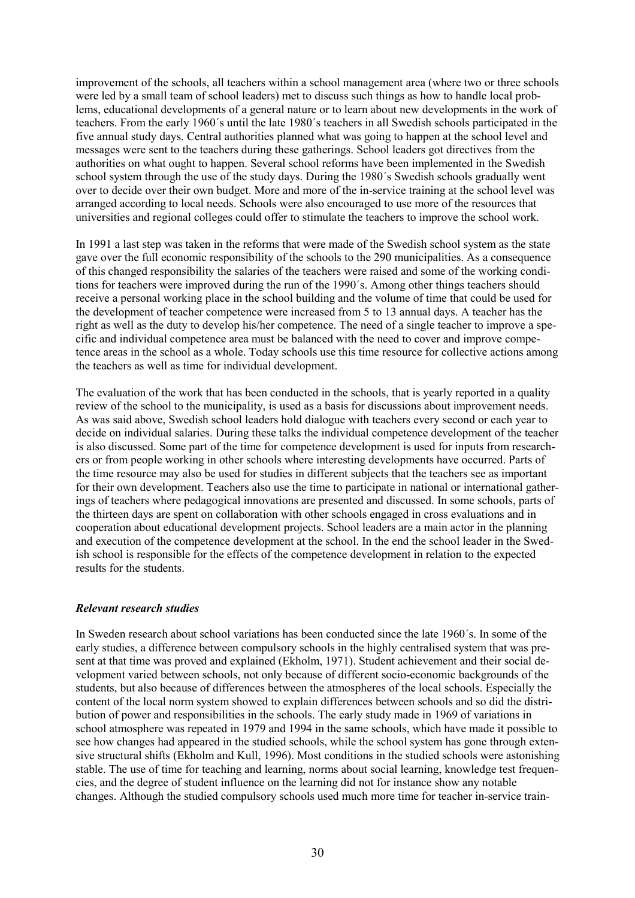improvement of the schools, all teachers within a school management area (where two or three schools were led by a small team of school leaders) met to discuss such things as how to handle local problems, educational developments of a general nature or to learn about new developments in the work of teachers. From the early 1960´s until the late 1980´s teachers in all Swedish schools participated in the five annual study days. Central authorities planned what was going to happen at the school level and messages were sent to the teachers during these gatherings. School leaders got directives from the authorities on what ought to happen. Several school reforms have been implemented in the Swedish school system through the use of the study days. During the 1980´s Swedish schools gradually went over to decide over their own budget. More and more of the in-service training at the school level was arranged according to local needs. Schools were also encouraged to use more of the resources that universities and regional colleges could offer to stimulate the teachers to improve the school work.

In 1991 a last step was taken in the reforms that were made of the Swedish school system as the state gave over the full economic responsibility of the schools to the 290 municipalities. As a consequence of this changed responsibility the salaries of the teachers were raised and some of the working conditions for teachers were improved during the run of the 1990´s. Among other things teachers should receive a personal working place in the school building and the volume of time that could be used for the development of teacher competence were increased from 5 to 13 annual days. A teacher has the right as well as the duty to develop his/her competence. The need of a single teacher to improve a specific and individual competence area must be balanced with the need to cover and improve competence areas in the school as a whole. Today schools use this time resource for collective actions among the teachers as well as time for individual development.

The evaluation of the work that has been conducted in the schools, that is yearly reported in a quality review of the school to the municipality, is used as a basis for discussions about improvement needs. As was said above, Swedish school leaders hold dialogue with teachers every second or each year to decide on individual salaries. During these talks the individual competence development of the teacher is also discussed. Some part of the time for competence development is used for inputs from researchers or from people working in other schools where interesting developments have occurred. Parts of the time resource may also be used for studies in different subjects that the teachers see as important for their own development. Teachers also use the time to participate in national or international gatherings of teachers where pedagogical innovations are presented and discussed. In some schools, parts of the thirteen days are spent on collaboration with other schools engaged in cross evaluations and in cooperation about educational development projects. School leaders are a main actor in the planning and execution of the competence development at the school. In the end the school leader in the Swedish school is responsible for the effects of the competence development in relation to the expected results for the students.

#### *Relevant research studies*

In Sweden research about school variations has been conducted since the late 1960´s. In some of the early studies, a difference between compulsory schools in the highly centralised system that was present at that time was proved and explained (Ekholm, 1971). Student achievement and their social development varied between schools, not only because of different socio-economic backgrounds of the students, but also because of differences between the atmospheres of the local schools. Especially the content of the local norm system showed to explain differences between schools and so did the distribution of power and responsibilities in the schools. The early study made in 1969 of variations in school atmosphere was repeated in 1979 and 1994 in the same schools, which have made it possible to see how changes had appeared in the studied schools, while the school system has gone through extensive structural shifts (Ekholm and Kull, 1996). Most conditions in the studied schools were astonishing stable. The use of time for teaching and learning, norms about social learning, knowledge test frequencies, and the degree of student influence on the learning did not for instance show any notable changes. Although the studied compulsory schools used much more time for teacher in-service train-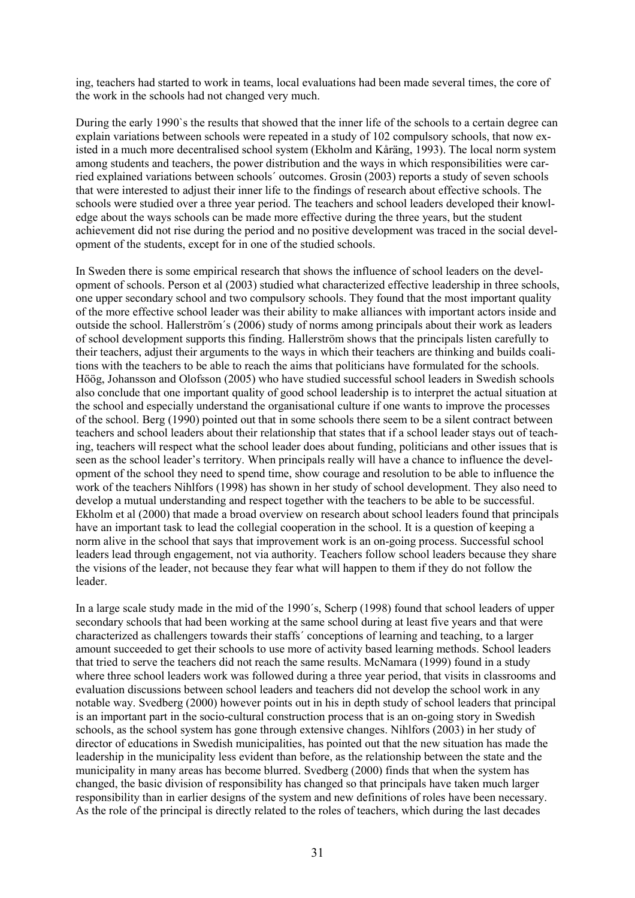ing, teachers had started to work in teams, local evaluations had been made several times, the core of the work in the schools had not changed very much.

During the early 1990`s the results that showed that the inner life of the schools to a certain degree can explain variations between schools were repeated in a study of 102 compulsory schools, that now existed in a much more decentralised school system (Ekholm and Kåräng, 1993). The local norm system among students and teachers, the power distribution and the ways in which responsibilities were carried explained variations between schools´ outcomes. Grosin (2003) reports a study of seven schools that were interested to adjust their inner life to the findings of research about effective schools. The schools were studied over a three year period. The teachers and school leaders developed their knowledge about the ways schools can be made more effective during the three years, but the student achievement did not rise during the period and no positive development was traced in the social development of the students, except for in one of the studied schools.

In Sweden there is some empirical research that shows the influence of school leaders on the development of schools. Person et al (2003) studied what characterized effective leadership in three schools, one upper secondary school and two compulsory schools. They found that the most important quality of the more effective school leader was their ability to make alliances with important actors inside and outside the school. Hallerström´s (2006) study of norms among principals about their work as leaders of school development supports this finding. Hallerström shows that the principals listen carefully to their teachers, adjust their arguments to the ways in which their teachers are thinking and builds coalitions with the teachers to be able to reach the aims that politicians have formulated for the schools. Höög, Johansson and Olofsson (2005) who have studied successful school leaders in Swedish schools also conclude that one important quality of good school leadership is to interpret the actual situation at the school and especially understand the organisational culture if one wants to improve the processes of the school. Berg (1990) pointed out that in some schools there seem to be a silent contract between teachers and school leaders about their relationship that states that if a school leader stays out of teaching, teachers will respect what the school leader does about funding, politicians and other issues that is seen as the school leader's territory. When principals really will have a chance to influence the development of the school they need to spend time, show courage and resolution to be able to influence the work of the teachers Nihlfors (1998) has shown in her study of school development. They also need to develop a mutual understanding and respect together with the teachers to be able to be successful. Ekholm et al (2000) that made a broad overview on research about school leaders found that principals have an important task to lead the collegial cooperation in the school. It is a question of keeping a norm alive in the school that says that improvement work is an on-going process. Successful school leaders lead through engagement, not via authority. Teachers follow school leaders because they share the visions of the leader, not because they fear what will happen to them if they do not follow the leader.

In a large scale study made in the mid of the 1990´s, Scherp (1998) found that school leaders of upper secondary schools that had been working at the same school during at least five years and that were characterized as challengers towards their staffs´ conceptions of learning and teaching, to a larger amount succeeded to get their schools to use more of activity based learning methods. School leaders that tried to serve the teachers did not reach the same results. McNamara (1999) found in a study where three school leaders work was followed during a three year period, that visits in classrooms and evaluation discussions between school leaders and teachers did not develop the school work in any notable way. Svedberg (2000) however points out in his in depth study of school leaders that principal is an important part in the socio-cultural construction process that is an on-going story in Swedish schools, as the school system has gone through extensive changes. Nihlfors (2003) in her study of director of educations in Swedish municipalities, has pointed out that the new situation has made the leadership in the municipality less evident than before, as the relationship between the state and the municipality in many areas has become blurred. Svedberg (2000) finds that when the system has changed, the basic division of responsibility has changed so that principals have taken much larger responsibility than in earlier designs of the system and new definitions of roles have been necessary. As the role of the principal is directly related to the roles of teachers, which during the last decades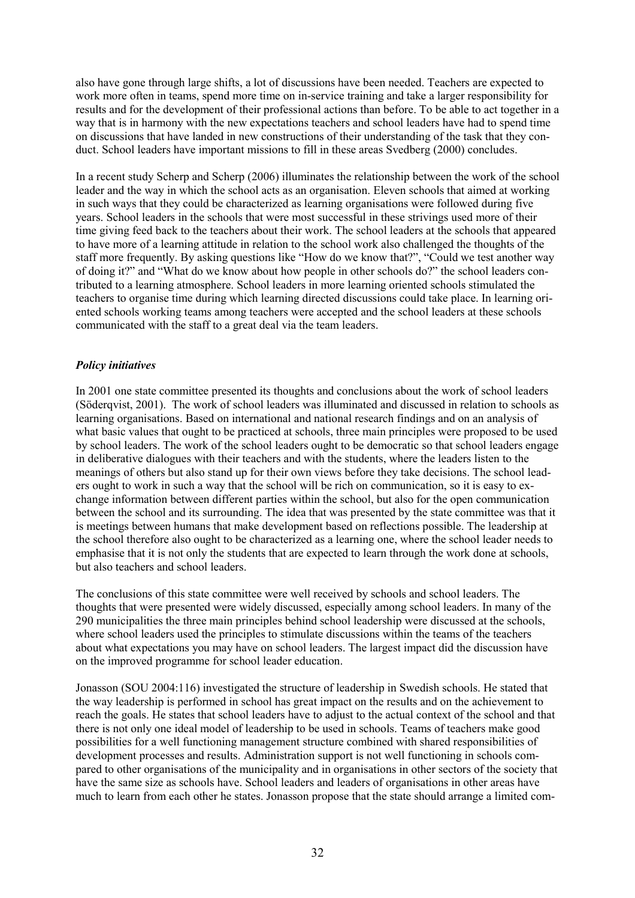also have gone through large shifts, a lot of discussions have been needed. Teachers are expected to work more often in teams, spend more time on in-service training and take a larger responsibility for results and for the development of their professional actions than before. To be able to act together in a way that is in harmony with the new expectations teachers and school leaders have had to spend time on discussions that have landed in new constructions of their understanding of the task that they conduct. School leaders have important missions to fill in these areas Svedberg (2000) concludes.

In a recent study Scherp and Scherp (2006) illuminates the relationship between the work of the school leader and the way in which the school acts as an organisation. Eleven schools that aimed at working in such ways that they could be characterized as learning organisations were followed during five years. School leaders in the schools that were most successful in these strivings used more of their time giving feed back to the teachers about their work. The school leaders at the schools that appeared to have more of a learning attitude in relation to the school work also challenged the thoughts of the staff more frequently. By asking questions like "How do we know that?", "Could we test another way of doing it?" and "What do we know about how people in other schools do?" the school leaders contributed to a learning atmosphere. School leaders in more learning oriented schools stimulated the teachers to organise time during which learning directed discussions could take place. In learning oriented schools working teams among teachers were accepted and the school leaders at these schools communicated with the staff to a great deal via the team leaders.

## *Policy initiatives*

In 2001 one state committee presented its thoughts and conclusions about the work of school leaders (Söderqvist, 2001). The work of school leaders was illuminated and discussed in relation to schools as learning organisations. Based on international and national research findings and on an analysis of what basic values that ought to be practiced at schools, three main principles were proposed to be used by school leaders. The work of the school leaders ought to be democratic so that school leaders engage in deliberative dialogues with their teachers and with the students, where the leaders listen to the meanings of others but also stand up for their own views before they take decisions. The school leaders ought to work in such a way that the school will be rich on communication, so it is easy to exchange information between different parties within the school, but also for the open communication between the school and its surrounding. The idea that was presented by the state committee was that it is meetings between humans that make development based on reflections possible. The leadership at the school therefore also ought to be characterized as a learning one, where the school leader needs to emphasise that it is not only the students that are expected to learn through the work done at schools, but also teachers and school leaders.

The conclusions of this state committee were well received by schools and school leaders. The thoughts that were presented were widely discussed, especially among school leaders. In many of the 290 municipalities the three main principles behind school leadership were discussed at the schools, where school leaders used the principles to stimulate discussions within the teams of the teachers about what expectations you may have on school leaders. The largest impact did the discussion have on the improved programme for school leader education.

Jonasson (SOU 2004:116) investigated the structure of leadership in Swedish schools. He stated that the way leadership is performed in school has great impact on the results and on the achievement to reach the goals. He states that school leaders have to adjust to the actual context of the school and that there is not only one ideal model of leadership to be used in schools. Teams of teachers make good possibilities for a well functioning management structure combined with shared responsibilities of development processes and results. Administration support is not well functioning in schools compared to other organisations of the municipality and in organisations in other sectors of the society that have the same size as schools have. School leaders and leaders of organisations in other areas have much to learn from each other he states. Jonasson propose that the state should arrange a limited com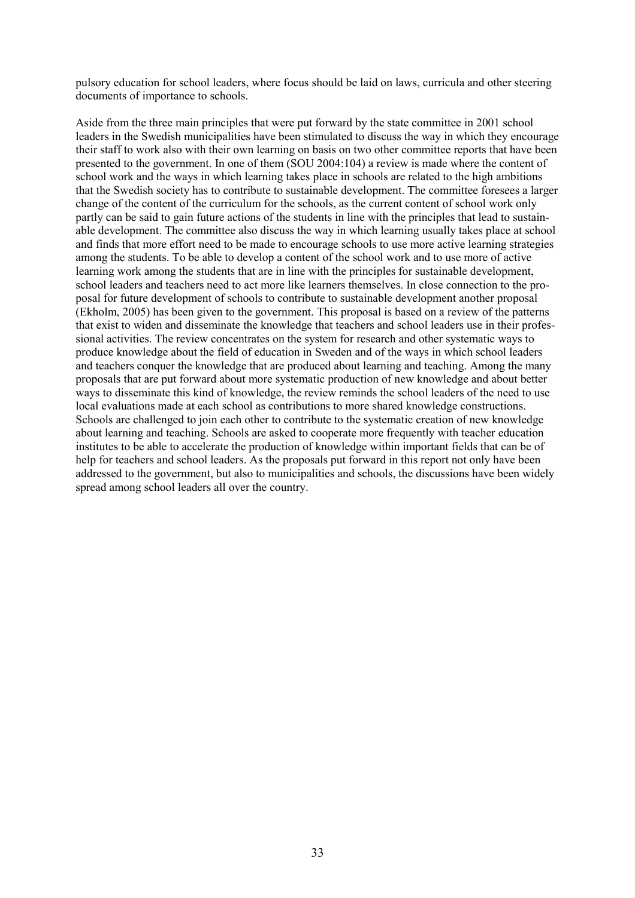pulsory education for school leaders, where focus should be laid on laws, curricula and other steering documents of importance to schools.

Aside from the three main principles that were put forward by the state committee in 2001 school leaders in the Swedish municipalities have been stimulated to discuss the way in which they encourage their staff to work also with their own learning on basis on two other committee reports that have been presented to the government. In one of them (SOU 2004:104) a review is made where the content of school work and the ways in which learning takes place in schools are related to the high ambitions that the Swedish society has to contribute to sustainable development. The committee foresees a larger change of the content of the curriculum for the schools, as the current content of school work only partly can be said to gain future actions of the students in line with the principles that lead to sustainable development. The committee also discuss the way in which learning usually takes place at school and finds that more effort need to be made to encourage schools to use more active learning strategies among the students. To be able to develop a content of the school work and to use more of active learning work among the students that are in line with the principles for sustainable development, school leaders and teachers need to act more like learners themselves. In close connection to the proposal for future development of schools to contribute to sustainable development another proposal (Ekholm, 2005) has been given to the government. This proposal is based on a review of the patterns that exist to widen and disseminate the knowledge that teachers and school leaders use in their professional activities. The review concentrates on the system for research and other systematic ways to produce knowledge about the field of education in Sweden and of the ways in which school leaders and teachers conquer the knowledge that are produced about learning and teaching. Among the many proposals that are put forward about more systematic production of new knowledge and about better ways to disseminate this kind of knowledge, the review reminds the school leaders of the need to use local evaluations made at each school as contributions to more shared knowledge constructions. Schools are challenged to join each other to contribute to the systematic creation of new knowledge about learning and teaching. Schools are asked to cooperate more frequently with teacher education institutes to be able to accelerate the production of knowledge within important fields that can be of help for teachers and school leaders. As the proposals put forward in this report not only have been addressed to the government, but also to municipalities and schools, the discussions have been widely spread among school leaders all over the country.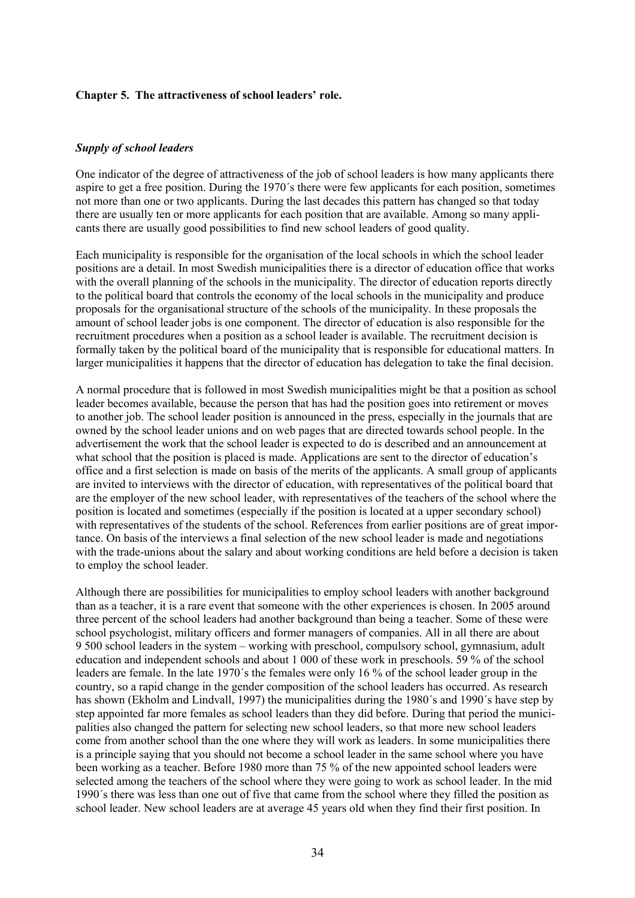#### **Chapter 5. The attractiveness of school leaders' role.**

#### *Supply of school leaders*

One indicator of the degree of attractiveness of the job of school leaders is how many applicants there aspire to get a free position. During the 1970´s there were few applicants for each position, sometimes not more than one or two applicants. During the last decades this pattern has changed so that today there are usually ten or more applicants for each position that are available. Among so many applicants there are usually good possibilities to find new school leaders of good quality.

Each municipality is responsible for the organisation of the local schools in which the school leader positions are a detail. In most Swedish municipalities there is a director of education office that works with the overall planning of the schools in the municipality. The director of education reports directly to the political board that controls the economy of the local schools in the municipality and produce proposals for the organisational structure of the schools of the municipality. In these proposals the amount of school leader jobs is one component. The director of education is also responsible for the recruitment procedures when a position as a school leader is available. The recruitment decision is formally taken by the political board of the municipality that is responsible for educational matters. In larger municipalities it happens that the director of education has delegation to take the final decision.

A normal procedure that is followed in most Swedish municipalities might be that a position as school leader becomes available, because the person that has had the position goes into retirement or moves to another job. The school leader position is announced in the press, especially in the journals that are owned by the school leader unions and on web pages that are directed towards school people. In the advertisement the work that the school leader is expected to do is described and an announcement at what school that the position is placed is made. Applications are sent to the director of education's office and a first selection is made on basis of the merits of the applicants. A small group of applicants are invited to interviews with the director of education, with representatives of the political board that are the employer of the new school leader, with representatives of the teachers of the school where the position is located and sometimes (especially if the position is located at a upper secondary school) with representatives of the students of the school. References from earlier positions are of great importance. On basis of the interviews a final selection of the new school leader is made and negotiations with the trade-unions about the salary and about working conditions are held before a decision is taken to employ the school leader.

Although there are possibilities for municipalities to employ school leaders with another background than as a teacher, it is a rare event that someone with the other experiences is chosen. In 2005 around three percent of the school leaders had another background than being a teacher. Some of these were school psychologist, military officers and former managers of companies. All in all there are about 9 500 school leaders in the system – working with preschool, compulsory school, gymnasium, adult education and independent schools and about 1 000 of these work in preschools. 59 % of the school leaders are female. In the late 1970´s the females were only 16 % of the school leader group in the country, so a rapid change in the gender composition of the school leaders has occurred. As research has shown (Ekholm and Lindvall, 1997) the municipalities during the 1980´s and 1990´s have step by step appointed far more females as school leaders than they did before. During that period the municipalities also changed the pattern for selecting new school leaders, so that more new school leaders come from another school than the one where they will work as leaders. In some municipalities there is a principle saying that you should not become a school leader in the same school where you have been working as a teacher. Before 1980 more than 75 % of the new appointed school leaders were selected among the teachers of the school where they were going to work as school leader. In the mid 1990´s there was less than one out of five that came from the school where they filled the position as school leader. New school leaders are at average 45 years old when they find their first position. In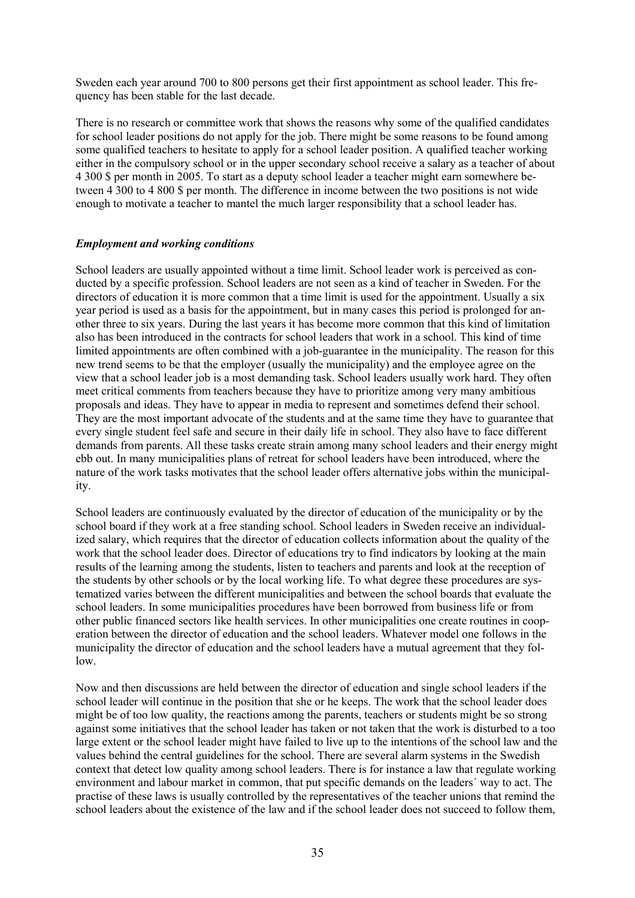Sweden each year around 700 to 800 persons get their first appointment as school leader. This frequency has been stable for the last decade.

There is no research or committee work that shows the reasons why some of the qualified candidates for school leader positions do not apply for the job. There might be some reasons to be found among some qualified teachers to hesitate to apply for a school leader position. A qualified teacher working either in the compulsory school or in the upper secondary school receive a salary as a teacher of about 4 300 \$ per month in 2005. To start as a deputy school leader a teacher might earn somewhere between 4 300 to 4 800 \$ per month. The difference in income between the two positions is not wide enough to motivate a teacher to mantel the much larger responsibility that a school leader has.

#### *Employment and working conditions*

School leaders are usually appointed without a time limit. School leader work is perceived as conducted by a specific profession. School leaders are not seen as a kind of teacher in Sweden. For the directors of education it is more common that a time limit is used for the appointment. Usually a six year period is used as a basis for the appointment, but in many cases this period is prolonged for another three to six years. During the last years it has become more common that this kind of limitation also has been introduced in the contracts for school leaders that work in a school. This kind of time limited appointments are often combined with a job-guarantee in the municipality. The reason for this new trend seems to be that the employer (usually the municipality) and the employee agree on the view that a school leader job is a most demanding task. School leaders usually work hard. They often meet critical comments from teachers because they have to prioritize among very many ambitious proposals and ideas. They have to appear in media to represent and sometimes defend their school. They are the most important advocate of the students and at the same time they have to guarantee that every single student feel safe and secure in their daily life in school. They also have to face different demands from parents. All these tasks create strain among many school leaders and their energy might ebb out. In many municipalities plans of retreat for school leaders have been introduced, where the nature of the work tasks motivates that the school leader offers alternative jobs within the municipality.

School leaders are continuously evaluated by the director of education of the municipality or by the school board if they work at a free standing school. School leaders in Sweden receive an individualized salary, which requires that the director of education collects information about the quality of the work that the school leader does. Director of educations try to find indicators by looking at the main results of the learning among the students, listen to teachers and parents and look at the reception of the students by other schools or by the local working life. To what degree these procedures are systematized varies between the different municipalities and between the school boards that evaluate the school leaders. In some municipalities procedures have been borrowed from business life or from other public financed sectors like health services. In other municipalities one create routines in cooperation between the director of education and the school leaders. Whatever model one follows in the municipality the director of education and the school leaders have a mutual agreement that they follow.

Now and then discussions are held between the director of education and single school leaders if the school leader will continue in the position that she or he keeps. The work that the school leader does might be of too low quality, the reactions among the parents, teachers or students might be so strong against some initiatives that the school leader has taken or not taken that the work is disturbed to a too large extent or the school leader might have failed to live up to the intentions of the school law and the values behind the central guidelines for the school. There are several alarm systems in the Swedish context that detect low quality among school leaders. There is for instance a law that regulate working environment and labour market in common, that put specific demands on the leaders´ way to act. The practise of these laws is usually controlled by the representatives of the teacher unions that remind the school leaders about the existence of the law and if the school leader does not succeed to follow them,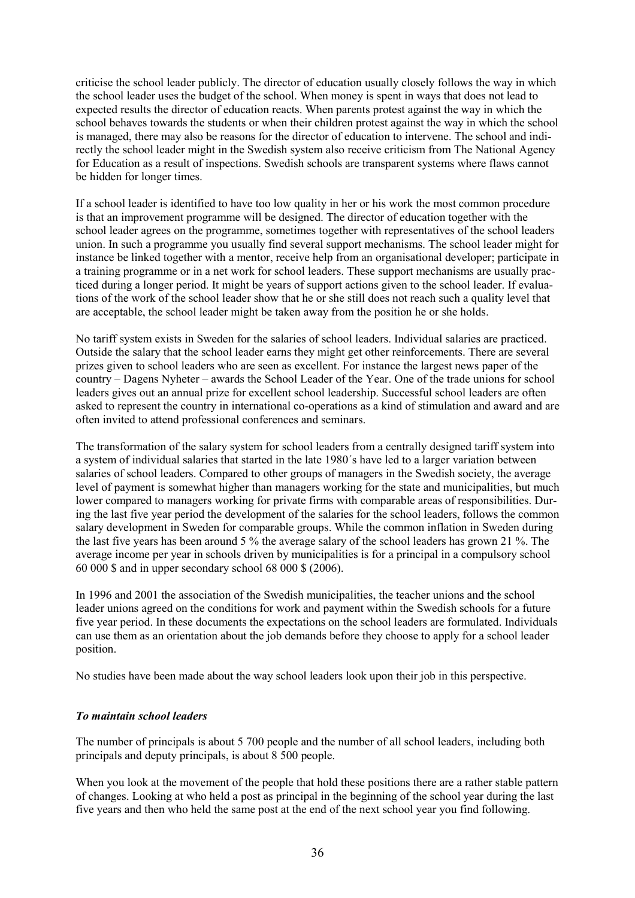criticise the school leader publicly. The director of education usually closely follows the way in which the school leader uses the budget of the school. When money is spent in ways that does not lead to expected results the director of education reacts. When parents protest against the way in which the school behaves towards the students or when their children protest against the way in which the school is managed, there may also be reasons for the director of education to intervene. The school and indirectly the school leader might in the Swedish system also receive criticism from The National Agency for Education as a result of inspections. Swedish schools are transparent systems where flaws cannot be hidden for longer times.

If a school leader is identified to have too low quality in her or his work the most common procedure is that an improvement programme will be designed. The director of education together with the school leader agrees on the programme, sometimes together with representatives of the school leaders union. In such a programme you usually find several support mechanisms. The school leader might for instance be linked together with a mentor, receive help from an organisational developer; participate in a training programme or in a net work for school leaders. These support mechanisms are usually practiced during a longer period. It might be years of support actions given to the school leader. If evaluations of the work of the school leader show that he or she still does not reach such a quality level that are acceptable, the school leader might be taken away from the position he or she holds.

No tariff system exists in Sweden for the salaries of school leaders. Individual salaries are practiced. Outside the salary that the school leader earns they might get other reinforcements. There are several prizes given to school leaders who are seen as excellent. For instance the largest news paper of the country – Dagens Nyheter – awards the School Leader of the Year. One of the trade unions for school leaders gives out an annual prize for excellent school leadership. Successful school leaders are often asked to represent the country in international co-operations as a kind of stimulation and award and are often invited to attend professional conferences and seminars.

The transformation of the salary system for school leaders from a centrally designed tariff system into a system of individual salaries that started in the late 1980´s have led to a larger variation between salaries of school leaders. Compared to other groups of managers in the Swedish society, the average level of payment is somewhat higher than managers working for the state and municipalities, but much lower compared to managers working for private firms with comparable areas of responsibilities. During the last five year period the development of the salaries for the school leaders, follows the common salary development in Sweden for comparable groups. While the common inflation in Sweden during the last five years has been around 5 % the average salary of the school leaders has grown 21 %. The average income per year in schools driven by municipalities is for a principal in a compulsory school 60 000 \$ and in upper secondary school 68 000 \$ (2006).

In 1996 and 2001 the association of the Swedish municipalities, the teacher unions and the school leader unions agreed on the conditions for work and payment within the Swedish schools for a future five year period. In these documents the expectations on the school leaders are formulated. Individuals can use them as an orientation about the job demands before they choose to apply for a school leader position.

No studies have been made about the way school leaders look upon their job in this perspective.

## *To maintain school leaders*

The number of principals is about 5 700 people and the number of all school leaders, including both principals and deputy principals, is about 8 500 people.

When you look at the movement of the people that hold these positions there are a rather stable pattern of changes. Looking at who held a post as principal in the beginning of the school year during the last five years and then who held the same post at the end of the next school year you find following.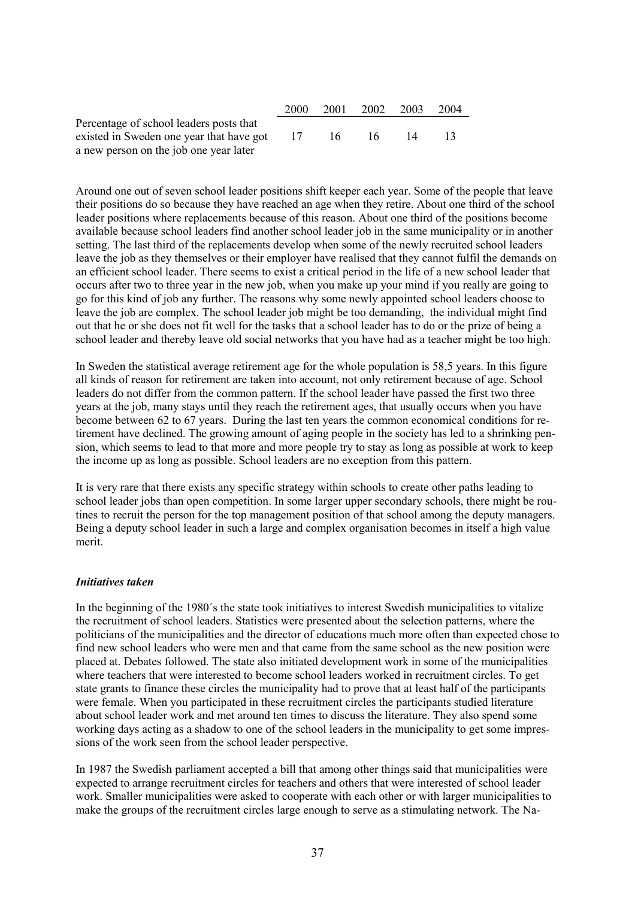|                                          | 2000 | 2001 | 2002   | 2003 | 2004 |
|------------------------------------------|------|------|--------|------|------|
| Percentage of school leaders posts that  |      |      |        |      |      |
| existed in Sweden one year that have got | 17   | -16  | - 16 - |      |      |
| a new person on the job one year later   |      |      |        |      |      |

Around one out of seven school leader positions shift keeper each year. Some of the people that leave their positions do so because they have reached an age when they retire. About one third of the school leader positions where replacements because of this reason. About one third of the positions become available because school leaders find another school leader job in the same municipality or in another setting. The last third of the replacements develop when some of the newly recruited school leaders leave the job as they themselves or their employer have realised that they cannot fulfil the demands on an efficient school leader. There seems to exist a critical period in the life of a new school leader that occurs after two to three year in the new job, when you make up your mind if you really are going to go for this kind of job any further. The reasons why some newly appointed school leaders choose to leave the job are complex. The school leader job might be too demanding, the individual might find out that he or she does not fit well for the tasks that a school leader has to do or the prize of being a school leader and thereby leave old social networks that you have had as a teacher might be too high.

In Sweden the statistical average retirement age for the whole population is 58,5 years. In this figure all kinds of reason for retirement are taken into account, not only retirement because of age. School leaders do not differ from the common pattern. If the school leader have passed the first two three years at the job, many stays until they reach the retirement ages, that usually occurs when you have become between 62 to 67 years. During the last ten years the common economical conditions for retirement have declined. The growing amount of aging people in the society has led to a shrinking pension, which seems to lead to that more and more people try to stay as long as possible at work to keep the income up as long as possible. School leaders are no exception from this pattern.

It is very rare that there exists any specific strategy within schools to create other paths leading to school leader jobs than open competition. In some larger upper secondary schools, there might be routines to recruit the person for the top management position of that school among the deputy managers. Being a deputy school leader in such a large and complex organisation becomes in itself a high value merit.

#### *Initiatives taken*

In the beginning of the 1980´s the state took initiatives to interest Swedish municipalities to vitalize the recruitment of school leaders. Statistics were presented about the selection patterns, where the politicians of the municipalities and the director of educations much more often than expected chose to find new school leaders who were men and that came from the same school as the new position were placed at. Debates followed. The state also initiated development work in some of the municipalities where teachers that were interested to become school leaders worked in recruitment circles. To get state grants to finance these circles the municipality had to prove that at least half of the participants were female. When you participated in these recruitment circles the participants studied literature about school leader work and met around ten times to discuss the literature. They also spend some working days acting as a shadow to one of the school leaders in the municipality to get some impressions of the work seen from the school leader perspective.

In 1987 the Swedish parliament accepted a bill that among other things said that municipalities were expected to arrange recruitment circles for teachers and others that were interested of school leader work. Smaller municipalities were asked to cooperate with each other or with larger municipalities to make the groups of the recruitment circles large enough to serve as a stimulating network. The Na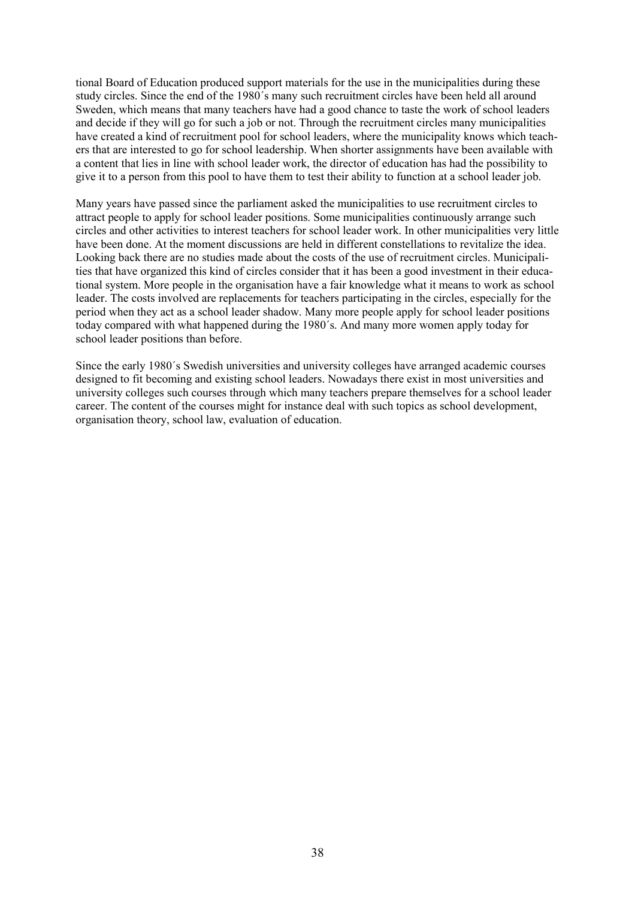tional Board of Education produced support materials for the use in the municipalities during these study circles. Since the end of the 1980´s many such recruitment circles have been held all around Sweden, which means that many teachers have had a good chance to taste the work of school leaders and decide if they will go for such a job or not. Through the recruitment circles many municipalities have created a kind of recruitment pool for school leaders, where the municipality knows which teachers that are interested to go for school leadership. When shorter assignments have been available with a content that lies in line with school leader work, the director of education has had the possibility to give it to a person from this pool to have them to test their ability to function at a school leader job.

Many years have passed since the parliament asked the municipalities to use recruitment circles to attract people to apply for school leader positions. Some municipalities continuously arrange such circles and other activities to interest teachers for school leader work. In other municipalities very little have been done. At the moment discussions are held in different constellations to revitalize the idea. Looking back there are no studies made about the costs of the use of recruitment circles. Municipalities that have organized this kind of circles consider that it has been a good investment in their educational system. More people in the organisation have a fair knowledge what it means to work as school leader. The costs involved are replacements for teachers participating in the circles, especially for the period when they act as a school leader shadow. Many more people apply for school leader positions today compared with what happened during the 1980´s. And many more women apply today for school leader positions than before.

Since the early 1980´s Swedish universities and university colleges have arranged academic courses designed to fit becoming and existing school leaders. Nowadays there exist in most universities and university colleges such courses through which many teachers prepare themselves for a school leader career. The content of the courses might for instance deal with such topics as school development, organisation theory, school law, evaluation of education.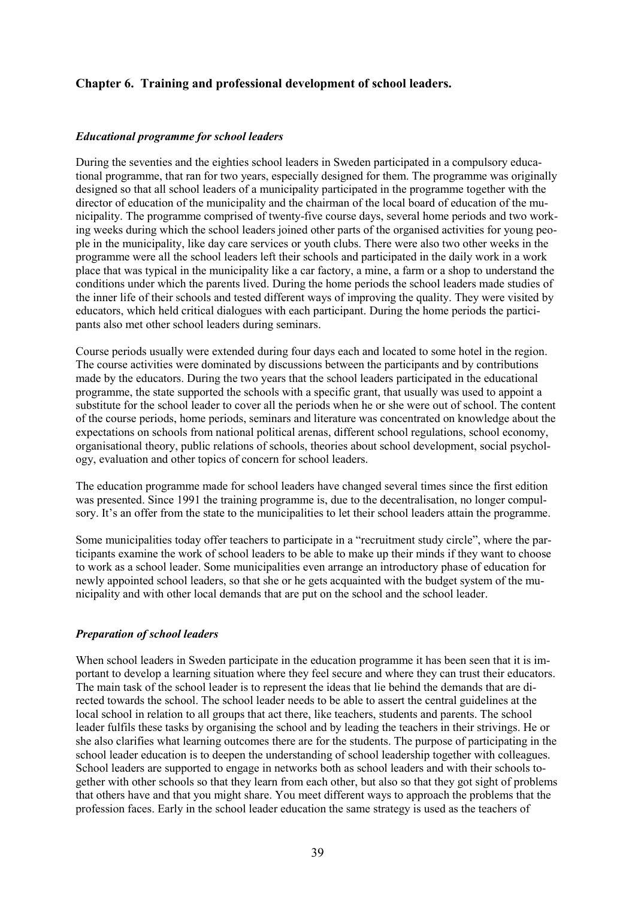## **Chapter 6. Training and professional development of school leaders.**

#### *Educational programme for school leaders*

During the seventies and the eighties school leaders in Sweden participated in a compulsory educational programme, that ran for two years, especially designed for them. The programme was originally designed so that all school leaders of a municipality participated in the programme together with the director of education of the municipality and the chairman of the local board of education of the municipality. The programme comprised of twenty-five course days, several home periods and two working weeks during which the school leaders joined other parts of the organised activities for young people in the municipality, like day care services or youth clubs. There were also two other weeks in the programme were all the school leaders left their schools and participated in the daily work in a work place that was typical in the municipality like a car factory, a mine, a farm or a shop to understand the conditions under which the parents lived. During the home periods the school leaders made studies of the inner life of their schools and tested different ways of improving the quality. They were visited by educators, which held critical dialogues with each participant. During the home periods the participants also met other school leaders during seminars.

Course periods usually were extended during four days each and located to some hotel in the region. The course activities were dominated by discussions between the participants and by contributions made by the educators. During the two years that the school leaders participated in the educational programme, the state supported the schools with a specific grant, that usually was used to appoint a substitute for the school leader to cover all the periods when he or she were out of school. The content of the course periods, home periods, seminars and literature was concentrated on knowledge about the expectations on schools from national political arenas, different school regulations, school economy, organisational theory, public relations of schools, theories about school development, social psychology, evaluation and other topics of concern for school leaders.

The education programme made for school leaders have changed several times since the first edition was presented. Since 1991 the training programme is, due to the decentralisation, no longer compulsory. It's an offer from the state to the municipalities to let their school leaders attain the programme.

Some municipalities today offer teachers to participate in a "recruitment study circle", where the participants examine the work of school leaders to be able to make up their minds if they want to choose to work as a school leader. Some municipalities even arrange an introductory phase of education for newly appointed school leaders, so that she or he gets acquainted with the budget system of the municipality and with other local demands that are put on the school and the school leader.

#### *Preparation of school leaders*

When school leaders in Sweden participate in the education programme it has been seen that it is important to develop a learning situation where they feel secure and where they can trust their educators. The main task of the school leader is to represent the ideas that lie behind the demands that are directed towards the school. The school leader needs to be able to assert the central guidelines at the local school in relation to all groups that act there, like teachers, students and parents. The school leader fulfils these tasks by organising the school and by leading the teachers in their strivings. He or she also clarifies what learning outcomes there are for the students. The purpose of participating in the school leader education is to deepen the understanding of school leadership together with colleagues. School leaders are supported to engage in networks both as school leaders and with their schools together with other schools so that they learn from each other, but also so that they got sight of problems that others have and that you might share. You meet different ways to approach the problems that the profession faces. Early in the school leader education the same strategy is used as the teachers of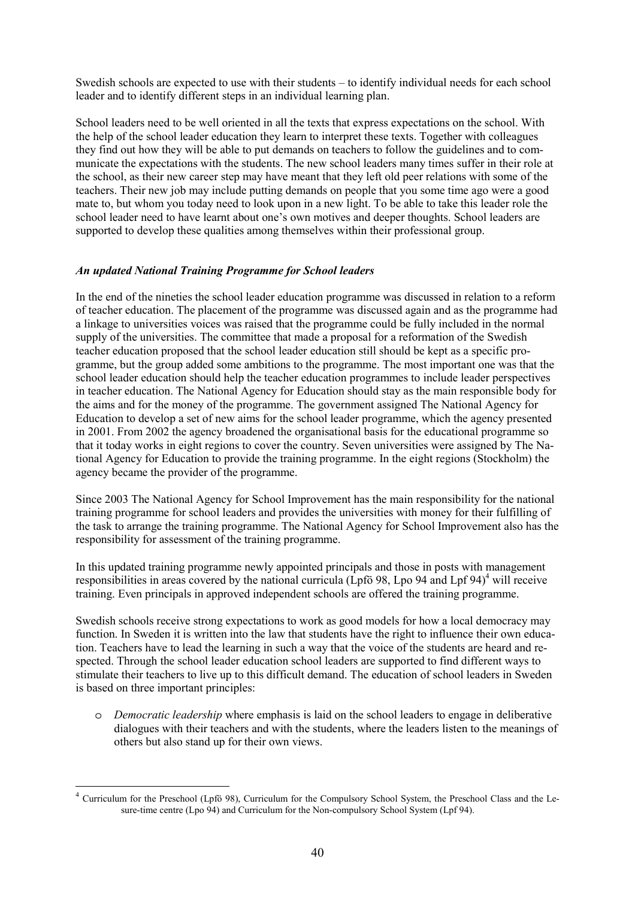Swedish schools are expected to use with their students – to identify individual needs for each school leader and to identify different steps in an individual learning plan.

School leaders need to be well oriented in all the texts that express expectations on the school. With the help of the school leader education they learn to interpret these texts. Together with colleagues they find out how they will be able to put demands on teachers to follow the guidelines and to communicate the expectations with the students. The new school leaders many times suffer in their role at the school, as their new career step may have meant that they left old peer relations with some of the teachers. Their new job may include putting demands on people that you some time ago were a good mate to, but whom you today need to look upon in a new light. To be able to take this leader role the school leader need to have learnt about one's own motives and deeper thoughts. School leaders are supported to develop these qualities among themselves within their professional group.

#### *An updated National Training Programme for School leaders*

In the end of the nineties the school leader education programme was discussed in relation to a reform of teacher education. The placement of the programme was discussed again and as the programme had a linkage to universities voices was raised that the programme could be fully included in the normal supply of the universities. The committee that made a proposal for a reformation of the Swedish teacher education proposed that the school leader education still should be kept as a specific programme, but the group added some ambitions to the programme. The most important one was that the school leader education should help the teacher education programmes to include leader perspectives in teacher education. The National Agency for Education should stay as the main responsible body for the aims and for the money of the programme. The government assigned The National Agency for Education to develop a set of new aims for the school leader programme, which the agency presented in 2001. From 2002 the agency broadened the organisational basis for the educational programme so that it today works in eight regions to cover the country. Seven universities were assigned by The National Agency for Education to provide the training programme. In the eight regions (Stockholm) the agency became the provider of the programme.

Since 2003 The National Agency for School Improvement has the main responsibility for the national training programme for school leaders and provides the universities with money for their fulfilling of the task to arrange the training programme. The National Agency for School Improvement also has the responsibility for assessment of the training programme.

In this updated training programme newly appointed principals and those in posts with management responsibilities in areas covered by the national curricula (Lpfö 98, Lpo 94 and Lpf 94)<sup>4</sup> will receive training. Even principals in approved independent schools are offered the training programme.

Swedish schools receive strong expectations to work as good models for how a local democracy may function. In Sweden it is written into the law that students have the right to influence their own education. Teachers have to lead the learning in such a way that the voice of the students are heard and respected. Through the school leader education school leaders are supported to find different ways to stimulate their teachers to live up to this difficult demand. The education of school leaders in Sweden is based on three important principles:

o *Democratic leadership* where emphasis is laid on the school leaders to engage in deliberative dialogues with their teachers and with the students, where the leaders listen to the meanings of others but also stand up for their own views.

 $\overline{a}$ 

<sup>4</sup> Curriculum for the Preschool (Lpfö 98), Curriculum for the Compulsory School System, the Preschool Class and the Lesure-time centre (Lpo 94) and Curriculum for the Non-compulsory School System (Lpf 94).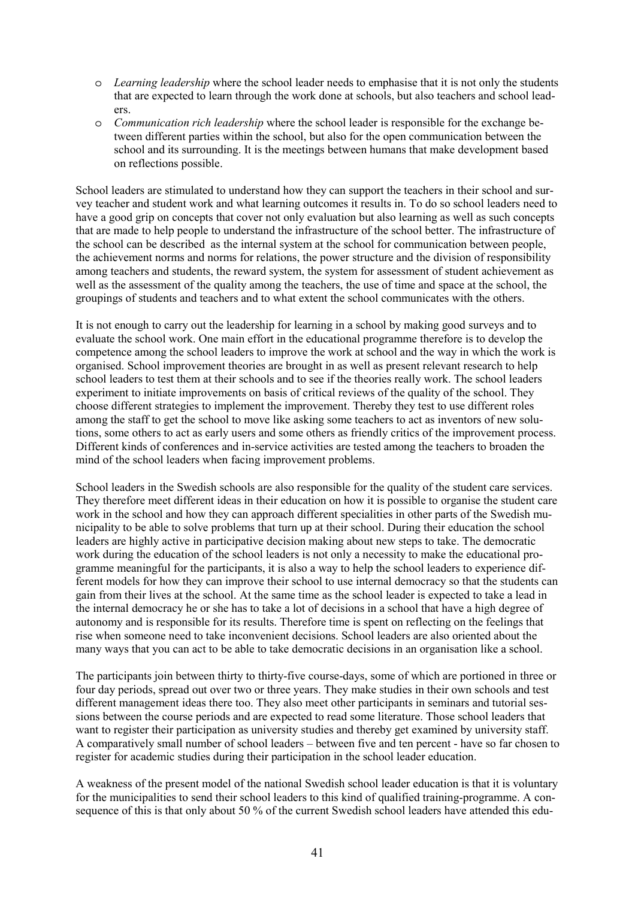- o *Learning leadership* where the school leader needs to emphasise that it is not only the students that are expected to learn through the work done at schools, but also teachers and school leaders.
- o *Communication rich leadership* where the school leader is responsible for the exchange between different parties within the school, but also for the open communication between the school and its surrounding. It is the meetings between humans that make development based on reflections possible.

School leaders are stimulated to understand how they can support the teachers in their school and survey teacher and student work and what learning outcomes it results in. To do so school leaders need to have a good grip on concepts that cover not only evaluation but also learning as well as such concepts that are made to help people to understand the infrastructure of the school better. The infrastructure of the school can be described as the internal system at the school for communication between people, the achievement norms and norms for relations, the power structure and the division of responsibility among teachers and students, the reward system, the system for assessment of student achievement as well as the assessment of the quality among the teachers, the use of time and space at the school, the groupings of students and teachers and to what extent the school communicates with the others.

It is not enough to carry out the leadership for learning in a school by making good surveys and to evaluate the school work. One main effort in the educational programme therefore is to develop the competence among the school leaders to improve the work at school and the way in which the work is organised. School improvement theories are brought in as well as present relevant research to help school leaders to test them at their schools and to see if the theories really work. The school leaders experiment to initiate improvements on basis of critical reviews of the quality of the school. They choose different strategies to implement the improvement. Thereby they test to use different roles among the staff to get the school to move like asking some teachers to act as inventors of new solutions, some others to act as early users and some others as friendly critics of the improvement process. Different kinds of conferences and in-service activities are tested among the teachers to broaden the mind of the school leaders when facing improvement problems.

School leaders in the Swedish schools are also responsible for the quality of the student care services. They therefore meet different ideas in their education on how it is possible to organise the student care work in the school and how they can approach different specialities in other parts of the Swedish municipality to be able to solve problems that turn up at their school. During their education the school leaders are highly active in participative decision making about new steps to take. The democratic work during the education of the school leaders is not only a necessity to make the educational programme meaningful for the participants, it is also a way to help the school leaders to experience different models for how they can improve their school to use internal democracy so that the students can gain from their lives at the school. At the same time as the school leader is expected to take a lead in the internal democracy he or she has to take a lot of decisions in a school that have a high degree of autonomy and is responsible for its results. Therefore time is spent on reflecting on the feelings that rise when someone need to take inconvenient decisions. School leaders are also oriented about the many ways that you can act to be able to take democratic decisions in an organisation like a school.

The participants join between thirty to thirty-five course-days, some of which are portioned in three or four day periods, spread out over two or three years. They make studies in their own schools and test different management ideas there too. They also meet other participants in seminars and tutorial sessions between the course periods and are expected to read some literature. Those school leaders that want to register their participation as university studies and thereby get examined by university staff. A comparatively small number of school leaders – between five and ten percent - have so far chosen to register for academic studies during their participation in the school leader education.

A weakness of the present model of the national Swedish school leader education is that it is voluntary for the municipalities to send their school leaders to this kind of qualified training-programme. A consequence of this is that only about 50 % of the current Swedish school leaders have attended this edu-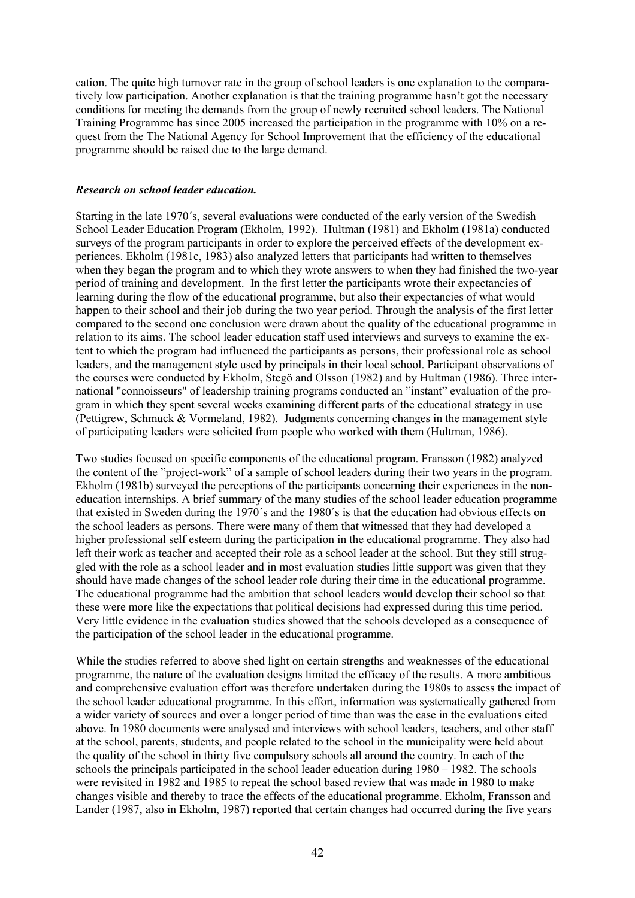cation. The quite high turnover rate in the group of school leaders is one explanation to the comparatively low participation. Another explanation is that the training programme hasn't got the necessary conditions for meeting the demands from the group of newly recruited school leaders. The National Training Programme has since 2005 increased the participation in the programme with 10% on a request from the The National Agency for School Improvement that the efficiency of the educational programme should be raised due to the large demand.

#### *Research on school leader education.*

Starting in the late 1970´s, several evaluations were conducted of the early version of the Swedish School Leader Education Program (Ekholm, 1992). Hultman (1981) and Ekholm (1981a) conducted surveys of the program participants in order to explore the perceived effects of the development experiences. Ekholm (1981c, 1983) also analyzed letters that participants had written to themselves when they began the program and to which they wrote answers to when they had finished the two-year period of training and development. In the first letter the participants wrote their expectancies of learning during the flow of the educational programme, but also their expectancies of what would happen to their school and their job during the two year period. Through the analysis of the first letter compared to the second one conclusion were drawn about the quality of the educational programme in relation to its aims. The school leader education staff used interviews and surveys to examine the extent to which the program had influenced the participants as persons, their professional role as school leaders, and the management style used by principals in their local school. Participant observations of the courses were conducted by Ekholm, Stegö and Olsson (1982) and by Hultman (1986). Three international "connoisseurs" of leadership training programs conducted an "instant" evaluation of the program in which they spent several weeks examining different parts of the educational strategy in use (Pettigrew, Schmuck & Vormeland, 1982). Judgments concerning changes in the management style of participating leaders were solicited from people who worked with them (Hultman, 1986).

Two studies focused on specific components of the educational program. Fransson (1982) analyzed the content of the "project-work" of a sample of school leaders during their two years in the program. Ekholm (1981b) surveyed the perceptions of the participants concerning their experiences in the noneducation internships. A brief summary of the many studies of the school leader education programme that existed in Sweden during the 1970´s and the 1980´s is that the education had obvious effects on the school leaders as persons. There were many of them that witnessed that they had developed a higher professional self esteem during the participation in the educational programme. They also had left their work as teacher and accepted their role as a school leader at the school. But they still struggled with the role as a school leader and in most evaluation studies little support was given that they should have made changes of the school leader role during their time in the educational programme. The educational programme had the ambition that school leaders would develop their school so that these were more like the expectations that political decisions had expressed during this time period. Very little evidence in the evaluation studies showed that the schools developed as a consequence of the participation of the school leader in the educational programme.

While the studies referred to above shed light on certain strengths and weaknesses of the educational programme, the nature of the evaluation designs limited the efficacy of the results. A more ambitious and comprehensive evaluation effort was therefore undertaken during the 1980s to assess the impact of the school leader educational programme. In this effort, information was systematically gathered from a wider variety of sources and over a longer period of time than was the case in the evaluations cited above. In 1980 documents were analysed and interviews with school leaders, teachers, and other staff at the school, parents, students, and people related to the school in the municipality were held about the quality of the school in thirty five compulsory schools all around the country. In each of the schools the principals participated in the school leader education during 1980 – 1982. The schools were revisited in 1982 and 1985 to repeat the school based review that was made in 1980 to make changes visible and thereby to trace the effects of the educational programme. Ekholm, Fransson and Lander (1987, also in Ekholm, 1987) reported that certain changes had occurred during the five years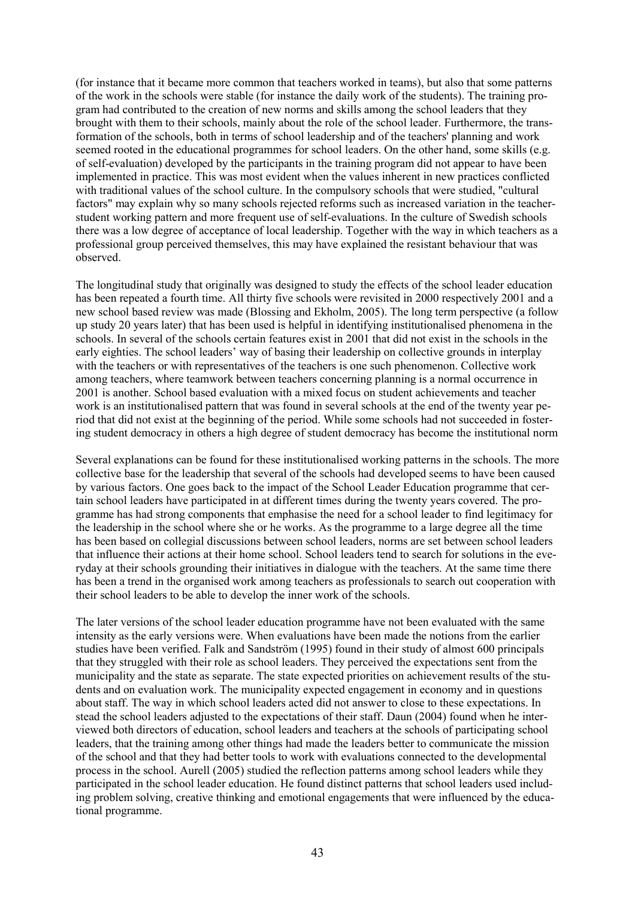(for instance that it became more common that teachers worked in teams), but also that some patterns of the work in the schools were stable (for instance the daily work of the students). The training program had contributed to the creation of new norms and skills among the school leaders that they brought with them to their schools, mainly about the role of the school leader. Furthermore, the transformation of the schools, both in terms of school leadership and of the teachers' planning and work seemed rooted in the educational programmes for school leaders. On the other hand, some skills (e.g. of self-evaluation) developed by the participants in the training program did not appear to have been implemented in practice. This was most evident when the values inherent in new practices conflicted with traditional values of the school culture. In the compulsory schools that were studied, "cultural factors" may explain why so many schools rejected reforms such as increased variation in the teacherstudent working pattern and more frequent use of self-evaluations. In the culture of Swedish schools there was a low degree of acceptance of local leadership. Together with the way in which teachers as a professional group perceived themselves, this may have explained the resistant behaviour that was observed.

The longitudinal study that originally was designed to study the effects of the school leader education has been repeated a fourth time. All thirty five schools were revisited in 2000 respectively 2001 and a new school based review was made (Blossing and Ekholm, 2005). The long term perspective (a follow up study 20 years later) that has been used is helpful in identifying institutionalised phenomena in the schools. In several of the schools certain features exist in 2001 that did not exist in the schools in the early eighties. The school leaders' way of basing their leadership on collective grounds in interplay with the teachers or with representatives of the teachers is one such phenomenon. Collective work among teachers, where teamwork between teachers concerning planning is a normal occurrence in 2001 is another. School based evaluation with a mixed focus on student achievements and teacher work is an institutionalised pattern that was found in several schools at the end of the twenty year period that did not exist at the beginning of the period. While some schools had not succeeded in fostering student democracy in others a high degree of student democracy has become the institutional norm

Several explanations can be found for these institutionalised working patterns in the schools. The more collective base for the leadership that several of the schools had developed seems to have been caused by various factors. One goes back to the impact of the School Leader Education programme that certain school leaders have participated in at different times during the twenty years covered. The programme has had strong components that emphasise the need for a school leader to find legitimacy for the leadership in the school where she or he works. As the programme to a large degree all the time has been based on collegial discussions between school leaders, norms are set between school leaders that influence their actions at their home school. School leaders tend to search for solutions in the everyday at their schools grounding their initiatives in dialogue with the teachers. At the same time there has been a trend in the organised work among teachers as professionals to search out cooperation with their school leaders to be able to develop the inner work of the schools.

The later versions of the school leader education programme have not been evaluated with the same intensity as the early versions were. When evaluations have been made the notions from the earlier studies have been verified. Falk and Sandström (1995) found in their study of almost 600 principals that they struggled with their role as school leaders. They perceived the expectations sent from the municipality and the state as separate. The state expected priorities on achievement results of the students and on evaluation work. The municipality expected engagement in economy and in questions about staff. The way in which school leaders acted did not answer to close to these expectations. In stead the school leaders adjusted to the expectations of their staff. Daun (2004) found when he interviewed both directors of education, school leaders and teachers at the schools of participating school leaders, that the training among other things had made the leaders better to communicate the mission of the school and that they had better tools to work with evaluations connected to the developmental process in the school. Aurell (2005) studied the reflection patterns among school leaders while they participated in the school leader education. He found distinct patterns that school leaders used including problem solving, creative thinking and emotional engagements that were influenced by the educational programme.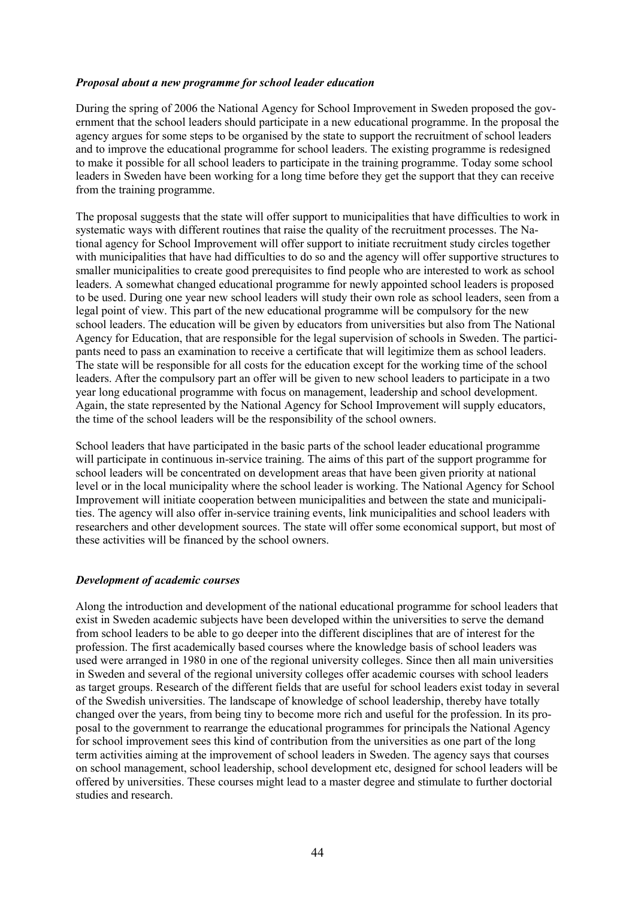#### *Proposal about a new programme for school leader education*

During the spring of 2006 the National Agency for School Improvement in Sweden proposed the government that the school leaders should participate in a new educational programme. In the proposal the agency argues for some steps to be organised by the state to support the recruitment of school leaders and to improve the educational programme for school leaders. The existing programme is redesigned to make it possible for all school leaders to participate in the training programme. Today some school leaders in Sweden have been working for a long time before they get the support that they can receive from the training programme.

The proposal suggests that the state will offer support to municipalities that have difficulties to work in systematic ways with different routines that raise the quality of the recruitment processes. The National agency for School Improvement will offer support to initiate recruitment study circles together with municipalities that have had difficulties to do so and the agency will offer supportive structures to smaller municipalities to create good prerequisites to find people who are interested to work as school leaders. A somewhat changed educational programme for newly appointed school leaders is proposed to be used. During one year new school leaders will study their own role as school leaders, seen from a legal point of view. This part of the new educational programme will be compulsory for the new school leaders. The education will be given by educators from universities but also from The National Agency for Education, that are responsible for the legal supervision of schools in Sweden. The participants need to pass an examination to receive a certificate that will legitimize them as school leaders. The state will be responsible for all costs for the education except for the working time of the school leaders. After the compulsory part an offer will be given to new school leaders to participate in a two year long educational programme with focus on management, leadership and school development. Again, the state represented by the National Agency for School Improvement will supply educators, the time of the school leaders will be the responsibility of the school owners.

School leaders that have participated in the basic parts of the school leader educational programme will participate in continuous in-service training. The aims of this part of the support programme for school leaders will be concentrated on development areas that have been given priority at national level or in the local municipality where the school leader is working. The National Agency for School Improvement will initiate cooperation between municipalities and between the state and municipalities. The agency will also offer in-service training events, link municipalities and school leaders with researchers and other development sources. The state will offer some economical support, but most of these activities will be financed by the school owners.

#### *Development of academic courses*

Along the introduction and development of the national educational programme for school leaders that exist in Sweden academic subjects have been developed within the universities to serve the demand from school leaders to be able to go deeper into the different disciplines that are of interest for the profession. The first academically based courses where the knowledge basis of school leaders was used were arranged in 1980 in one of the regional university colleges. Since then all main universities in Sweden and several of the regional university colleges offer academic courses with school leaders as target groups. Research of the different fields that are useful for school leaders exist today in several of the Swedish universities. The landscape of knowledge of school leadership, thereby have totally changed over the years, from being tiny to become more rich and useful for the profession. In its proposal to the government to rearrange the educational programmes for principals the National Agency for school improvement sees this kind of contribution from the universities as one part of the long term activities aiming at the improvement of school leaders in Sweden. The agency says that courses on school management, school leadership, school development etc, designed for school leaders will be offered by universities. These courses might lead to a master degree and stimulate to further doctorial studies and research.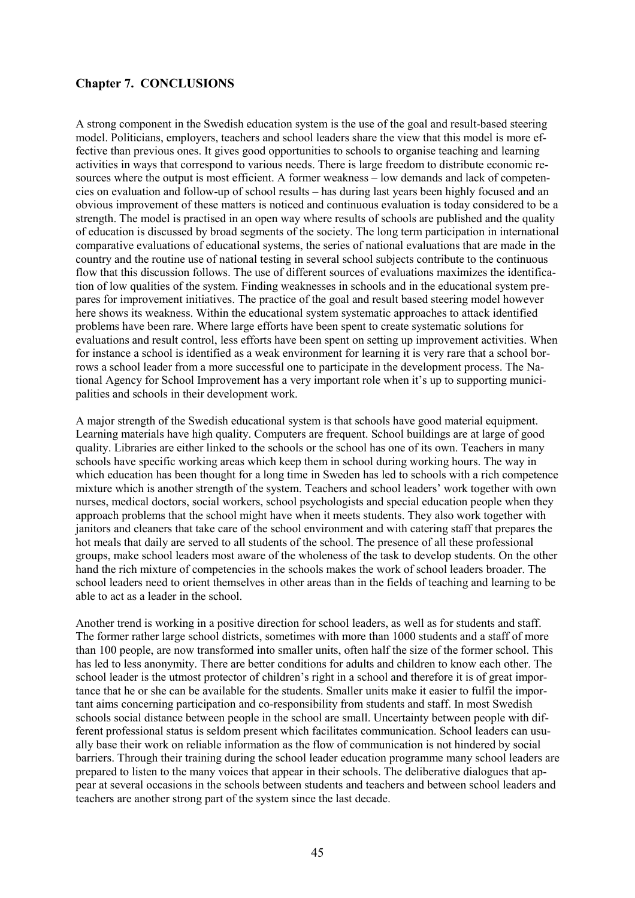## **Chapter 7. CONCLUSIONS**

A strong component in the Swedish education system is the use of the goal and result-based steering model. Politicians, employers, teachers and school leaders share the view that this model is more effective than previous ones. It gives good opportunities to schools to organise teaching and learning activities in ways that correspond to various needs. There is large freedom to distribute economic resources where the output is most efficient. A former weakness – low demands and lack of competencies on evaluation and follow-up of school results – has during last years been highly focused and an obvious improvement of these matters is noticed and continuous evaluation is today considered to be a strength. The model is practised in an open way where results of schools are published and the quality of education is discussed by broad segments of the society. The long term participation in international comparative evaluations of educational systems, the series of national evaluations that are made in the country and the routine use of national testing in several school subjects contribute to the continuous flow that this discussion follows. The use of different sources of evaluations maximizes the identification of low qualities of the system. Finding weaknesses in schools and in the educational system prepares for improvement initiatives. The practice of the goal and result based steering model however here shows its weakness. Within the educational system systematic approaches to attack identified problems have been rare. Where large efforts have been spent to create systematic solutions for evaluations and result control, less efforts have been spent on setting up improvement activities. When for instance a school is identified as a weak environment for learning it is very rare that a school borrows a school leader from a more successful one to participate in the development process. The National Agency for School Improvement has a very important role when it's up to supporting municipalities and schools in their development work.

A major strength of the Swedish educational system is that schools have good material equipment. Learning materials have high quality. Computers are frequent. School buildings are at large of good quality. Libraries are either linked to the schools or the school has one of its own. Teachers in many schools have specific working areas which keep them in school during working hours. The way in which education has been thought for a long time in Sweden has led to schools with a rich competence mixture which is another strength of the system. Teachers and school leaders' work together with own nurses, medical doctors, social workers, school psychologists and special education people when they approach problems that the school might have when it meets students. They also work together with janitors and cleaners that take care of the school environment and with catering staff that prepares the hot meals that daily are served to all students of the school. The presence of all these professional groups, make school leaders most aware of the wholeness of the task to develop students. On the other hand the rich mixture of competencies in the schools makes the work of school leaders broader. The school leaders need to orient themselves in other areas than in the fields of teaching and learning to be able to act as a leader in the school.

Another trend is working in a positive direction for school leaders, as well as for students and staff. The former rather large school districts, sometimes with more than 1000 students and a staff of more than 100 people, are now transformed into smaller units, often half the size of the former school. This has led to less anonymity. There are better conditions for adults and children to know each other. The school leader is the utmost protector of children's right in a school and therefore it is of great importance that he or she can be available for the students. Smaller units make it easier to fulfil the important aims concerning participation and co-responsibility from students and staff. In most Swedish schools social distance between people in the school are small. Uncertainty between people with different professional status is seldom present which facilitates communication. School leaders can usually base their work on reliable information as the flow of communication is not hindered by social barriers. Through their training during the school leader education programme many school leaders are prepared to listen to the many voices that appear in their schools. The deliberative dialogues that appear at several occasions in the schools between students and teachers and between school leaders and teachers are another strong part of the system since the last decade.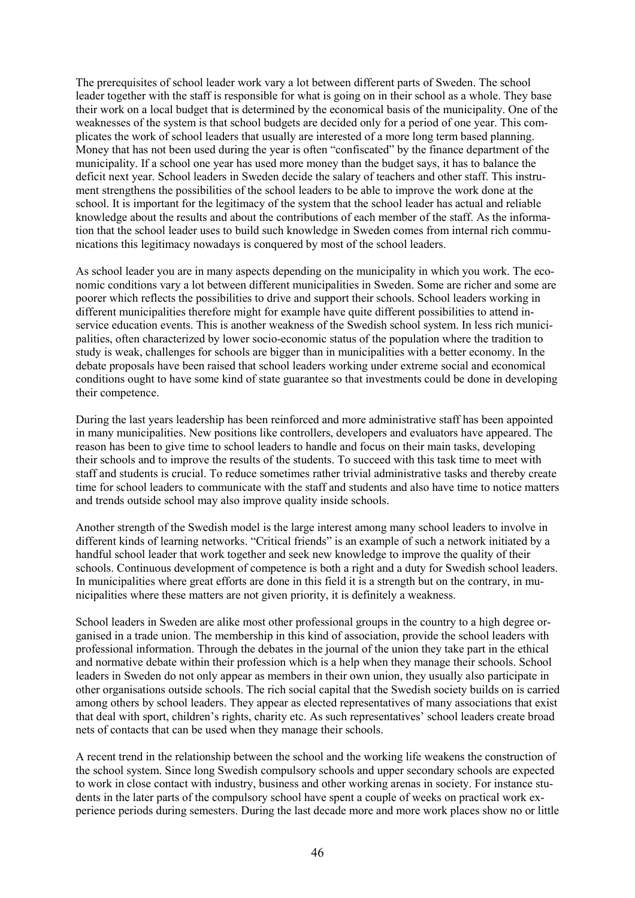The prerequisites of school leader work vary a lot between different parts of Sweden. The school leader together with the staff is responsible for what is going on in their school as a whole. They base their work on a local budget that is determined by the economical basis of the municipality. One of the weaknesses of the system is that school budgets are decided only for a period of one year. This complicates the work of school leaders that usually are interested of a more long term based planning. Money that has not been used during the year is often "confiscated" by the finance department of the municipality. If a school one year has used more money than the budget says, it has to balance the deficit next year. School leaders in Sweden decide the salary of teachers and other staff. This instrument strengthens the possibilities of the school leaders to be able to improve the work done at the school. It is important for the legitimacy of the system that the school leader has actual and reliable knowledge about the results and about the contributions of each member of the staff. As the information that the school leader uses to build such knowledge in Sweden comes from internal rich communications this legitimacy nowadays is conquered by most of the school leaders.

As school leader you are in many aspects depending on the municipality in which you work. The economic conditions vary a lot between different municipalities in Sweden. Some are richer and some are poorer which reflects the possibilities to drive and support their schools. School leaders working in different municipalities therefore might for example have quite different possibilities to attend inservice education events. This is another weakness of the Swedish school system. In less rich municipalities, often characterized by lower socio-economic status of the population where the tradition to study is weak, challenges for schools are bigger than in municipalities with a better economy. In the debate proposals have been raised that school leaders working under extreme social and economical conditions ought to have some kind of state guarantee so that investments could be done in developing their competence.

During the last years leadership has been reinforced and more administrative staff has been appointed in many municipalities. New positions like controllers, developers and evaluators have appeared. The reason has been to give time to school leaders to handle and focus on their main tasks, developing their schools and to improve the results of the students. To succeed with this task time to meet with staff and students is crucial. To reduce sometimes rather trivial administrative tasks and thereby create time for school leaders to communicate with the staff and students and also have time to notice matters and trends outside school may also improve quality inside schools.

Another strength of the Swedish model is the large interest among many school leaders to involve in different kinds of learning networks. "Critical friends" is an example of such a network initiated by a handful school leader that work together and seek new knowledge to improve the quality of their schools. Continuous development of competence is both a right and a duty for Swedish school leaders. In municipalities where great efforts are done in this field it is a strength but on the contrary, in municipalities where these matters are not given priority, it is definitely a weakness.

School leaders in Sweden are alike most other professional groups in the country to a high degree organised in a trade union. The membership in this kind of association, provide the school leaders with professional information. Through the debates in the journal of the union they take part in the ethical and normative debate within their profession which is a help when they manage their schools. School leaders in Sweden do not only appear as members in their own union, they usually also participate in other organisations outside schools. The rich social capital that the Swedish society builds on is carried among others by school leaders. They appear as elected representatives of many associations that exist that deal with sport, children's rights, charity etc. As such representatives' school leaders create broad nets of contacts that can be used when they manage their schools.

A recent trend in the relationship between the school and the working life weakens the construction of the school system. Since long Swedish compulsory schools and upper secondary schools are expected to work in close contact with industry, business and other working arenas in society. For instance students in the later parts of the compulsory school have spent a couple of weeks on practical work experience periods during semesters. During the last decade more and more work places show no or little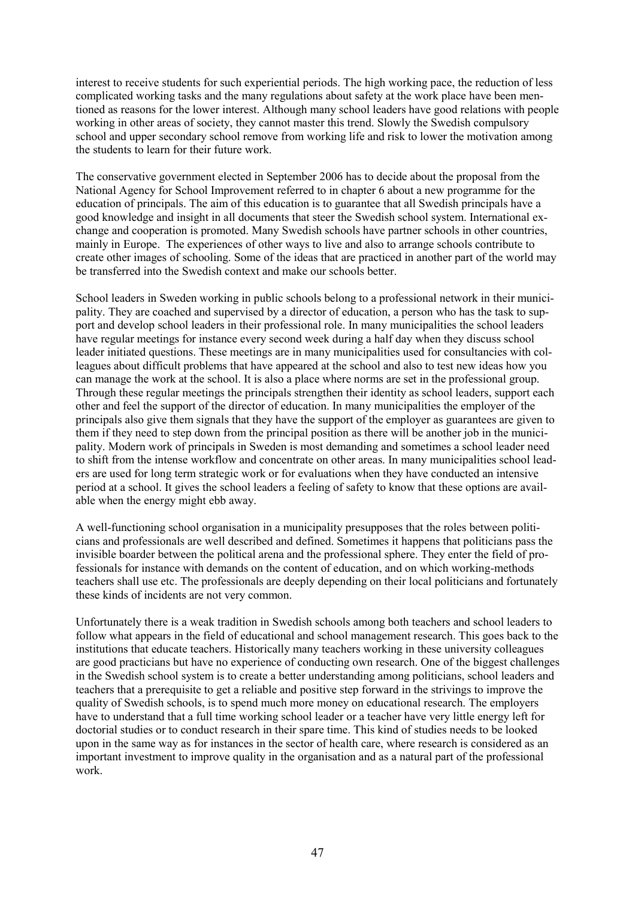interest to receive students for such experiential periods. The high working pace, the reduction of less complicated working tasks and the many regulations about safety at the work place have been mentioned as reasons for the lower interest. Although many school leaders have good relations with people working in other areas of society, they cannot master this trend. Slowly the Swedish compulsory school and upper secondary school remove from working life and risk to lower the motivation among the students to learn for their future work.

The conservative government elected in September 2006 has to decide about the proposal from the National Agency for School Improvement referred to in chapter 6 about a new programme for the education of principals. The aim of this education is to guarantee that all Swedish principals have a good knowledge and insight in all documents that steer the Swedish school system. International exchange and cooperation is promoted. Many Swedish schools have partner schools in other countries, mainly in Europe. The experiences of other ways to live and also to arrange schools contribute to create other images of schooling. Some of the ideas that are practiced in another part of the world may be transferred into the Swedish context and make our schools better.

School leaders in Sweden working in public schools belong to a professional network in their municipality. They are coached and supervised by a director of education, a person who has the task to support and develop school leaders in their professional role. In many municipalities the school leaders have regular meetings for instance every second week during a half day when they discuss school leader initiated questions. These meetings are in many municipalities used for consultancies with colleagues about difficult problems that have appeared at the school and also to test new ideas how you can manage the work at the school. It is also a place where norms are set in the professional group. Through these regular meetings the principals strengthen their identity as school leaders, support each other and feel the support of the director of education. In many municipalities the employer of the principals also give them signals that they have the support of the employer as guarantees are given to them if they need to step down from the principal position as there will be another job in the municipality. Modern work of principals in Sweden is most demanding and sometimes a school leader need to shift from the intense workflow and concentrate on other areas. In many municipalities school leaders are used for long term strategic work or for evaluations when they have conducted an intensive period at a school. It gives the school leaders a feeling of safety to know that these options are available when the energy might ebb away.

A well-functioning school organisation in a municipality presupposes that the roles between politicians and professionals are well described and defined. Sometimes it happens that politicians pass the invisible boarder between the political arena and the professional sphere. They enter the field of professionals for instance with demands on the content of education, and on which working-methods teachers shall use etc. The professionals are deeply depending on their local politicians and fortunately these kinds of incidents are not very common.

Unfortunately there is a weak tradition in Swedish schools among both teachers and school leaders to follow what appears in the field of educational and school management research. This goes back to the institutions that educate teachers. Historically many teachers working in these university colleagues are good practicians but have no experience of conducting own research. One of the biggest challenges in the Swedish school system is to create a better understanding among politicians, school leaders and teachers that a prerequisite to get a reliable and positive step forward in the strivings to improve the quality of Swedish schools, is to spend much more money on educational research. The employers have to understand that a full time working school leader or a teacher have very little energy left for doctorial studies or to conduct research in their spare time. This kind of studies needs to be looked upon in the same way as for instances in the sector of health care, where research is considered as an important investment to improve quality in the organisation and as a natural part of the professional work.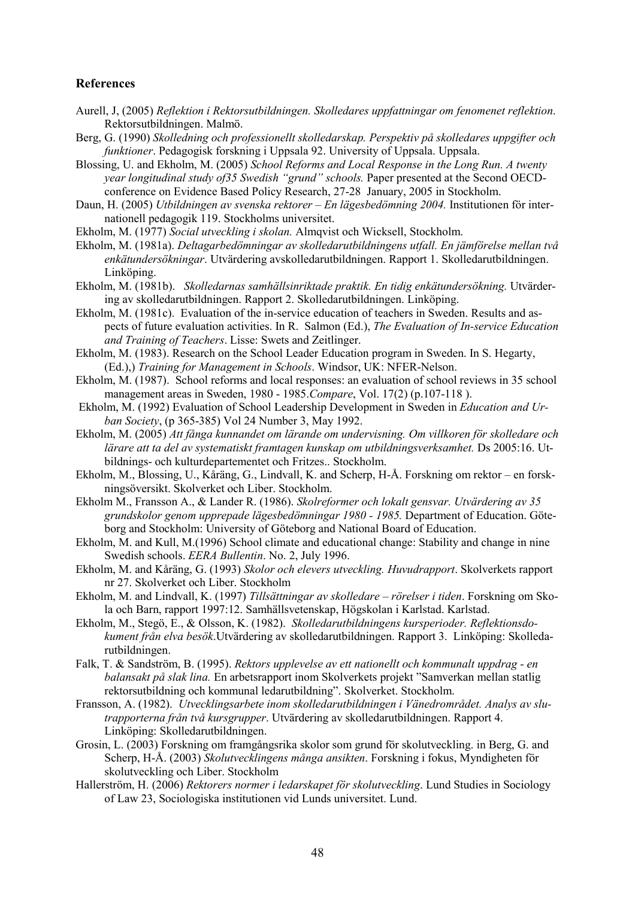#### **References**

- Aurell, J, (2005) *Reflektion i Rektorsutbildningen. Skolledares uppfattningar om fenomenet reflektion*. Rektorsutbildningen. Malmö.
- Berg, G. (1990) *Skolledning och professionellt skolledarskap. Perspektiv på skolledares uppgifter och funktioner*. Pedagogisk forskning i Uppsala 92. University of Uppsala. Uppsala.
- Blossing, U. and Ekholm, M. (2005) *School Reforms and Local Response in the Long Run. A twenty year longitudinal study of35 Swedish "grund" schools.* Paper presented at the Second OECDconference on Evidence Based Policy Research, 27-28 January, 2005 in Stockholm.
- Daun, H. (2005) *Utbildningen av svenska rektorer En lägesbedömning 2004*. Institutionen för internationell pedagogik 119. Stockholms universitet.
- Ekholm, M. (1977) *Social utveckling i skolan.* Almqvist och Wicksell, Stockholm.
- Ekholm, M. (1981a). *Deltagarbedömningar av skolledarutbildningens utfall. En jämförelse mellan två enkätundersökningar*. Utvärdering avskolledarutbildningen. Rapport 1. Skolledarutbildningen. Linköping.
- Ekholm, M. (1981b). *Skolledarnas samhällsinriktade praktik. En tidig enkätundersökning.* Utvärdering av skolledarutbildningen. Rapport 2. Skolledarutbildningen. Linköping.
- Ekholm, M. (1981c). Evaluation of the in-service education of teachers in Sweden. Results and aspects of future evaluation activities. In R. Salmon (Ed.), *The Evaluation of In-service Education and Training of Teachers*. Lisse: Swets and Zeitlinger.
- Ekholm, M. (1983). Research on the School Leader Education program in Sweden. In S. Hegarty, (Ed.),) *Training for Management in Schools*. Windsor, UK: NFER-Nelson.
- Ekholm, M. (1987). School reforms and local responses: an evaluation of school reviews in 35 school management areas in Sweden, 1980 - 1985.*Compare*, Vol. 17(2) (p.107-118 ).
- Ekholm, M. (1992) Evaluation of School Leadership Development in Sweden in *Education and Urban Society*, (p 365-385) Vol 24 Number 3, May 1992.
- Ekholm, M. (2005) *Att fånga kunnandet om lärande om undervisning. Om villkoren för skolledare och*  lärare att ta del av systematiskt framtagen kunskap om utbildningsverksamhet. Ds 2005:16. Utbildnings- och kulturdepartementet och Fritzes.. Stockholm.
- Ekholm, M., Blossing, U., Kåräng, G., Lindvall, K. and Scherp, H-Å. Forskning om rektor en forskningsöversikt. Skolverket och Liber. Stockholm.
- Ekholm M., Fransson A., & Lander R. (1986). *Skolreformer och lokalt gensvar. Utvärdering av 35 grundskolor genom upprepade lägesbedömningar 1980 - 1985.* Department of Education. Göteborg and Stockholm: University of Göteborg and National Board of Education.
- Ekholm, M. and Kull, M.(1996) School climate and educational change: Stability and change in nine Swedish schools. *EERA Bullentin*. No. 2, July 1996.
- Ekholm, M. and Kåräng, G. (1993) *Skolor och elevers utveckling. Huvudrapport*. Skolverkets rapport nr 27. Skolverket och Liber. Stockholm
- Ekholm, M. and Lindvall, K. (1997) *Tillsättningar av skolledare rörelser i tiden*. Forskning om Skola och Barn, rapport 1997:12. Samhällsvetenskap, Högskolan i Karlstad. Karlstad.
- Ekholm, M., Stegö, E., & Olsson, K. (1982). *Skolledarutbildningens kursperioder. Reflektionsdokument från elva besök*.Utvärdering av skolledarutbildningen. Rapport 3. Linköping: Skolledarutbildningen.
- Falk, T. & Sandström, B. (1995). *Rektors upplevelse av ett nationellt och kommunalt uppdrag en balansakt på slak lina.* En arbetsrapport inom Skolverkets projekt "Samverkan mellan statlig rektorsutbildning och kommunal ledarutbildning". Skolverket. Stockholm.
- Fransson, A. (1982). *Utvecklingsarbete inom skolledarutbildningen i Vänedrområdet. Analys av slutrapporterna från två kursgrupper*. Utvärdering av skolledarutbildningen. Rapport 4. Linköping: Skolledarutbildningen.
- Grosin, L. (2003) Forskning om framgångsrika skolor som grund för skolutveckling. in Berg, G. and Scherp, H-Å. (2003) *Skolutvecklingens många ansikten*. Forskning i fokus, Myndigheten för skolutveckling och Liber. Stockholm
- Hallerström, H. (2006) *Rektorers normer i ledarskapet för skolutveckling*. Lund Studies in Sociology of Law 23, Sociologiska institutionen vid Lunds universitet. Lund.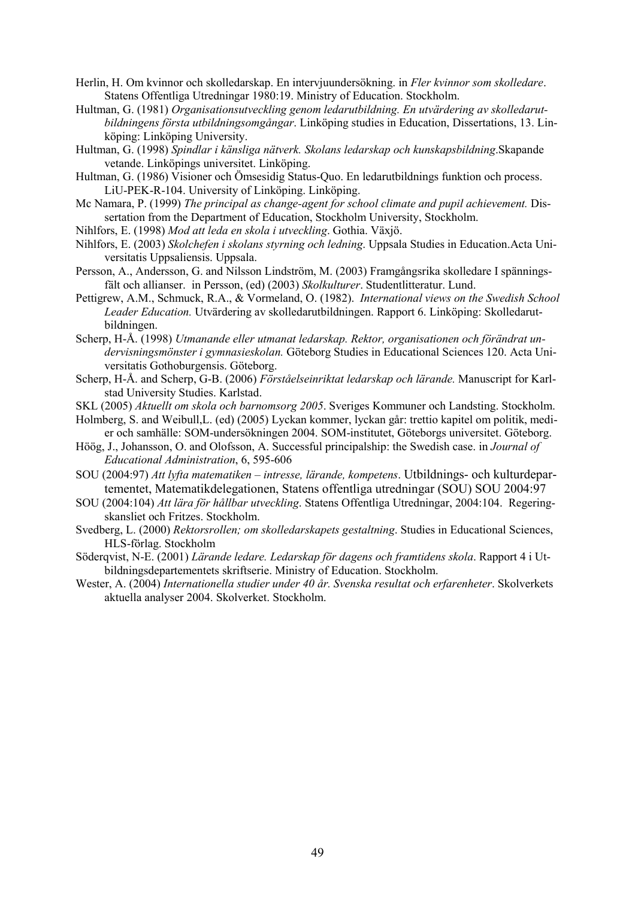- Herlin, H. Om kvinnor och skolledarskap. En intervjuundersökning. in *Fler kvinnor som skolledare*. Statens Offentliga Utredningar 1980:19. Ministry of Education. Stockholm.
- Hultman, G. (1981) *Organisationsutveckling genom ledarutbildning. En utvärdering av skolledarutbildningens första utbildningsomgångar*. Linköping studies in Education, Dissertations, 13. Linköping: Linköping University.
- Hultman, G. (1998) *Spindlar i känsliga nätverk. Skolans ledarskap och kunskapsbildning*.Skapande vetande. Linköpings universitet. Linköping.
- Hultman, G. (1986) Visioner och Ömsesidig Status-Quo. En ledarutbildnings funktion och process. LiU-PEK-R-104. University of Linköping. Linköping.
- Mc Namara, P. (1999) *The principal as change-agent for school climate and pupil achievement.* Dissertation from the Department of Education, Stockholm University, Stockholm.
- Nihlfors, E. (1998) *Mod att leda en skola i utveckling*. Gothia. Växjö.
- Nihlfors, E. (2003) *Skolchefen i skolans styrning och ledning*. Uppsala Studies in Education.Acta Universitatis Uppsaliensis. Uppsala.
- Persson, A., Andersson, G. and Nilsson Lindström, M. (2003) Framgångsrika skolledare I spänningsfält och allianser. in Persson, (ed) (2003) *Skolkulturer*. Studentlitteratur. Lund.
- Pettigrew, A.M., Schmuck, R.A., & Vormeland, O. (1982). *International views on the Swedish School Leader Education.* Utvärdering av skolledarutbildningen. Rapport 6. Linköping: Skolledarutbildningen.
- Scherp, H-Å. (1998) *Utmanande eller utmanat ledarskap. Rektor, organisationen och förändrat undervisningsmönster i gymnasieskolan.* Göteborg Studies in Educational Sciences 120. Acta Universitatis Gothoburgensis. Göteborg.
- Scherp, H-Å. and Scherp, G-B. (2006) *Förståelseinriktat ledarskap och lärande.* Manuscript for Karlstad University Studies. Karlstad.
- SKL (2005) *Aktuellt om skola och barnomsorg 2005*. Sveriges Kommuner och Landsting. Stockholm.
- Holmberg, S. and Weibull,L. (ed) (2005) Lyckan kommer, lyckan går: trettio kapitel om politik, medier och samhälle: SOM-undersökningen 2004. SOM-institutet, Göteborgs universitet. Göteborg.
- Höög, J., Johansson, O. and Olofsson, A. Successful principalship: the Swedish case. in *Journal of Educational Administration*, 6, 595-606
- SOU (2004:97) *Att lyfta matematiken intresse, lärande, kompetens*. Utbildnings- och kulturdepartementet, Matematikdelegationen, Statens offentliga utredningar (SOU) SOU 2004:97
- SOU (2004:104) *Att lära för hållbar utveckling*. Statens Offentliga Utredningar, 2004:104. Regeringskansliet och Fritzes. Stockholm.
- Svedberg, L. (2000) *Rektorsrollen; om skolledarskapets gestaltning*. Studies in Educational Sciences, HLS-förlag. Stockholm
- Söderqvist, N-E. (2001) *Lärande ledare. Ledarskap för dagens och framtidens skola*. Rapport 4 i Utbildningsdepartementets skriftserie. Ministry of Education. Stockholm.
- Wester, A. (2004) *Internationella studier under 40 år. Svenska resultat och erfarenheter*. Skolverkets aktuella analyser 2004. Skolverket. Stockholm.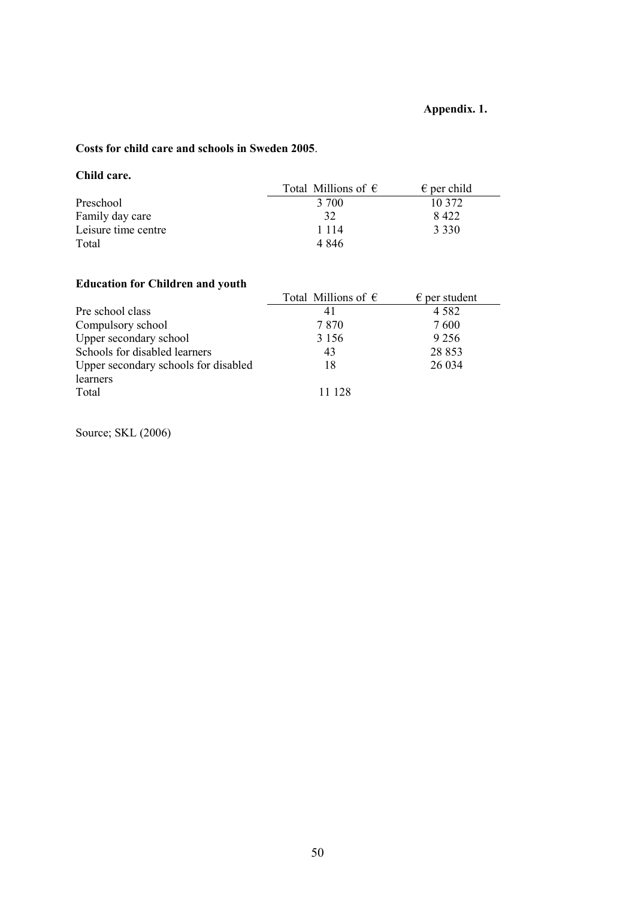## **Appendix. 1.**

## **Costs for child care and schools in Sweden 2005**.

## **Child care.**

|                     | Total Millions of $\epsilon$ | $\epsilon$ per child |
|---------------------|------------------------------|----------------------|
| Preschool           | 3 700                        | 10 372               |
| Family day care     | 32                           | 8422                 |
| Leisure time centre | 1 1 1 4                      | 3 3 3 0              |
| Total               | 4 846                        |                      |

## **Education for Children and youth**

|                                      | Total Millions of $\epsilon$ | $\epsilon$ per student |
|--------------------------------------|------------------------------|------------------------|
| Pre school class                     | 41                           | 4 5 8 2                |
| Compulsory school                    | 7870                         | 7600                   |
| Upper secondary school               | 3 1 5 6                      | 9 2 5 6                |
| Schools for disabled learners        | 43                           | 28 853                 |
| Upper secondary schools for disabled | 18                           | 26 0 34                |
| learners                             |                              |                        |
| Total                                | 11 128                       |                        |

Source; SKL (2006)